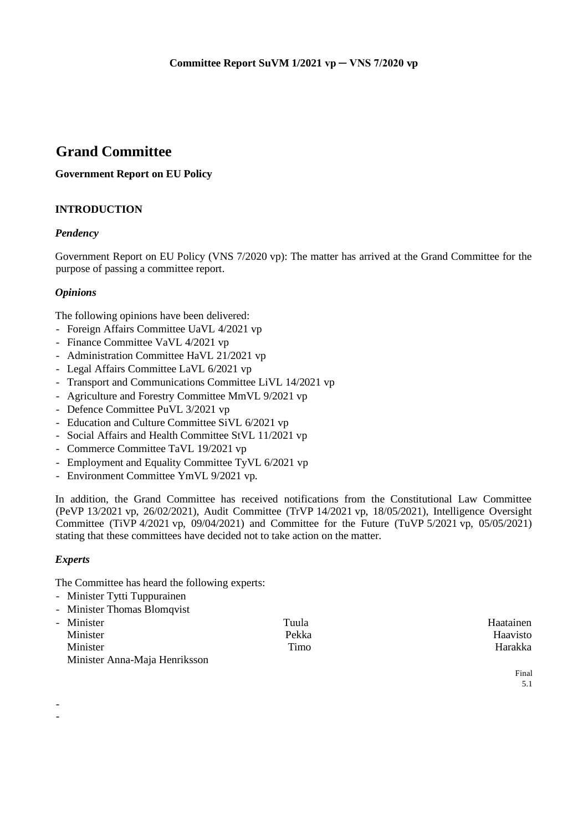# **Grand Committee**

# **Government Report on EU Policy**

# **INTRODUCTION**

# *Pendency*

Government Report on EU Policy (VNS 7/2020 vp): The matter has arrived at the Grand Committee for the purpose of passing a committee report.

# *Opinions*

The following opinions have been delivered:

- Foreign Affairs Committee UaVL 4/2021 vp
- Finance Committee VaVL 4/2021 vp
- Administration Committee HaVL 21/2021 vp
- Legal Affairs Committee LaVL 6/2021 vp
- Transport and Communications Committee LiVL 14/2021 vp
- Agriculture and Forestry Committee MmVL 9/2021 vp
- Defence Committee PuVL 3/2021 vp
- Education and Culture Committee SiVL 6/2021 vp
- Social Affairs and Health Committee StVL 11/2021 vp
- Commerce Committee TaVL 19/2021 vp
- Employment and Equality Committee TyVL 6/2021 vp
- Environment Committee YmVL 9/2021 vp.

In addition, the Grand Committee has received notifications from the Constitutional Law Committee (PeVP 13/2021 vp, 26/02/2021), Audit Committee (TrVP 14/2021 vp, 18/05/2021), Intelligence Oversight Committee (TiVP 4/2021 vp, 09/04/2021) and Committee for the Future (TuVP 5/2021 vp, 05/05/2021) stating that these committees have decided not to take action on the matter.

# *Experts*

- -

The Committee has heard the following experts:

- Minister Tytti Tuppurainen
- Minister Thomas Blomqvist

| - Minister                    | Tuula | Haatainen |
|-------------------------------|-------|-----------|
| Minister                      | Pekka | Haavisto  |
| Minister                      | Timo  | Harakka   |
| Minister Anna-Maja Henriksson |       |           |

Final 5.1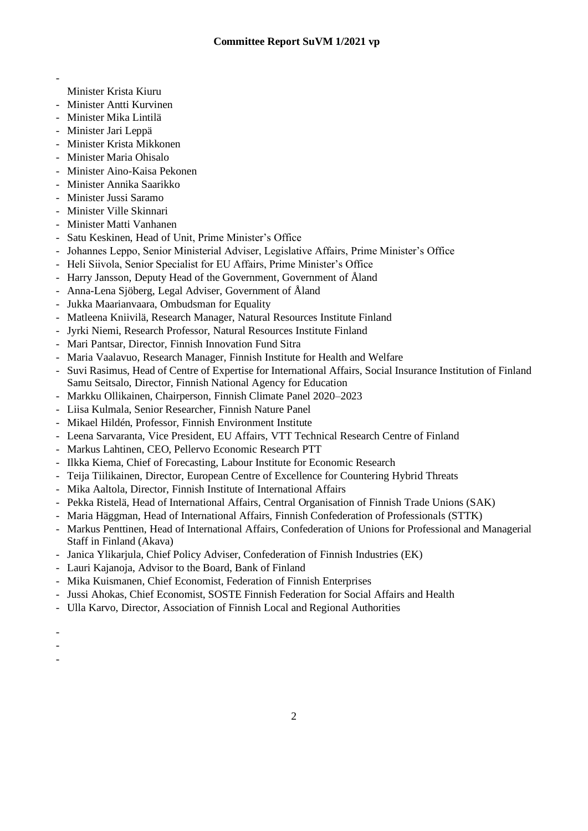- Minister Krista Kiuru
- Minister Antti Kurvinen
- Minister Mika Lintilä
- Minister Jari Leppä
- Minister Krista Mikkonen
- Minister Maria Ohisalo
- Minister Aino-Kaisa Pekonen
- Minister Annika Saarikko
- Minister Jussi Saramo
- Minister Ville Skinnari
- Minister Matti Vanhanen
- Satu Keskinen, Head of Unit, Prime Minister's Office
- Johannes Leppo, Senior Ministerial Adviser, Legislative Affairs, Prime Minister's Office
- Heli Siivola, Senior Specialist for EU Affairs, Prime Minister's Office
- Harry Jansson, Deputy Head of the Government, Government of Åland
- Anna-Lena Sjöberg, Legal Adviser, Government of Åland
- Jukka Maarianvaara, Ombudsman for Equality
- Matleena Kniivilä, Research Manager, Natural Resources Institute Finland
- Jyrki Niemi, Research Professor, Natural Resources Institute Finland
- Mari Pantsar, Director, Finnish Innovation Fund Sitra
- Maria Vaalavuo, Research Manager, Finnish Institute for Health and Welfare
- Suvi Rasimus, Head of Centre of Expertise for International Affairs, Social Insurance Institution of Finland Samu Seitsalo, Director, Finnish National Agency for Education
- Markku Ollikainen, Chairperson, Finnish Climate Panel 2020–2023
- Liisa Kulmala, Senior Researcher, Finnish Nature Panel
- Mikael Hildén, Professor, Finnish Environment Institute
- Leena Sarvaranta, Vice President, EU Affairs, VTT Technical Research Centre of Finland
- Markus Lahtinen, CEO, Pellervo Economic Research PTT
- Ilkka Kiema, Chief of Forecasting, Labour Institute for Economic Research
- Teija Tiilikainen, Director, European Centre of Excellence for Countering Hybrid Threats
- Mika Aaltola, Director, Finnish Institute of International Affairs
- Pekka Ristelä, Head of International Affairs, Central Organisation of Finnish Trade Unions (SAK)
- Maria Häggman, Head of International Affairs, Finnish Confederation of Professionals (STTK)
- Markus Penttinen, Head of International Affairs, Confederation of Unions for Professional and Managerial Staff in Finland (Akava)

2

- Janica Ylikarjula, Chief Policy Adviser, Confederation of Finnish Industries (EK)
- Lauri Kajanoja, Advisor to the Board, Bank of Finland
- Mika Kuismanen, Chief Economist, Federation of Finnish Enterprises
- Jussi Ahokas, Chief Economist, SOSTE Finnish Federation for Social Affairs and Health
- Ulla Karvo, Director, Association of Finnish Local and Regional Authorities
- -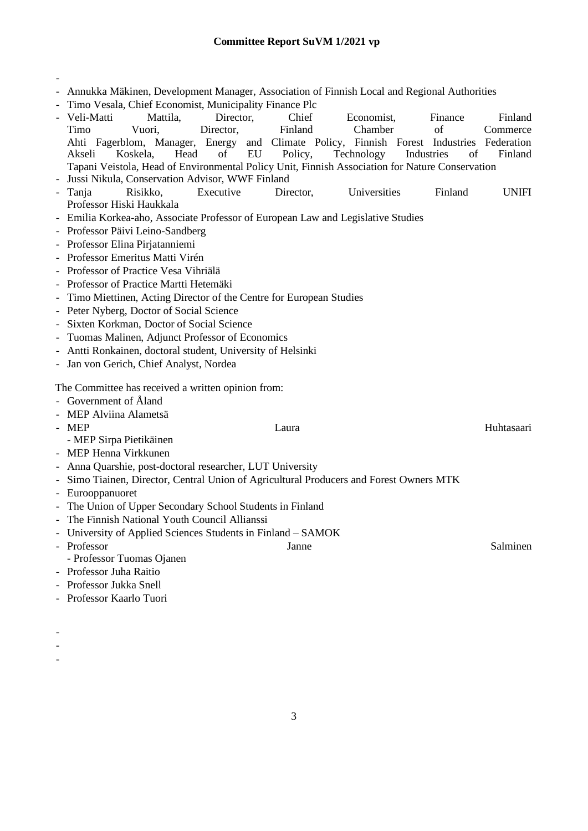- - Annukka Mäkinen, Development Manager, Association of Finnish Local and Regional Authorities - Timo Vesala, Chief Economist, Municipality Finance Plc - Veli-Matti Mattila, Director, Chief Economist, Finance Finland Timo Vuori, Director, Finland Chamber of Commerce Ahti Fagerblom, Manager, Energy and Climate Policy, Finnish Forest Industries Federation Akseli Koskela, Head of EU Policy, Technology Industries of Finland Tapani Veistola, Head of Environmental Policy Unit, Finnish Association for Nature Conservation - Jussi Nikula, Conservation Advisor, WWF Finland - Tanja Risikko, Executive Director, Universities Finland UNIFI Professor Hiski Haukkala - Emilia Korkea-aho, Associate Professor of European Law and Legislative Studies - Professor Päivi Leino-Sandberg - Professor Elina Pirjatanniemi - Professor Emeritus Matti Virén - Professor of Practice Vesa Vihriälä - Professor of Practice Martti Hetemäki - Timo Miettinen, Acting Director of the Centre for European Studies - Peter Nyberg, Doctor of Social Science - Sixten Korkman, Doctor of Social Science - Tuomas Malinen, Adjunct Professor of Economics
- Antti Ronkainen, doctoral student, University of Helsinki
- Jan von Gerich, Chief Analyst, Nordea

The Committee has received a written opinion from:

- Government of Åland
- MEP Alviina Alametsä
- MEP Laura Laura and Huhtasaari
	- MEP Sirpa Pietikäinen
- MEP Henna Virkkunen
- Anna Quarshie, post-doctoral researcher, LUT University
- Simo Tiainen, Director, Central Union of Agricultural Producers and Forest Owners MTK
- Eurooppanuoret
- The Union of Upper Secondary School Students in Finland
- The Finnish National Youth Council Allianssi
- University of Applied Sciences Students in Finland SAMOK
- Professor Salminen

- Professor Tuomas Ojanen - Professor Juha Raitio
- Professor Jukka Snell
- Professor Kaarlo Tuori
- -

-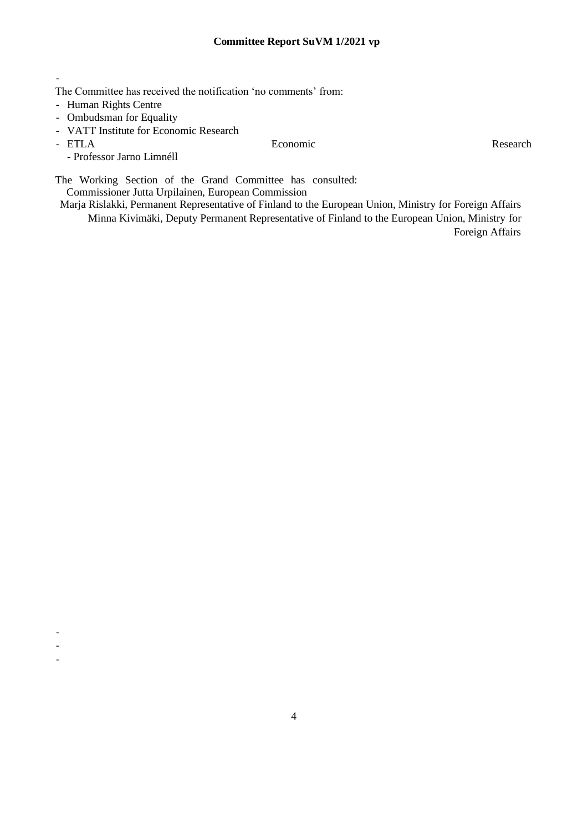The Committee has received the notification 'no comments' from:

- Human Rights Centre
- Ombudsman for Equality
- VATT Institute for Economic Research
- 

-

- - -

- Professor Jarno Limnéll

- ETLA **Executed Economic Executed Economic Research** 

The Working Section of the Grand Committee has consulted:

Commissioner Jutta Urpilainen, European Commission Marja Rislakki, Permanent Representative of Finland to the European Union, Ministry for Foreign Affairs

Minna Kivimäki, Deputy Permanent Representative of Finland to the European Union, Ministry for Foreign Affairs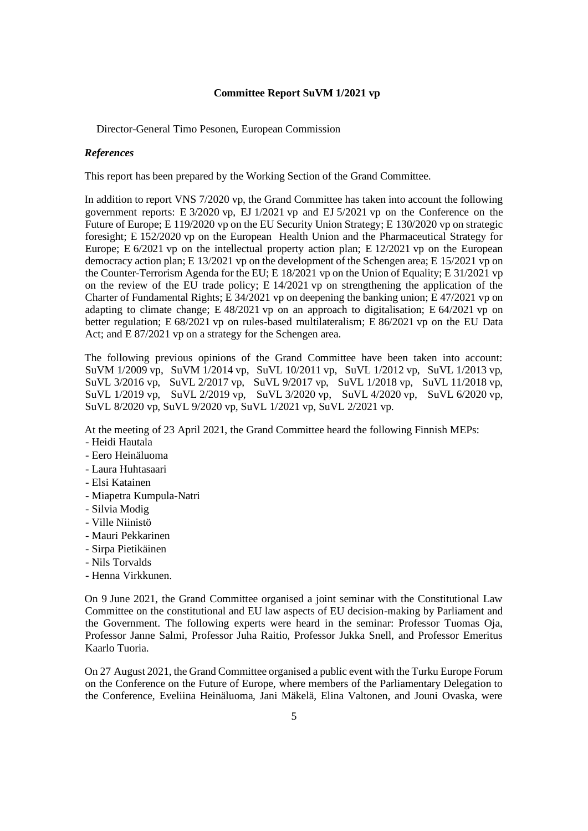Director-General Timo Pesonen, European Commission

### *References*

This report has been prepared by the Working Section of the Grand Committee.

In addition to report VNS 7/2020 vp, the Grand Committee has taken into account the following government reports: E 3/2020 vp, EJ 1/2021 vp and EJ 5/2021 vp on the Conference on the Future of Europe; E 119/2020 vp on the EU Security Union Strategy; E 130/2020 vp on strategic foresight; E 152/2020 vp on the European Health Union and the Pharmaceutical Strategy for Europe; E 6/2021 vp on the intellectual property action plan; E 12/2021 vp on the European democracy action plan; E 13/2021 vp on the development of the Schengen area; E 15/2021 vp on the Counter-Terrorism Agenda for the EU; E 18/2021 vp on the Union of Equality; E 31/2021 vp on the review of the EU trade policy; E 14/2021 vp on strengthening the application of the Charter of Fundamental Rights; E 34/2021 vp on deepening the banking union; E 47/2021 vp on adapting to climate change; E 48/2021 vp on an approach to digitalisation; E  $64/2021$  vp on better regulation; E 68/2021 vp on rules-based multilateralism; E 86/2021 vp on the EU Data Act; and E 87/2021 vp on a strategy for the Schengen area.

The following previous opinions of the Grand Committee have been taken into account: SuVM 1/2009 vp, SuVM 1/2014 vp, SuVL 10/2011 vp, SuVL 1/2012 vp, SuVL 1/2013 vp, SuVL 3/2016 vp, SuVL 2/2017 vp, SuVL 9/2017 vp, SuVL 1/2018 vp, SuVL 11/2018 vp, SuVL 1/2019 vp, SuVL 2/2019 vp, SuVL 3/2020 vp, SuVL 4/2020 vp, SuVL 6/2020 vp, SuVL 8/2020 vp, SuVL 9/2020 vp, SuVL 1/2021 vp, SuVL 2/2021 vp.

At the meeting of 23 April 2021, the Grand Committee heard the following Finnish MEPs:

- Heidi Hautala
- Eero Heinäluoma
- Laura Huhtasaari
- Elsi Katainen
- Miapetra Kumpula-Natri
- Silvia Modig
- Ville Niinistö
- Mauri Pekkarinen
- Sirpa Pietikäinen
- Nils Torvalds
- Henna Virkkunen.

On 9 June 2021, the Grand Committee organised a joint seminar with the Constitutional Law Committee on the constitutional and EU law aspects of EU decision-making by Parliament and the Government. The following experts were heard in the seminar: Professor Tuomas Oja, Professor Janne Salmi, Professor Juha Raitio, Professor Jukka Snell, and Professor Emeritus Kaarlo Tuoria.

On 27 August 2021, the Grand Committee organised a public event with the Turku Europe Forum on the Conference on the Future of Europe, where members of the Parliamentary Delegation to the Conference, Eveliina Heinäluoma, Jani Mäkelä, Elina Valtonen, and Jouni Ovaska, were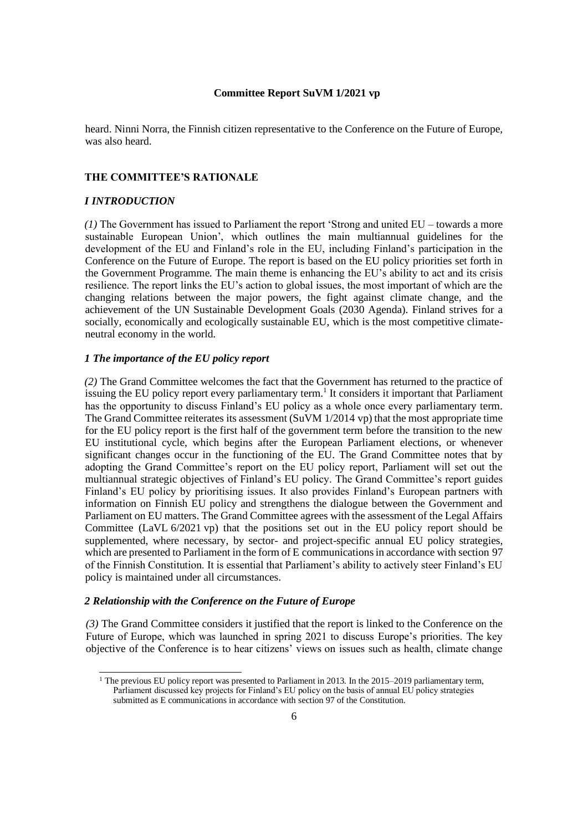heard. Ninni Norra, the Finnish citizen representative to the Conference on the Future of Europe, was also heard.

#### **THE COMMITTEE'S RATIONALE**

### *I INTRODUCTION*

*(1)* The Government has issued to Parliament the report 'Strong and united EU – towards a more sustainable European Union', which outlines the main multiannual guidelines for the development of the EU and Finland's role in the EU, including Finland's participation in the Conference on the Future of Europe. The report is based on the EU policy priorities set forth in the Government Programme. The main theme is enhancing the EU's ability to act and its crisis resilience. The report links the EU's action to global issues, the most important of which are the changing relations between the major powers, the fight against climate change, and the achievement of the UN Sustainable Development Goals (2030 Agenda). Finland strives for a socially, economically and ecologically sustainable EU, which is the most competitive climateneutral economy in the world.

#### *1 The importance of the EU policy report*

*(2)* The Grand Committee welcomes the fact that the Government has returned to the practice of issuing the EU policy report every parliamentary term.<sup>1</sup> It considers it important that Parliament has the opportunity to discuss Finland's EU policy as a whole once every parliamentary term. The Grand Committee reiterates its assessment (SuVM 1/2014 vp) that the most appropriate time for the EU policy report is the first half of the government term before the transition to the new EU institutional cycle, which begins after the European Parliament elections, or whenever significant changes occur in the functioning of the EU. The Grand Committee notes that by adopting the Grand Committee's report on the EU policy report, Parliament will set out the multiannual strategic objectives of Finland's EU policy. The Grand Committee's report guides Finland's EU policy by prioritising issues. It also provides Finland's European partners with information on Finnish EU policy and strengthens the dialogue between the Government and Parliament on EU matters. The Grand Committee agrees with the assessment of the Legal Affairs Committee (LaVL 6/2021 vp) that the positions set out in the EU policy report should be supplemented, where necessary, by sector- and project-specific annual EU policy strategies, which are presented to Parliament in the form of E communications in accordance with section 97 of the Finnish Constitution. It is essential that Parliament's ability to actively steer Finland's EU policy is maintained under all circumstances.

# *2 Relationship with the Conference on the Future of Europe*

*(3)* The Grand Committee considers it justified that the report is linked to the Conference on the Future of Europe, which was launched in spring 2021 to discuss Europe's priorities. The key objective of the Conference is to hear citizens' views on issues such as health, climate change

<sup>&</sup>lt;sup>1</sup> The previous EU policy report was presented to Parliament in 2013. In the 2015–2019 parliamentary term, Parliament discussed key projects for Finland's EU policy on the basis of annual EU policy strategies submitted as E communications in accordance with section 97 of the Constitution.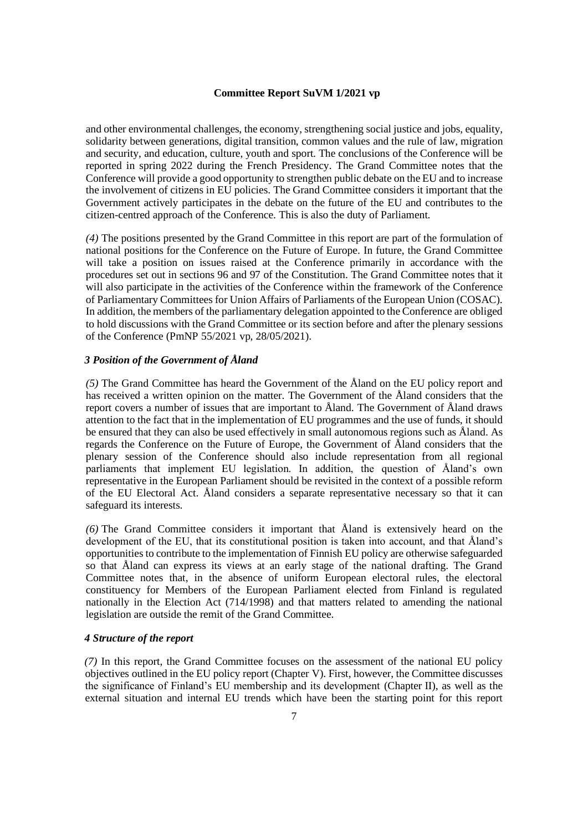and other environmental challenges, the economy, strengthening social justice and jobs, equality, solidarity between generations, digital transition, common values and the rule of law, migration and security, and education, culture, youth and sport. The conclusions of the Conference will be reported in spring 2022 during the French Presidency. The Grand Committee notes that the Conference will provide a good opportunity to strengthen public debate on the EU and to increase the involvement of citizens in EU policies. The Grand Committee considers it important that the Government actively participates in the debate on the future of the EU and contributes to the citizen-centred approach of the Conference. This is also the duty of Parliament.

*(4)* The positions presented by the Grand Committee in this report are part of the formulation of national positions for the Conference on the Future of Europe. In future, the Grand Committee will take a position on issues raised at the Conference primarily in accordance with the procedures set out in sections 96 and 97 of the Constitution. The Grand Committee notes that it will also participate in the activities of the Conference within the framework of the Conference of Parliamentary Committees for Union Affairs of Parliaments of the European Union (COSAC). In addition, the members of the parliamentary delegation appointed to the Conference are obliged to hold discussions with the Grand Committee or its section before and after the plenary sessions of the Conference (PmNP 55/2021 vp, 28/05/2021).

# *3 Position of the Government of Åland*

*(5)* The Grand Committee has heard the Government of the Åland on the EU policy report and has received a written opinion on the matter. The Government of the Åland considers that the report covers a number of issues that are important to Åland. The Government of Åland draws attention to the fact that in the implementation of EU programmes and the use of funds, it should be ensured that they can also be used effectively in small autonomous regions such as Åland. As regards the Conference on the Future of Europe, the Government of Åland considers that the plenary session of the Conference should also include representation from all regional parliaments that implement EU legislation. In addition, the question of Åland's own representative in the European Parliament should be revisited in the context of a possible reform of the EU Electoral Act. Åland considers a separate representative necessary so that it can safeguard its interests.

*(6)* The Grand Committee considers it important that Åland is extensively heard on the development of the EU, that its constitutional position is taken into account, and that Åland's opportunities to contribute to the implementation of Finnish EU policy are otherwise safeguarded so that Åland can express its views at an early stage of the national drafting. The Grand Committee notes that, in the absence of uniform European electoral rules, the electoral constituency for Members of the European Parliament elected from Finland is regulated nationally in the Election Act (714/1998) and that matters related to amending the national legislation are outside the remit of the Grand Committee.

### *4 Structure of the report*

*(7)* In this report, the Grand Committee focuses on the assessment of the national EU policy objectives outlined in the EU policy report (Chapter V). First, however, the Committee discusses the significance of Finland's EU membership and its development (Chapter II), as well as the external situation and internal EU trends which have been the starting point for this report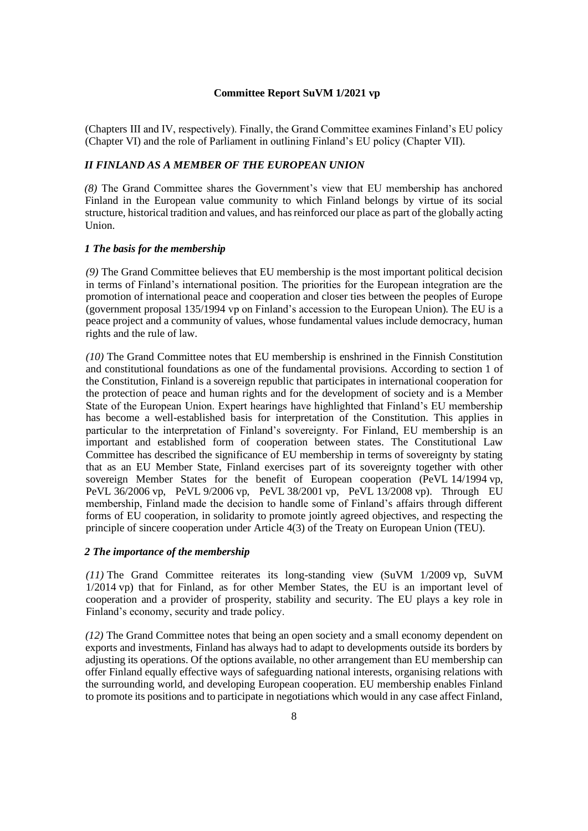(Chapters III and IV, respectively). Finally, the Grand Committee examines Finland's EU policy (Chapter VI) and the role of Parliament in outlining Finland's EU policy (Chapter VII).

### *II FINLAND AS A MEMBER OF THE EUROPEAN UNION*

*(8)* The Grand Committee shares the Government's view that EU membership has anchored Finland in the European value community to which Finland belongs by virtue of its social structure, historical tradition and values, and has reinforced our place as part of the globally acting Union.

#### *1 The basis for the membership*

*(9)* The Grand Committee believes that EU membership is the most important political decision in terms of Finland's international position. The priorities for the European integration are the promotion of international peace and cooperation and closer ties between the peoples of Europe (government proposal 135/1994 vp on Finland's accession to the European Union). The EU is a peace project and a community of values, whose fundamental values include democracy, human rights and the rule of law.

*(10)* The Grand Committee notes that EU membership is enshrined in the Finnish Constitution and constitutional foundations as one of the fundamental provisions. According to section 1 of the Constitution, Finland is a sovereign republic that participates in international cooperation for the protection of peace and human rights and for the development of society and is a Member State of the European Union. Expert hearings have highlighted that Finland's EU membership has become a well-established basis for interpretation of the Constitution. This applies in particular to the interpretation of Finland's sovereignty. For Finland, EU membership is an important and established form of cooperation between states. The Constitutional Law Committee has described the significance of EU membership in terms of sovereignty by stating that as an EU Member State, Finland exercises part of its sovereignty together with other sovereign Member States for the benefit of European cooperation (PeVL 14/1994 vp, PeVL 36/2006 vp, PeVL 9/2006 vp, PeVL 38/2001 vp, PeVL 13/2008 vp). Through EU membership, Finland made the decision to handle some of Finland's affairs through different forms of EU cooperation, in solidarity to promote jointly agreed objectives, and respecting the principle of sincere cooperation under Article 4(3) of the Treaty on European Union (TEU).

### *2 The importance of the membership*

*(11)* The Grand Committee reiterates its long-standing view (SuVM 1/2009 vp, SuVM 1/2014 vp) that for Finland, as for other Member States, the EU is an important level of cooperation and a provider of prosperity, stability and security. The EU plays a key role in Finland's economy, security and trade policy.

*(12)* The Grand Committee notes that being an open society and a small economy dependent on exports and investments, Finland has always had to adapt to developments outside its borders by adjusting its operations. Of the options available, no other arrangement than EU membership can offer Finland equally effective ways of safeguarding national interests, organising relations with the surrounding world, and developing European cooperation. EU membership enables Finland to promote its positions and to participate in negotiations which would in any case affect Finland,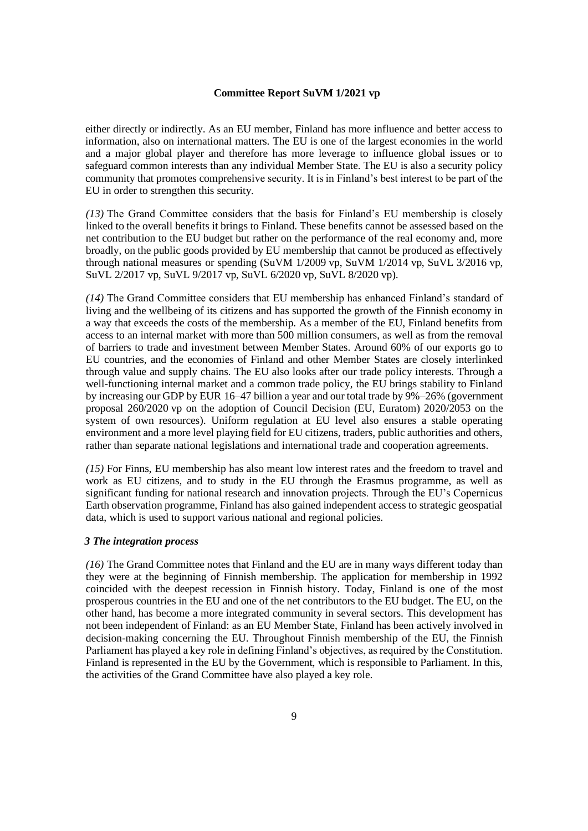either directly or indirectly. As an EU member, Finland has more influence and better access to information, also on international matters. The EU is one of the largest economies in the world and a major global player and therefore has more leverage to influence global issues or to safeguard common interests than any individual Member State. The EU is also a security policy community that promotes comprehensive security. It is in Finland's best interest to be part of the EU in order to strengthen this security.

*(13)* The Grand Committee considers that the basis for Finland's EU membership is closely linked to the overall benefits it brings to Finland. These benefits cannot be assessed based on the net contribution to the EU budget but rather on the performance of the real economy and, more broadly, on the public goods provided by EU membership that cannot be produced as effectively through national measures or spending (SuVM 1/2009 vp, SuVM 1/2014 vp, SuVL 3/2016 vp, SuVL 2/2017 vp, SuVL 9/2017 vp, SuVL 6/2020 vp, SuVL 8/2020 vp).

*(14)* The Grand Committee considers that EU membership has enhanced Finland's standard of living and the wellbeing of its citizens and has supported the growth of the Finnish economy in a way that exceeds the costs of the membership. As a member of the EU, Finland benefits from access to an internal market with more than 500 million consumers, as well as from the removal of barriers to trade and investment between Member States. Around 60% of our exports go to EU countries, and the economies of Finland and other Member States are closely interlinked through value and supply chains. The EU also looks after our trade policy interests. Through a well-functioning internal market and a common trade policy, the EU brings stability to Finland by increasing our GDP by EUR 16–47 billion a year and our total trade by 9%–26% (government proposal 260/2020 vp on the adoption of Council Decision (EU, Euratom) 2020/2053 on the system of own resources). Uniform regulation at EU level also ensures a stable operating environment and a more level playing field for EU citizens, traders, public authorities and others, rather than separate national legislations and international trade and cooperation agreements.

*(15)* For Finns, EU membership has also meant low interest rates and the freedom to travel and work as EU citizens, and to study in the EU through the Erasmus programme, as well as significant funding for national research and innovation projects. Through the EU's Copernicus Earth observation programme, Finland has also gained independent access to strategic geospatial data, which is used to support various national and regional policies.

#### *3 The integration process*

*(16)* The Grand Committee notes that Finland and the EU are in many ways different today than they were at the beginning of Finnish membership. The application for membership in 1992 coincided with the deepest recession in Finnish history. Today, Finland is one of the most prosperous countries in the EU and one of the net contributors to the EU budget. The EU, on the other hand, has become a more integrated community in several sectors. This development has not been independent of Finland: as an EU Member State, Finland has been actively involved in decision-making concerning the EU. Throughout Finnish membership of the EU, the Finnish Parliament has played a key role in defining Finland's objectives, as required by the Constitution. Finland is represented in the EU by the Government, which is responsible to Parliament. In this, the activities of the Grand Committee have also played a key role.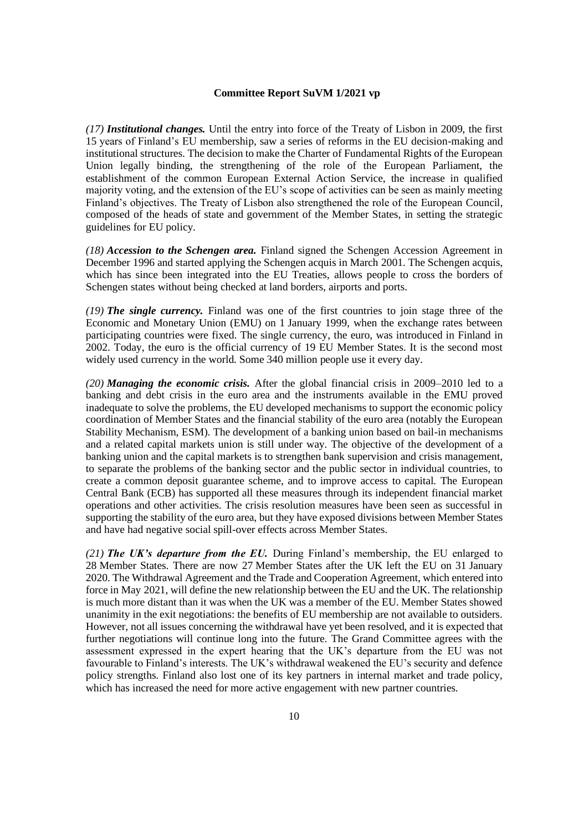*(17) Institutional changes.* Until the entry into force of the Treaty of Lisbon in 2009, the first 15 years of Finland's EU membership, saw a series of reforms in the EU decision-making and institutional structures. The decision to make the Charter of Fundamental Rights of the European Union legally binding, the strengthening of the role of the European Parliament, the establishment of the common European External Action Service, the increase in qualified majority voting, and the extension of the EU's scope of activities can be seen as mainly meeting Finland's objectives. The Treaty of Lisbon also strengthened the role of the European Council, composed of the heads of state and government of the Member States, in setting the strategic guidelines for EU policy.

*(18) Accession to the Schengen area.* Finland signed the Schengen Accession Agreement in December 1996 and started applying the Schengen acquis in March 2001. The Schengen acquis, which has since been integrated into the EU Treaties, allows people to cross the borders of Schengen states without being checked at land borders, airports and ports.

*(19) The single currency.* Finland was one of the first countries to join stage three of the Economic and Monetary Union (EMU) on 1 January 1999, when the exchange rates between participating countries were fixed. The single currency, the euro, was introduced in Finland in 2002. Today, the euro is the official currency of 19 EU Member States. It is the second most widely used currency in the world. Some 340 million people use it every day.

*(20) Managing the economic crisis.* After the global financial crisis in 2009–2010 led to a banking and debt crisis in the euro area and the instruments available in the EMU proved inadequate to solve the problems, the EU developed mechanisms to support the economic policy coordination of Member States and the financial stability of the euro area (notably the European Stability Mechanism, ESM). The development of a banking union based on bail-in mechanisms and a related capital markets union is still under way. The objective of the development of a banking union and the capital markets is to strengthen bank supervision and crisis management, to separate the problems of the banking sector and the public sector in individual countries, to create a common deposit guarantee scheme, and to improve access to capital. The European Central Bank (ECB) has supported all these measures through its independent financial market operations and other activities. The crisis resolution measures have been seen as successful in supporting the stability of the euro area, but they have exposed divisions between Member States and have had negative social spill-over effects across Member States.

*(21) The UK's departure from the EU.* During Finland's membership, the EU enlarged to 28 Member States. There are now 27 Member States after the UK left the EU on 31 January 2020. The Withdrawal Agreement and the Trade and Cooperation Agreement, which entered into force in May 2021, will define the new relationship between the EU and the UK. The relationship is much more distant than it was when the UK was a member of the EU. Member States showed unanimity in the exit negotiations: the benefits of EU membership are not available to outsiders. However, not all issues concerning the withdrawal have yet been resolved, and it is expected that further negotiations will continue long into the future. The Grand Committee agrees with the assessment expressed in the expert hearing that the UK's departure from the EU was not favourable to Finland's interests. The UK's withdrawal weakened the EU's security and defence policy strengths. Finland also lost one of its key partners in internal market and trade policy, which has increased the need for more active engagement with new partner countries.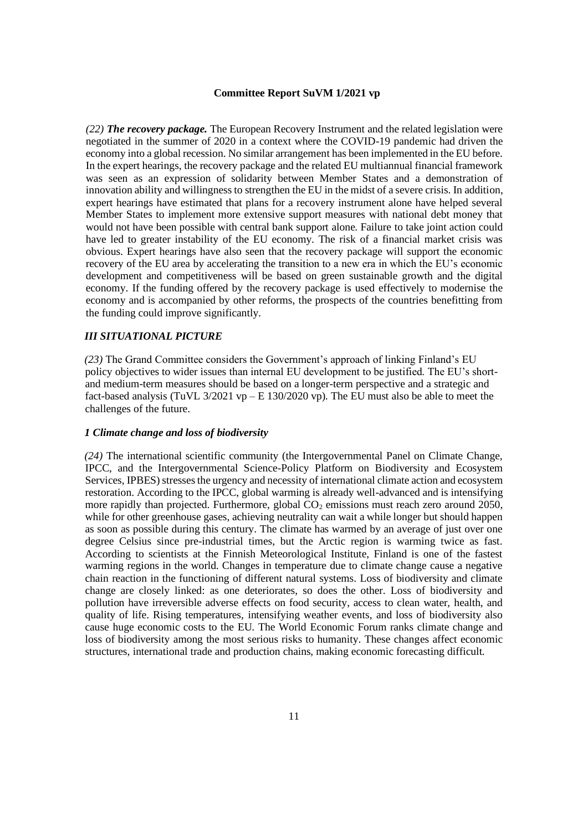*(22) The recovery package.* The European Recovery Instrument and the related legislation were negotiated in the summer of 2020 in a context where the COVID-19 pandemic had driven the economy into a global recession. No similar arrangement has been implemented in the EU before. In the expert hearings, the recovery package and the related EU multiannual financial framework was seen as an expression of solidarity between Member States and a demonstration of innovation ability and willingness to strengthen the EU in the midst of a severe crisis. In addition, expert hearings have estimated that plans for a recovery instrument alone have helped several Member States to implement more extensive support measures with national debt money that would not have been possible with central bank support alone. Failure to take joint action could have led to greater instability of the EU economy. The risk of a financial market crisis was obvious. Expert hearings have also seen that the recovery package will support the economic recovery of the EU area by accelerating the transition to a new era in which the EU's economic development and competitiveness will be based on green sustainable growth and the digital economy. If the funding offered by the recovery package is used effectively to modernise the economy and is accompanied by other reforms, the prospects of the countries benefitting from the funding could improve significantly.

### *III SITUATIONAL PICTURE*

*(23)* The Grand Committee considers the Government's approach of linking Finland's EU policy objectives to wider issues than internal EU development to be justified. The EU's shortand medium-term measures should be based on a longer-term perspective and a strategic and fact-based analysis (TuVL  $3/2021$  vp – E 130/2020 vp). The EU must also be able to meet the challenges of the future.

#### *1 Climate change and loss of biodiversity*

*(24)* The international scientific community (the Intergovernmental Panel on Climate Change, IPCC, and the Intergovernmental Science-Policy Platform on Biodiversity and Ecosystem Services, IPBES) stresses the urgency and necessity of international climate action and ecosystem restoration. According to the IPCC, global warming is already well-advanced and is intensifying more rapidly than projected. Furthermore, global  $CO<sub>2</sub>$  emissions must reach zero around 2050, while for other greenhouse gases, achieving neutrality can wait a while longer but should happen as soon as possible during this century. The climate has warmed by an average of just over one degree Celsius since pre-industrial times, but the Arctic region is warming twice as fast. According to scientists at the Finnish Meteorological Institute, Finland is one of the fastest warming regions in the world. Changes in temperature due to climate change cause a negative chain reaction in the functioning of different natural systems. Loss of biodiversity and climate change are closely linked: as one deteriorates, so does the other. Loss of biodiversity and pollution have irreversible adverse effects on food security, access to clean water, health, and quality of life. Rising temperatures, intensifying weather events, and loss of biodiversity also cause huge economic costs to the EU. The World Economic Forum ranks climate change and loss of biodiversity among the most serious risks to humanity. These changes affect economic structures, international trade and production chains, making economic forecasting difficult.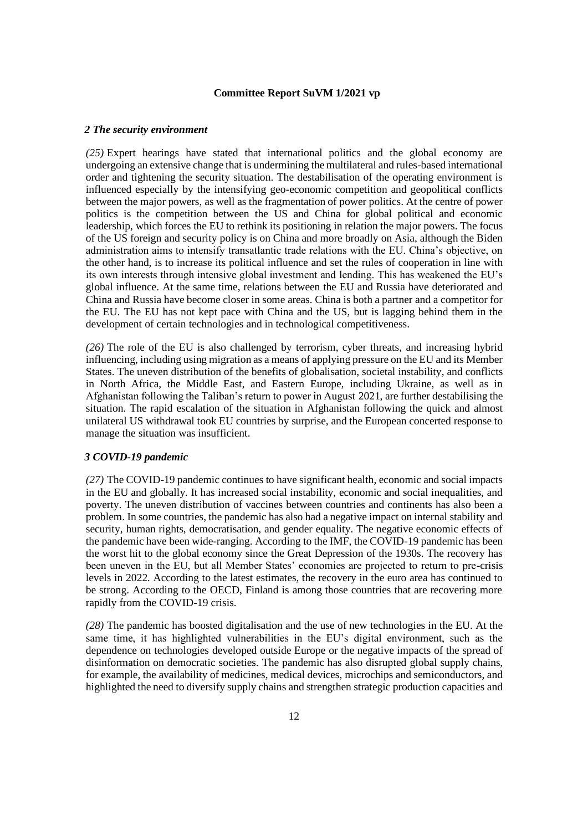#### *2 The security environment*

*(25)* Expert hearings have stated that international politics and the global economy are undergoing an extensive change that is undermining the multilateral and rules-based international order and tightening the security situation. The destabilisation of the operating environment is influenced especially by the intensifying geo-economic competition and geopolitical conflicts between the major powers, as well as the fragmentation of power politics. At the centre of power politics is the competition between the US and China for global political and economic leadership, which forces the EU to rethink its positioning in relation the major powers. The focus of the US foreign and security policy is on China and more broadly on Asia, although the Biden administration aims to intensify transatlantic trade relations with the EU. China's objective, on the other hand, is to increase its political influence and set the rules of cooperation in line with its own interests through intensive global investment and lending. This has weakened the EU's global influence. At the same time, relations between the EU and Russia have deteriorated and China and Russia have become closer in some areas. China is both a partner and a competitor for the EU. The EU has not kept pace with China and the US, but is lagging behind them in the development of certain technologies and in technological competitiveness.

*(26)* The role of the EU is also challenged by terrorism, cyber threats, and increasing hybrid influencing, including using migration as a means of applying pressure on the EU and its Member States. The uneven distribution of the benefits of globalisation, societal instability, and conflicts in North Africa, the Middle East, and Eastern Europe, including Ukraine, as well as in Afghanistan following the Taliban's return to power in August 2021, are further destabilising the situation. The rapid escalation of the situation in Afghanistan following the quick and almost unilateral US withdrawal took EU countries by surprise, and the European concerted response to manage the situation was insufficient.

### *3 COVID-19 pandemic*

*(27)* The COVID-19 pandemic continues to have significant health, economic and social impacts in the EU and globally. It has increased social instability, economic and social inequalities, and poverty. The uneven distribution of vaccines between countries and continents has also been a problem. In some countries, the pandemic has also had a negative impact on internal stability and security, human rights, democratisation, and gender equality. The negative economic effects of the pandemic have been wide-ranging. According to the IMF, the COVID-19 pandemic has been the worst hit to the global economy since the Great Depression of the 1930s. The recovery has been uneven in the EU, but all Member States' economies are projected to return to pre-crisis levels in 2022. According to the latest estimates, the recovery in the euro area has continued to be strong. According to the OECD, Finland is among those countries that are recovering more rapidly from the COVID-19 crisis.

*(28)* The pandemic has boosted digitalisation and the use of new technologies in the EU. At the same time, it has highlighted vulnerabilities in the EU's digital environment, such as the dependence on technologies developed outside Europe or the negative impacts of the spread of disinformation on democratic societies. The pandemic has also disrupted global supply chains, for example, the availability of medicines, medical devices, microchips and semiconductors, and highlighted the need to diversify supply chains and strengthen strategic production capacities and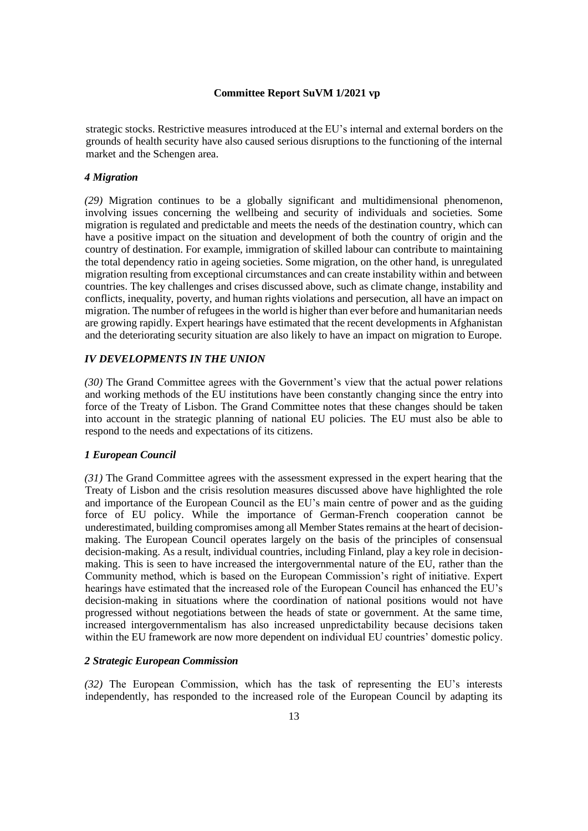strategic stocks. Restrictive measures introduced at the EU's internal and external borders on the grounds of health security have also caused serious disruptions to the functioning of the internal market and the Schengen area.

### *4 Migration*

*(29)* Migration continues to be a globally significant and multidimensional phenomenon, involving issues concerning the wellbeing and security of individuals and societies. Some migration is regulated and predictable and meets the needs of the destination country, which can have a positive impact on the situation and development of both the country of origin and the country of destination. For example, immigration of skilled labour can contribute to maintaining the total dependency ratio in ageing societies. Some migration, on the other hand, is unregulated migration resulting from exceptional circumstances and can create instability within and between countries. The key challenges and crises discussed above, such as climate change, instability and conflicts, inequality, poverty, and human rights violations and persecution, all have an impact on migration. The number of refugees in the world is higher than ever before and humanitarian needs are growing rapidly. Expert hearings have estimated that the recent developments in Afghanistan and the deteriorating security situation are also likely to have an impact on migration to Europe.

### *IV DEVELOPMENTS IN THE UNION*

*(30)* The Grand Committee agrees with the Government's view that the actual power relations and working methods of the EU institutions have been constantly changing since the entry into force of the Treaty of Lisbon. The Grand Committee notes that these changes should be taken into account in the strategic planning of national EU policies. The EU must also be able to respond to the needs and expectations of its citizens.

#### *1 European Council*

*(31)* The Grand Committee agrees with the assessment expressed in the expert hearing that the Treaty of Lisbon and the crisis resolution measures discussed above have highlighted the role and importance of the European Council as the EU's main centre of power and as the guiding force of EU policy. While the importance of German-French cooperation cannot be underestimated, building compromises among all Member States remains at the heart of decisionmaking. The European Council operates largely on the basis of the principles of consensual decision-making. As a result, individual countries, including Finland, play a key role in decisionmaking. This is seen to have increased the intergovernmental nature of the EU, rather than the Community method, which is based on the European Commission's right of initiative. Expert hearings have estimated that the increased role of the European Council has enhanced the EU's decision-making in situations where the coordination of national positions would not have progressed without negotiations between the heads of state or government. At the same time, increased intergovernmentalism has also increased unpredictability because decisions taken within the EU framework are now more dependent on individual EU countries' domestic policy.

#### *2 Strategic European Commission*

*(32)* The European Commission, which has the task of representing the EU's interests independently, has responded to the increased role of the European Council by adapting its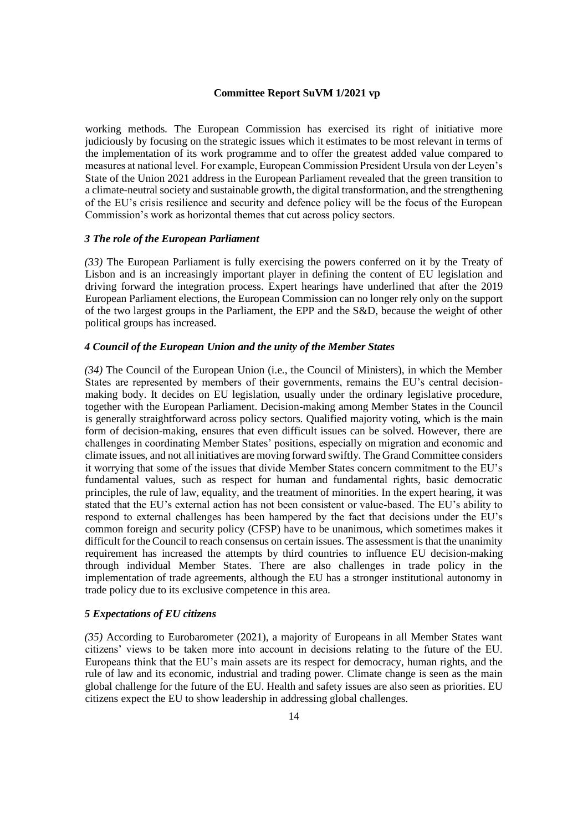working methods. The European Commission has exercised its right of initiative more judiciously by focusing on the strategic issues which it estimates to be most relevant in terms of the implementation of its work programme and to offer the greatest added value compared to measures at national level. For example, European Commission President Ursula von der Leyen's State of the Union 2021 address in the European Parliament revealed that the green transition to a climate-neutral society and sustainable growth, the digital transformation, and the strengthening of the EU's crisis resilience and security and defence policy will be the focus of the European Commission's work as horizontal themes that cut across policy sectors.

#### *3 The role of the European Parliament*

*(33)* The European Parliament is fully exercising the powers conferred on it by the Treaty of Lisbon and is an increasingly important player in defining the content of EU legislation and driving forward the integration process. Expert hearings have underlined that after the 2019 European Parliament elections, the European Commission can no longer rely only on the support of the two largest groups in the Parliament, the EPP and the S&D, because the weight of other political groups has increased.

### *4 Council of the European Union and the unity of the Member States*

*(34)* The Council of the European Union (i.e., the Council of Ministers), in which the Member States are represented by members of their governments, remains the EU's central decisionmaking body. It decides on EU legislation, usually under the ordinary legislative procedure, together with the European Parliament. Decision-making among Member States in the Council is generally straightforward across policy sectors. Qualified majority voting, which is the main form of decision-making, ensures that even difficult issues can be solved. However, there are challenges in coordinating Member States' positions, especially on migration and economic and climate issues, and not all initiatives are moving forward swiftly. The Grand Committee considers it worrying that some of the issues that divide Member States concern commitment to the EU's fundamental values, such as respect for human and fundamental rights, basic democratic principles, the rule of law, equality, and the treatment of minorities. In the expert hearing, it was stated that the EU's external action has not been consistent or value-based. The EU's ability to respond to external challenges has been hampered by the fact that decisions under the EU's common foreign and security policy (CFSP) have to be unanimous, which sometimes makes it difficult for the Council to reach consensus on certain issues. The assessment is that the unanimity requirement has increased the attempts by third countries to influence EU decision-making through individual Member States. There are also challenges in trade policy in the implementation of trade agreements, although the EU has a stronger institutional autonomy in trade policy due to its exclusive competence in this area.

### *5 Expectations of EU citizens*

*(35)* According to Eurobarometer (2021), a majority of Europeans in all Member States want citizens' views to be taken more into account in decisions relating to the future of the EU. Europeans think that the EU's main assets are its respect for democracy, human rights, and the rule of law and its economic, industrial and trading power. Climate change is seen as the main global challenge for the future of the EU. Health and safety issues are also seen as priorities. EU citizens expect the EU to show leadership in addressing global challenges.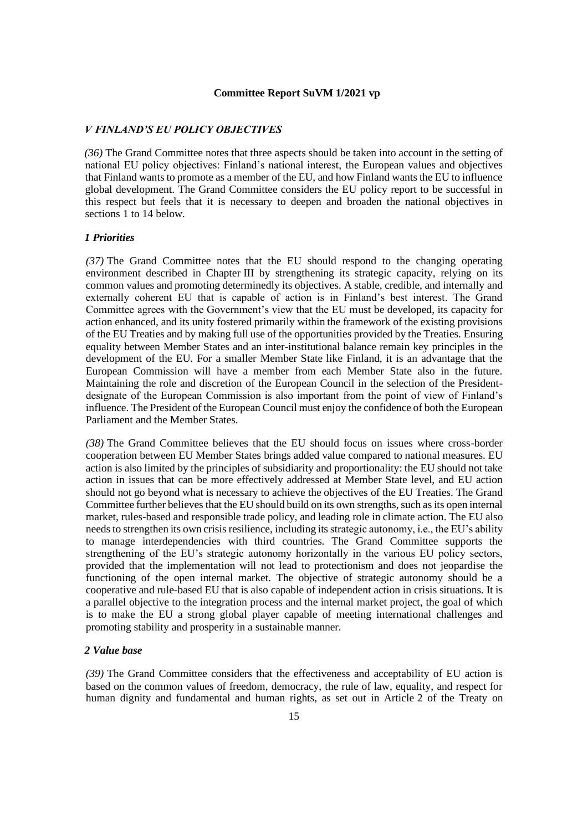### *V FINLAND'S EU POLICY OBJECTIVES*

*(36)* The Grand Committee notes that three aspects should be taken into account in the setting of national EU policy objectives: Finland's national interest, the European values and objectives that Finland wants to promote as a member of the EU, and how Finland wants the EU to influence global development. The Grand Committee considers the EU policy report to be successful in this respect but feels that it is necessary to deepen and broaden the national objectives in sections 1 to 14 below.

### *1 Priorities*

*(37)* The Grand Committee notes that the EU should respond to the changing operating environment described in Chapter III by strengthening its strategic capacity, relying on its common values and promoting determinedly its objectives. A stable, credible, and internally and externally coherent EU that is capable of action is in Finland's best interest. The Grand Committee agrees with the Government's view that the EU must be developed, its capacity for action enhanced, and its unity fostered primarily within the framework of the existing provisions of the EU Treaties and by making full use of the opportunities provided by the Treaties. Ensuring equality between Member States and an inter-institutional balance remain key principles in the development of the EU. For a smaller Member State like Finland, it is an advantage that the European Commission will have a member from each Member State also in the future. Maintaining the role and discretion of the European Council in the selection of the Presidentdesignate of the European Commission is also important from the point of view of Finland's influence. The President of the European Council must enjoy the confidence of both the European Parliament and the Member States.

*(38)* The Grand Committee believes that the EU should focus on issues where cross-border cooperation between EU Member States brings added value compared to national measures. EU action is also limited by the principles of subsidiarity and proportionality: the EU should not take action in issues that can be more effectively addressed at Member State level, and EU action should not go beyond what is necessary to achieve the objectives of the EU Treaties. The Grand Committee further believes that the EU should build on its own strengths, such as its open internal market, rules-based and responsible trade policy, and leading role in climate action. The EU also needs to strengthen its own crisis resilience, including itsstrategic autonomy, i.e., the EU's ability to manage interdependencies with third countries. The Grand Committee supports the strengthening of the EU's strategic autonomy horizontally in the various EU policy sectors, provided that the implementation will not lead to protectionism and does not jeopardise the functioning of the open internal market. The objective of strategic autonomy should be a cooperative and rule-based EU that is also capable of independent action in crisis situations. It is a parallel objective to the integration process and the internal market project, the goal of which is to make the EU a strong global player capable of meeting international challenges and promoting stability and prosperity in a sustainable manner.

#### *2 Value base*

*(39)* The Grand Committee considers that the effectiveness and acceptability of EU action is based on the common values of freedom, democracy, the rule of law, equality, and respect for human dignity and fundamental and human rights, as set out in Article 2 of the Treaty on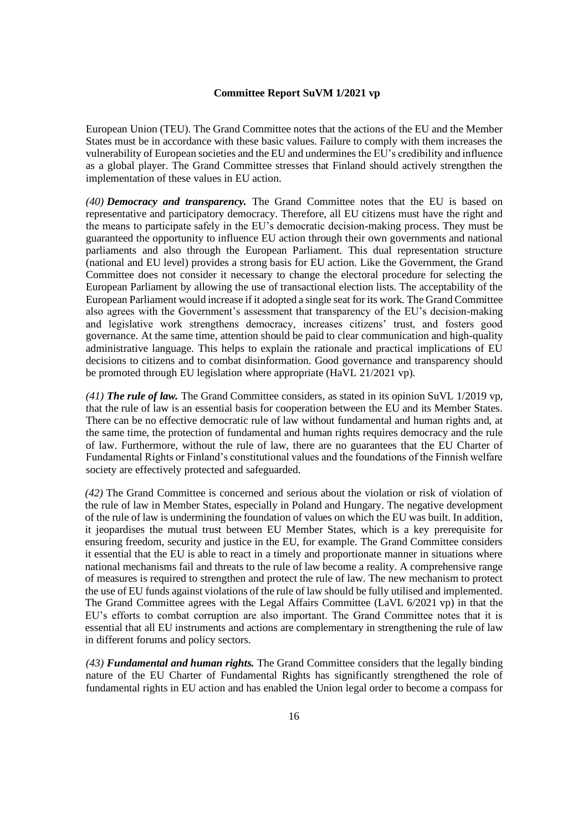European Union (TEU). The Grand Committee notes that the actions of the EU and the Member States must be in accordance with these basic values. Failure to comply with them increases the vulnerability of European societies and the EU and undermines the EU's credibility and influence as a global player. The Grand Committee stresses that Finland should actively strengthen the implementation of these values in EU action.

*(40) Democracy and transparency.* The Grand Committee notes that the EU is based on representative and participatory democracy. Therefore, all EU citizens must have the right and the means to participate safely in the EU's democratic decision-making process. They must be guaranteed the opportunity to influence EU action through their own governments and national parliaments and also through the European Parliament. This dual representation structure (national and EU level) provides a strong basis for EU action. Like the Government, the Grand Committee does not consider it necessary to change the electoral procedure for selecting the European Parliament by allowing the use of transactional election lists. The acceptability of the European Parliament would increase if it adopted a single seat for its work. The Grand Committee also agrees with the Government's assessment that transparency of the EU's decision-making and legislative work strengthens democracy, increases citizens' trust, and fosters good governance. At the same time, attention should be paid to clear communication and high-quality administrative language. This helps to explain the rationale and practical implications of EU decisions to citizens and to combat disinformation. Good governance and transparency should be promoted through EU legislation where appropriate (HaVL 21/2021 vp).

*(41) The rule of law.* The Grand Committee considers, as stated in its opinion SuVL 1/2019 vp, that the rule of law is an essential basis for cooperation between the EU and its Member States. There can be no effective democratic rule of law without fundamental and human rights and, at the same time, the protection of fundamental and human rights requires democracy and the rule of law. Furthermore, without the rule of law, there are no guarantees that the EU Charter of Fundamental Rights or Finland's constitutional values and the foundations of the Finnish welfare society are effectively protected and safeguarded.

*(42)* The Grand Committee is concerned and serious about the violation or risk of violation of the rule of law in Member States, especially in Poland and Hungary. The negative development of the rule of law is undermining the foundation of values on which the EU was built. In addition, it jeopardises the mutual trust between EU Member States, which is a key prerequisite for ensuring freedom, security and justice in the EU, for example. The Grand Committee considers it essential that the EU is able to react in a timely and proportionate manner in situations where national mechanisms fail and threats to the rule of law become a reality. A comprehensive range of measures is required to strengthen and protect the rule of law. The new mechanism to protect the use of EU funds against violations of the rule of law should be fully utilised and implemented. The Grand Committee agrees with the Legal Affairs Committee (LaVL 6/2021 vp) in that the EU's efforts to combat corruption are also important. The Grand Committee notes that it is essential that all EU instruments and actions are complementary in strengthening the rule of law in different forums and policy sectors.

*(43) Fundamental and human rights.* The Grand Committee considers that the legally binding nature of the EU Charter of Fundamental Rights has significantly strengthened the role of fundamental rights in EU action and has enabled the Union legal order to become a compass for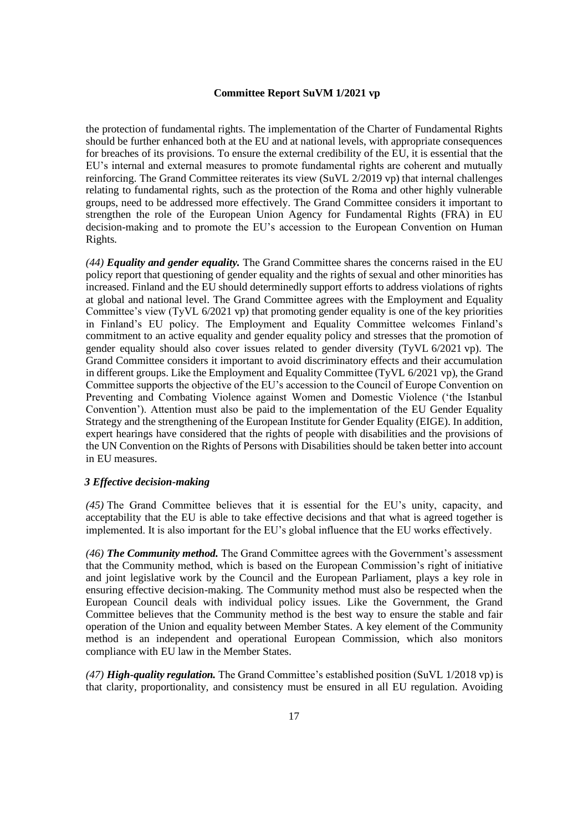the protection of fundamental rights. The implementation of the Charter of Fundamental Rights should be further enhanced both at the EU and at national levels, with appropriate consequences for breaches of its provisions. To ensure the external credibility of the EU, it is essential that the EU's internal and external measures to promote fundamental rights are coherent and mutually reinforcing. The Grand Committee reiterates its view (SuVL 2/2019 vp) that internal challenges relating to fundamental rights, such as the protection of the Roma and other highly vulnerable groups, need to be addressed more effectively. The Grand Committee considers it important to strengthen the role of the European Union Agency for Fundamental Rights (FRA) in EU decision-making and to promote the EU's accession to the European Convention on Human Rights.

*(44) Equality and gender equality.* The Grand Committee shares the concerns raised in the EU policy report that questioning of gender equality and the rights of sexual and other minorities has increased. Finland and the EU should determinedly support efforts to address violations of rights at global and national level. The Grand Committee agrees with the Employment and Equality Committee's view (TyVL 6/2021 vp) that promoting gender equality is one of the key priorities in Finland's EU policy. The Employment and Equality Committee welcomes Finland's commitment to an active equality and gender equality policy and stresses that the promotion of gender equality should also cover issues related to gender diversity (TyVL 6/2021 vp). The Grand Committee considers it important to avoid discriminatory effects and their accumulation in different groups. Like the Employment and Equality Committee (TyVL 6/2021 vp), the Grand Committee supports the objective of the EU's accession to the Council of Europe Convention on Preventing and Combating Violence against Women and Domestic Violence ('the Istanbul Convention'). Attention must also be paid to the implementation of the EU Gender Equality Strategy and the strengthening of the European Institute for Gender Equality (EIGE). In addition, expert hearings have considered that the rights of people with disabilities and the provisions of the UN Convention on the Rights of Persons with Disabilities should be taken better into account in EU measures.

### *3 Effective decision-making*

*(45)* The Grand Committee believes that it is essential for the EU's unity, capacity, and acceptability that the EU is able to take effective decisions and that what is agreed together is implemented. It is also important for the EU's global influence that the EU works effectively.

*(46) The Community method.* The Grand Committee agrees with the Government's assessment that the Community method, which is based on the European Commission's right of initiative and joint legislative work by the Council and the European Parliament, plays a key role in ensuring effective decision-making. The Community method must also be respected when the European Council deals with individual policy issues. Like the Government, the Grand Committee believes that the Community method is the best way to ensure the stable and fair operation of the Union and equality between Member States. A key element of the Community method is an independent and operational European Commission, which also monitors compliance with EU law in the Member States.

*(47) High-quality regulation.* The Grand Committee's established position (SuVL 1/2018 vp) is that clarity, proportionality, and consistency must be ensured in all EU regulation. Avoiding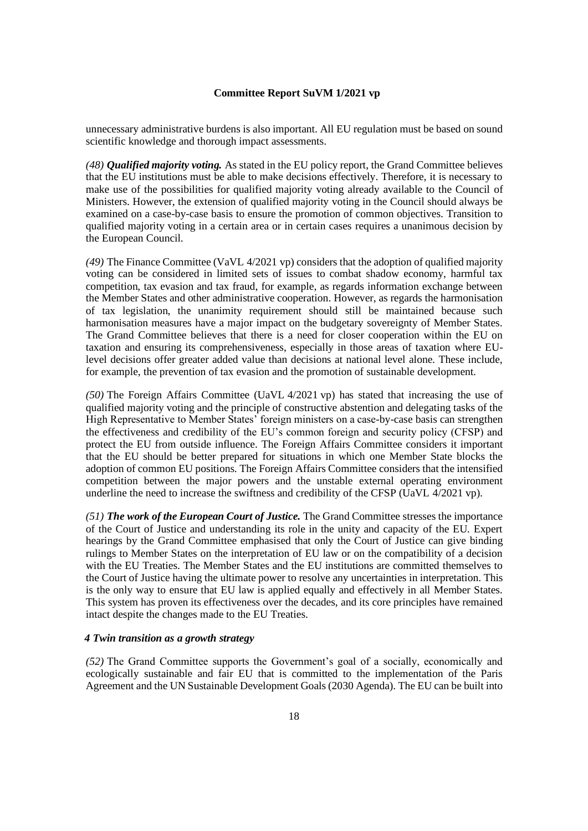unnecessary administrative burdens is also important. All EU regulation must be based on sound scientific knowledge and thorough impact assessments.

*(48) Qualified majority voting.* As stated in the EU policy report, the Grand Committee believes that the EU institutions must be able to make decisions effectively. Therefore, it is necessary to make use of the possibilities for qualified majority voting already available to the Council of Ministers. However, the extension of qualified majority voting in the Council should always be examined on a case-by-case basis to ensure the promotion of common objectives. Transition to qualified majority voting in a certain area or in certain cases requires a unanimous decision by the European Council.

*(49)* The Finance Committee (VaVL 4/2021 vp) considers that the adoption of qualified majority voting can be considered in limited sets of issues to combat shadow economy, harmful tax competition, tax evasion and tax fraud, for example, as regards information exchange between the Member States and other administrative cooperation. However, as regards the harmonisation of tax legislation, the unanimity requirement should still be maintained because such harmonisation measures have a major impact on the budgetary sovereignty of Member States. The Grand Committee believes that there is a need for closer cooperation within the EU on taxation and ensuring its comprehensiveness, especially in those areas of taxation where EUlevel decisions offer greater added value than decisions at national level alone. These include, for example, the prevention of tax evasion and the promotion of sustainable development.

*(50)* The Foreign Affairs Committee (UaVL 4/2021 vp) has stated that increasing the use of qualified majority voting and the principle of constructive abstention and delegating tasks of the High Representative to Member States' foreign ministers on a case-by-case basis can strengthen the effectiveness and credibility of the EU's common foreign and security policy (CFSP) and protect the EU from outside influence. The Foreign Affairs Committee considers it important that the EU should be better prepared for situations in which one Member State blocks the adoption of common EU positions. The Foreign Affairs Committee considers that the intensified competition between the major powers and the unstable external operating environment underline the need to increase the swiftness and credibility of the CFSP (UaVL 4/2021 vp).

*(51) The work of the European Court of Justice.* The Grand Committee stresses the importance of the Court of Justice and understanding its role in the unity and capacity of the EU. Expert hearings by the Grand Committee emphasised that only the Court of Justice can give binding rulings to Member States on the interpretation of EU law or on the compatibility of a decision with the EU Treaties. The Member States and the EU institutions are committed themselves to the Court of Justice having the ultimate power to resolve any uncertainties in interpretation. This is the only way to ensure that EU law is applied equally and effectively in all Member States. This system has proven its effectiveness over the decades, and its core principles have remained intact despite the changes made to the EU Treaties.

### *4 Twin transition as a growth strategy*

*(52)* The Grand Committee supports the Government's goal of a socially, economically and ecologically sustainable and fair EU that is committed to the implementation of the Paris Agreement and the UN Sustainable Development Goals (2030 Agenda). The EU can be built into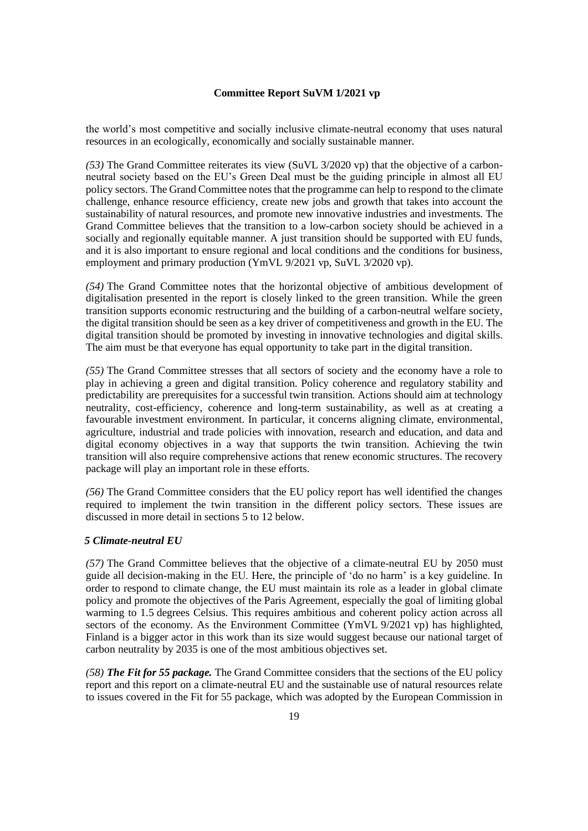the world's most competitive and socially inclusive climate-neutral economy that uses natural resources in an ecologically, economically and socially sustainable manner.

*(53)* The Grand Committee reiterates its view (SuVL 3/2020 vp) that the objective of a carbonneutral society based on the EU's Green Deal must be the guiding principle in almost all EU policy sectors. The Grand Committee notes that the programme can help to respond to the climate challenge, enhance resource efficiency, create new jobs and growth that takes into account the sustainability of natural resources, and promote new innovative industries and investments. The Grand Committee believes that the transition to a low-carbon society should be achieved in a socially and regionally equitable manner. A just transition should be supported with EU funds, and it is also important to ensure regional and local conditions and the conditions for business, employment and primary production (YmVL 9/2021 vp, SuVL 3/2020 vp).

*(54)* The Grand Committee notes that the horizontal objective of ambitious development of digitalisation presented in the report is closely linked to the green transition. While the green transition supports economic restructuring and the building of a carbon-neutral welfare society, the digital transition should be seen as a key driver of competitiveness and growth in the EU. The digital transition should be promoted by investing in innovative technologies and digital skills. The aim must be that everyone has equal opportunity to take part in the digital transition.

*(55)* The Grand Committee stresses that all sectors of society and the economy have a role to play in achieving a green and digital transition. Policy coherence and regulatory stability and predictability are prerequisites for a successful twin transition. Actions should aim at technology neutrality, cost-efficiency, coherence and long-term sustainability, as well as at creating a favourable investment environment. In particular, it concerns aligning climate, environmental, agriculture, industrial and trade policies with innovation, research and education, and data and digital economy objectives in a way that supports the twin transition. Achieving the twin transition will also require comprehensive actions that renew economic structures. The recovery package will play an important role in these efforts.

*(56)* The Grand Committee considers that the EU policy report has well identified the changes required to implement the twin transition in the different policy sectors. These issues are discussed in more detail in sections 5 to 12 below.

### *5 Climate-neutral EU*

*(57)* The Grand Committee believes that the objective of a climate-neutral EU by 2050 must guide all decision-making in the EU. Here, the principle of 'do no harm' is a key guideline. In order to respond to climate change, the EU must maintain its role as a leader in global climate policy and promote the objectives of the Paris Agreement, especially the goal of limiting global warming to 1.5 degrees Celsius. This requires ambitious and coherent policy action across all sectors of the economy. As the Environment Committee (YmVL 9/2021 vp) has highlighted, Finland is a bigger actor in this work than its size would suggest because our national target of carbon neutrality by 2035 is one of the most ambitious objectives set.

*(58) The Fit for 55 package.* The Grand Committee considers that the sections of the EU policy report and this report on a climate-neutral EU and the sustainable use of natural resources relate to issues covered in the Fit for 55 package, which was adopted by the European Commission in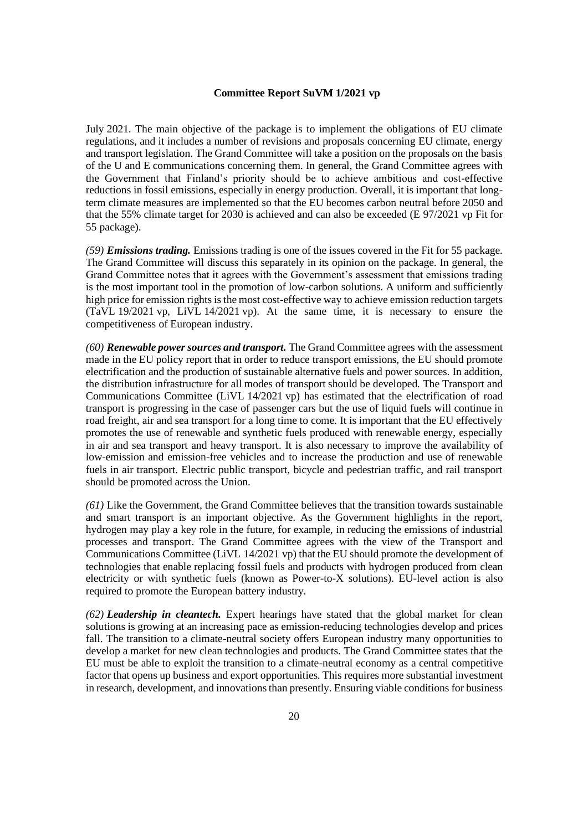July 2021. The main objective of the package is to implement the obligations of EU climate regulations, and it includes a number of revisions and proposals concerning EU climate, energy and transport legislation. The Grand Committee will take a position on the proposals on the basis of the U and E communications concerning them. In general, the Grand Committee agrees with the Government that Finland's priority should be to achieve ambitious and cost-effective reductions in fossil emissions, especially in energy production. Overall, it is important that longterm climate measures are implemented so that the EU becomes carbon neutral before 2050 and that the 55% climate target for 2030 is achieved and can also be exceeded (E 97/2021 vp Fit for 55 package).

*(59) Emissions trading.* Emissions trading is one of the issues covered in the Fit for 55 package. The Grand Committee will discuss this separately in its opinion on the package. In general, the Grand Committee notes that it agrees with the Government's assessment that emissions trading is the most important tool in the promotion of low-carbon solutions. A uniform and sufficiently high price for emission rights is the most cost-effective way to achieve emission reduction targets (TaVL 19/2021 vp, LiVL 14/2021 vp). At the same time, it is necessary to ensure the competitiveness of European industry.

*(60) Renewable power sources and transport.* The Grand Committee agrees with the assessment made in the EU policy report that in order to reduce transport emissions, the EU should promote electrification and the production of sustainable alternative fuels and power sources. In addition, the distribution infrastructure for all modes of transport should be developed. The Transport and Communications Committee (LiVL 14/2021 vp) has estimated that the electrification of road transport is progressing in the case of passenger cars but the use of liquid fuels will continue in road freight, air and sea transport for a long time to come. It is important that the EU effectively promotes the use of renewable and synthetic fuels produced with renewable energy, especially in air and sea transport and heavy transport. It is also necessary to improve the availability of low-emission and emission-free vehicles and to increase the production and use of renewable fuels in air transport. Electric public transport, bicycle and pedestrian traffic, and rail transport should be promoted across the Union.

*(61)* Like the Government, the Grand Committee believes that the transition towards sustainable and smart transport is an important objective. As the Government highlights in the report, hydrogen may play a key role in the future, for example, in reducing the emissions of industrial processes and transport. The Grand Committee agrees with the view of the Transport and Communications Committee (LiVL 14/2021 vp) that the EU should promote the development of technologies that enable replacing fossil fuels and products with hydrogen produced from clean electricity or with synthetic fuels (known as Power-to-X solutions). EU-level action is also required to promote the European battery industry.

*(62) Leadership in cleantech.* Expert hearings have stated that the global market for clean solutions is growing at an increasing pace as emission-reducing technologies develop and prices fall. The transition to a climate-neutral society offers European industry many opportunities to develop a market for new clean technologies and products. The Grand Committee states that the EU must be able to exploit the transition to a climate-neutral economy as a central competitive factor that opens up business and export opportunities. This requires more substantial investment in research, development, and innovations than presently. Ensuring viable conditions for business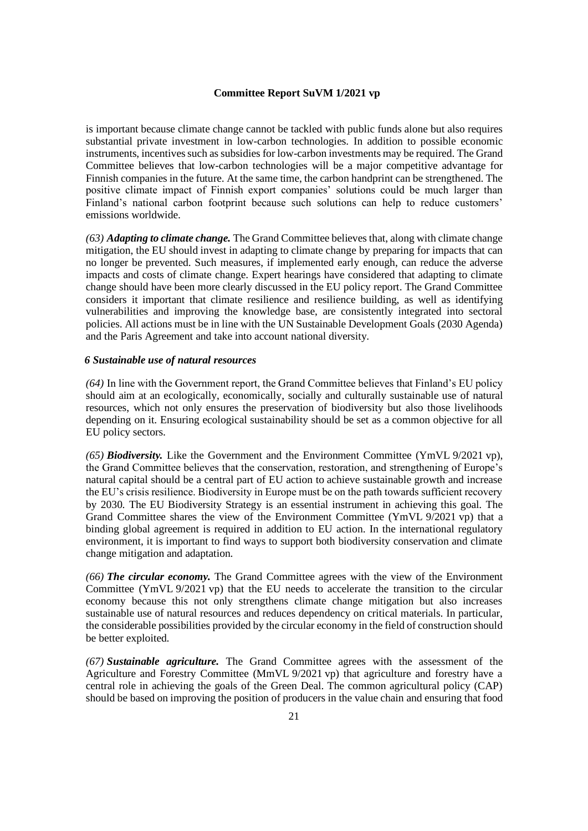is important because climate change cannot be tackled with public funds alone but also requires substantial private investment in low-carbon technologies. In addition to possible economic instruments, incentives such as subsidies for low-carbon investments may be required. The Grand Committee believes that low-carbon technologies will be a major competitive advantage for Finnish companies in the future. At the same time, the carbon handprint can be strengthened. The positive climate impact of Finnish export companies' solutions could be much larger than Finland's national carbon footprint because such solutions can help to reduce customers' emissions worldwide.

*(63) Adapting to climate change.* The Grand Committee believes that, along with climate change mitigation, the EU should invest in adapting to climate change by preparing for impacts that can no longer be prevented. Such measures, if implemented early enough, can reduce the adverse impacts and costs of climate change. Expert hearings have considered that adapting to climate change should have been more clearly discussed in the EU policy report. The Grand Committee considers it important that climate resilience and resilience building, as well as identifying vulnerabilities and improving the knowledge base, are consistently integrated into sectoral policies. All actions must be in line with the UN Sustainable Development Goals (2030 Agenda) and the Paris Agreement and take into account national diversity.

### *6 Sustainable use of natural resources*

*(64)* In line with the Government report, the Grand Committee believes that Finland's EU policy should aim at an ecologically, economically, socially and culturally sustainable use of natural resources, which not only ensures the preservation of biodiversity but also those livelihoods depending on it. Ensuring ecological sustainability should be set as a common objective for all EU policy sectors.

*(65) Biodiversity.* Like the Government and the Environment Committee (YmVL 9/2021 vp), the Grand Committee believes that the conservation, restoration, and strengthening of Europe's natural capital should be a central part of EU action to achieve sustainable growth and increase the EU's crisis resilience. Biodiversity in Europe must be on the path towards sufficient recovery by 2030. The EU Biodiversity Strategy is an essential instrument in achieving this goal. The Grand Committee shares the view of the Environment Committee (YmVL 9/2021 vp) that a binding global agreement is required in addition to EU action. In the international regulatory environment, it is important to find ways to support both biodiversity conservation and climate change mitigation and adaptation.

*(66) The circular economy.* The Grand Committee agrees with the view of the Environment Committee (YmVL 9/2021 vp) that the EU needs to accelerate the transition to the circular economy because this not only strengthens climate change mitigation but also increases sustainable use of natural resources and reduces dependency on critical materials. In particular, the considerable possibilities provided by the circular economy in the field of construction should be better exploited.

*(67) Sustainable agriculture.* The Grand Committee agrees with the assessment of the Agriculture and Forestry Committee (MmVL 9/2021 vp) that agriculture and forestry have a central role in achieving the goals of the Green Deal. The common agricultural policy (CAP) should be based on improving the position of producers in the value chain and ensuring that food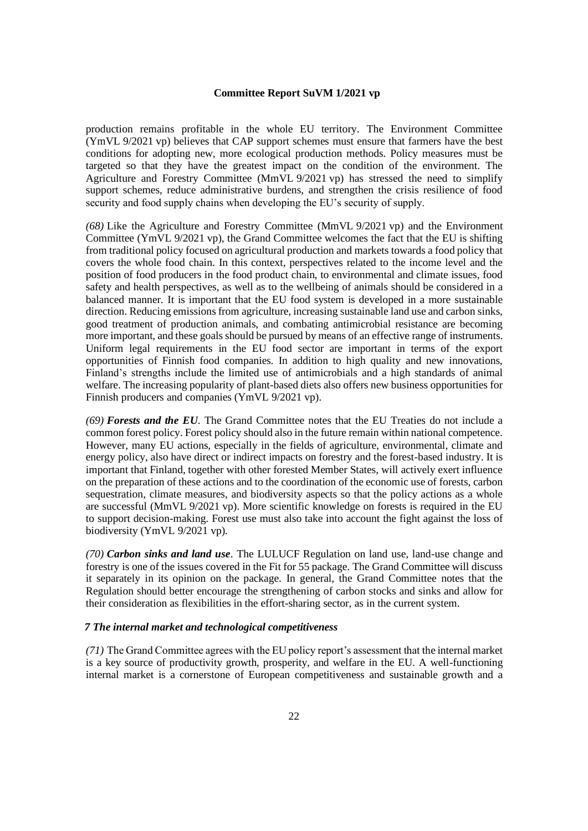production remains profitable in the whole EU territory. The Environment Committee (YmVL 9/2021 vp) believes that CAP support schemes must ensure that farmers have the best conditions for adopting new, more ecological production methods. Policy measures must be targeted so that they have the greatest impact on the condition of the environment. The Agriculture and Forestry Committee (MmVL 9/2021 vp) has stressed the need to simplify support schemes, reduce administrative burdens, and strengthen the crisis resilience of food security and food supply chains when developing the EU's security of supply.

*(68)* Like the Agriculture and Forestry Committee (MmVL 9/2021 vp) and the Environment Committee (YmVL 9/2021 vp), the Grand Committee welcomes the fact that the EU is shifting from traditional policy focused on agricultural production and markets towards a food policy that covers the whole food chain. In this context, perspectives related to the income level and the position of food producers in the food product chain, to environmental and climate issues, food safety and health perspectives, as well as to the wellbeing of animals should be considered in a balanced manner. It is important that the EU food system is developed in a more sustainable direction. Reducing emissions from agriculture, increasing sustainable land use and carbon sinks, good treatment of production animals, and combating antimicrobial resistance are becoming more important, and these goals should be pursued by means of an effective range of instruments. Uniform legal requirements in the EU food sector are important in terms of the export opportunities of Finnish food companies. In addition to high quality and new innovations, Finland's strengths include the limited use of antimicrobials and a high standards of animal welfare. The increasing popularity of plant-based diets also offers new business opportunities for Finnish producers and companies (YmVL 9/2021 vp).

*(69) Forests and the EU*. The Grand Committee notes that the EU Treaties do not include a common forest policy. Forest policy should also in the future remain within national competence. However, many EU actions, especially in the fields of agriculture, environmental, climate and energy policy, also have direct or indirect impacts on forestry and the forest-based industry. It is important that Finland, together with other forested Member States, will actively exert influence on the preparation of these actions and to the coordination of the economic use of forests, carbon sequestration, climate measures, and biodiversity aspects so that the policy actions as a whole are successful (MmVL 9/2021 vp). More scientific knowledge on forests is required in the EU to support decision-making. Forest use must also take into account the fight against the loss of biodiversity (YmVL 9/2021 vp).

*(70) Carbon sinks and land use*. The LULUCF Regulation on land use, land-use change and forestry is one of the issues covered in the Fit for 55 package. The Grand Committee will discuss it separately in its opinion on the package. In general, the Grand Committee notes that the Regulation should better encourage the strengthening of carbon stocks and sinks and allow for their consideration as flexibilities in the effort-sharing sector, as in the current system.

### *7 The internal market and technological competitiveness*

*(71)* The Grand Committee agrees with the EU policy report's assessment that the internal market is a key source of productivity growth, prosperity, and welfare in the EU. A well-functioning internal market is a cornerstone of European competitiveness and sustainable growth and a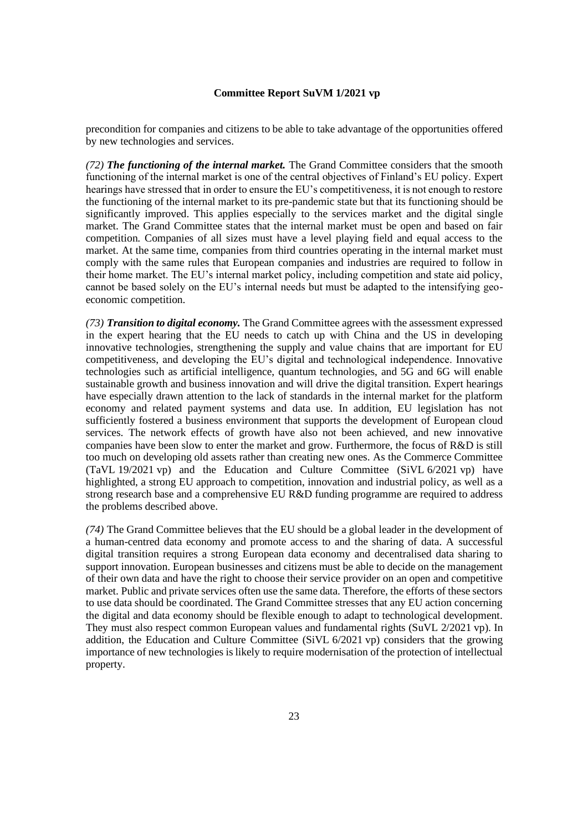precondition for companies and citizens to be able to take advantage of the opportunities offered by new technologies and services.

*(72) The functioning of the internal market.* The Grand Committee considers that the smooth functioning of the internal market is one of the central objectives of Finland's EU policy. Expert hearings have stressed that in order to ensure the EU's competitiveness, it is not enough to restore the functioning of the internal market to its pre-pandemic state but that its functioning should be significantly improved. This applies especially to the services market and the digital single market. The Grand Committee states that the internal market must be open and based on fair competition. Companies of all sizes must have a level playing field and equal access to the market. At the same time, companies from third countries operating in the internal market must comply with the same rules that European companies and industries are required to follow in their home market. The EU's internal market policy, including competition and state aid policy, cannot be based solely on the EU's internal needs but must be adapted to the intensifying geoeconomic competition.

*(73) Transition to digital economy.* The Grand Committee agrees with the assessment expressed in the expert hearing that the EU needs to catch up with China and the US in developing innovative technologies, strengthening the supply and value chains that are important for EU competitiveness, and developing the EU's digital and technological independence. Innovative technologies such as artificial intelligence, quantum technologies, and 5G and 6G will enable sustainable growth and business innovation and will drive the digital transition. Expert hearings have especially drawn attention to the lack of standards in the internal market for the platform economy and related payment systems and data use. In addition, EU legislation has not sufficiently fostered a business environment that supports the development of European cloud services. The network effects of growth have also not been achieved, and new innovative companies have been slow to enter the market and grow. Furthermore, the focus of R&D is still too much on developing old assets rather than creating new ones. As the Commerce Committee (TaVL 19/2021 vp) and the Education and Culture Committee (SiVL 6/2021 vp) have highlighted, a strong EU approach to competition, innovation and industrial policy, as well as a strong research base and a comprehensive EU R&D funding programme are required to address the problems described above.

*(74)* The Grand Committee believes that the EU should be a global leader in the development of a human-centred data economy and promote access to and the sharing of data. A successful digital transition requires a strong European data economy and decentralised data sharing to support innovation. European businesses and citizens must be able to decide on the management of their own data and have the right to choose their service provider on an open and competitive market. Public and private services often use the same data. Therefore, the efforts of these sectors to use data should be coordinated. The Grand Committee stresses that any EU action concerning the digital and data economy should be flexible enough to adapt to technological development. They must also respect common European values and fundamental rights (SuVL 2/2021 vp). In addition, the Education and Culture Committee (SiVL 6/2021 vp) considers that the growing importance of new technologies is likely to require modernisation of the protection of intellectual property.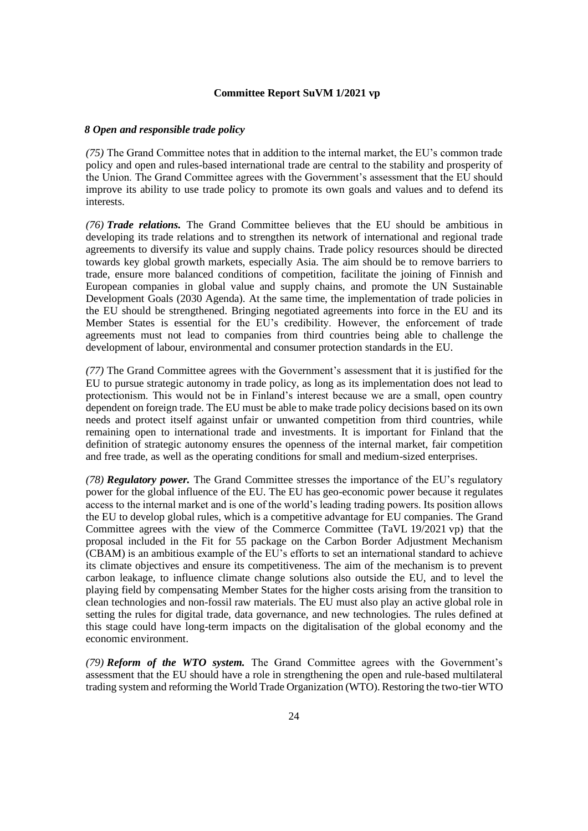#### *8 Open and responsible trade policy*

*(75)* The Grand Committee notes that in addition to the internal market, the EU's common trade policy and open and rules-based international trade are central to the stability and prosperity of the Union. The Grand Committee agrees with the Government's assessment that the EU should improve its ability to use trade policy to promote its own goals and values and to defend its interests.

*(76) Trade relations.* The Grand Committee believes that the EU should be ambitious in developing its trade relations and to strengthen its network of international and regional trade agreements to diversify its value and supply chains. Trade policy resources should be directed towards key global growth markets, especially Asia. The aim should be to remove barriers to trade, ensure more balanced conditions of competition, facilitate the joining of Finnish and European companies in global value and supply chains, and promote the UN Sustainable Development Goals (2030 Agenda). At the same time, the implementation of trade policies in the EU should be strengthened. Bringing negotiated agreements into force in the EU and its Member States is essential for the EU's credibility. However, the enforcement of trade agreements must not lead to companies from third countries being able to challenge the development of labour, environmental and consumer protection standards in the EU.

*(77)* The Grand Committee agrees with the Government's assessment that it is justified for the EU to pursue strategic autonomy in trade policy, as long as its implementation does not lead to protectionism. This would not be in Finland's interest because we are a small, open country dependent on foreign trade. The EU must be able to make trade policy decisions based on its own needs and protect itself against unfair or unwanted competition from third countries, while remaining open to international trade and investments. It is important for Finland that the definition of strategic autonomy ensures the openness of the internal market, fair competition and free trade, as well as the operating conditions for small and medium-sized enterprises.

*(78) Regulatory power.* The Grand Committee stresses the importance of the EU's regulatory power for the global influence of the EU. The EU has geo-economic power because it regulates access to the internal market and is one of the world's leading trading powers. Its position allows the EU to develop global rules, which is a competitive advantage for EU companies. The Grand Committee agrees with the view of the Commerce Committee (TaVL 19/2021 vp) that the proposal included in the Fit for 55 package on the Carbon Border Adjustment Mechanism (CBAM) is an ambitious example of the EU's efforts to set an international standard to achieve its climate objectives and ensure its competitiveness. The aim of the mechanism is to prevent carbon leakage, to influence climate change solutions also outside the EU, and to level the playing field by compensating Member States for the higher costs arising from the transition to clean technologies and non-fossil raw materials. The EU must also play an active global role in setting the rules for digital trade, data governance, and new technologies. The rules defined at this stage could have long-term impacts on the digitalisation of the global economy and the economic environment.

*(79) Reform of the WTO system.* The Grand Committee agrees with the Government's assessment that the EU should have a role in strengthening the open and rule-based multilateral trading system and reforming the World Trade Organization (WTO). Restoring the two-tier WTO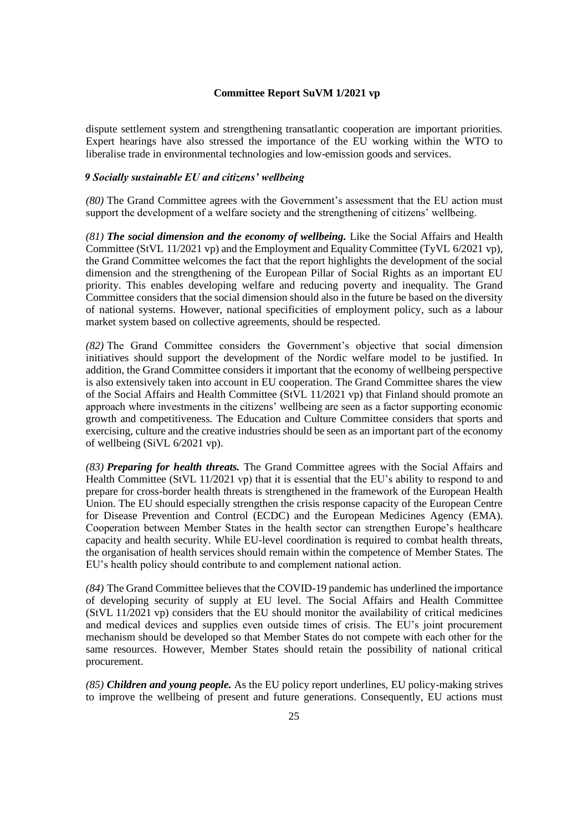dispute settlement system and strengthening transatlantic cooperation are important priorities. Expert hearings have also stressed the importance of the EU working within the WTO to liberalise trade in environmental technologies and low-emission goods and services.

### *9 Socially sustainable EU and citizens' wellbeing*

*(80)* The Grand Committee agrees with the Government's assessment that the EU action must support the development of a welfare society and the strengthening of citizens' wellbeing.

*(81) The social dimension and the economy of wellbeing.* Like the Social Affairs and Health Committee (StVL 11/2021 vp) and the Employment and Equality Committee (TyVL 6/2021 vp), the Grand Committee welcomes the fact that the report highlights the development of the social dimension and the strengthening of the European Pillar of Social Rights as an important EU priority. This enables developing welfare and reducing poverty and inequality. The Grand Committee considers that the social dimension should also in the future be based on the diversity of national systems. However, national specificities of employment policy, such as a labour market system based on collective agreements, should be respected.

*(82)* The Grand Committee considers the Government's objective that social dimension initiatives should support the development of the Nordic welfare model to be justified. In addition, the Grand Committee considers it important that the economy of wellbeing perspective is also extensively taken into account in EU cooperation. The Grand Committee shares the view of the Social Affairs and Health Committee (StVL 11/2021 vp) that Finland should promote an approach where investments in the citizens' wellbeing are seen as a factor supporting economic growth and competitiveness. The Education and Culture Committee considers that sports and exercising, culture and the creative industries should be seen as an important part of the economy of wellbeing (SiVL 6/2021 vp).

*(83) Preparing for health threats.* The Grand Committee agrees with the Social Affairs and Health Committee (StVL 11/2021 vp) that it is essential that the EU's ability to respond to and prepare for cross-border health threats is strengthened in the framework of the European Health Union. The EU should especially strengthen the crisis response capacity of the European Centre for Disease Prevention and Control (ECDC) and the European Medicines Agency (EMA). Cooperation between Member States in the health sector can strengthen Europe's healthcare capacity and health security. While EU-level coordination is required to combat health threats, the organisation of health services should remain within the competence of Member States. The EU's health policy should contribute to and complement national action.

*(84)* The Grand Committee believes that the COVID-19 pandemic has underlined the importance of developing security of supply at EU level. The Social Affairs and Health Committee (StVL 11/2021 vp) considers that the EU should monitor the availability of critical medicines and medical devices and supplies even outside times of crisis. The EU's joint procurement mechanism should be developed so that Member States do not compete with each other for the same resources. However, Member States should retain the possibility of national critical procurement.

*(85) Children and young people.* As the EU policy report underlines, EU policy-making strives to improve the wellbeing of present and future generations. Consequently, EU actions must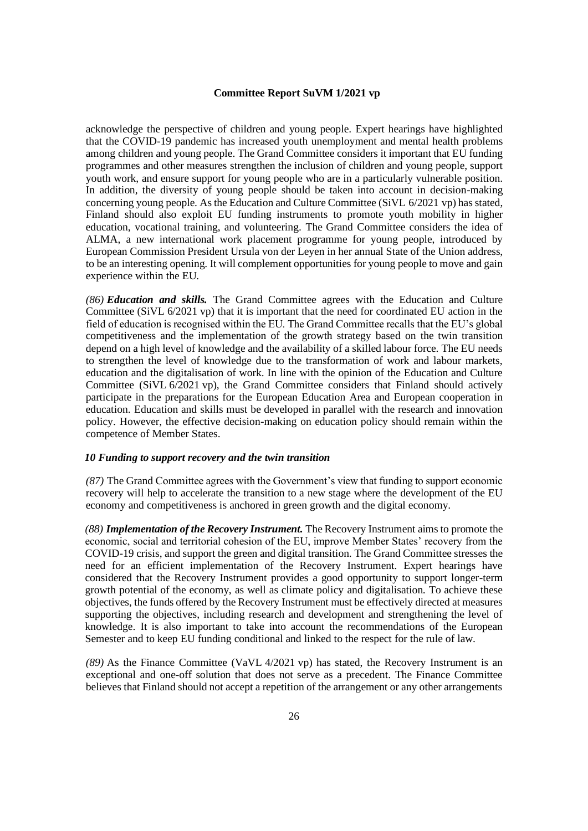acknowledge the perspective of children and young people. Expert hearings have highlighted that the COVID-19 pandemic has increased youth unemployment and mental health problems among children and young people. The Grand Committee considers it important that EU funding programmes and other measures strengthen the inclusion of children and young people, support youth work, and ensure support for young people who are in a particularly vulnerable position. In addition, the diversity of young people should be taken into account in decision-making concerning young people. As the Education and Culture Committee (SiVL 6/2021 vp) has stated, Finland should also exploit EU funding instruments to promote youth mobility in higher education, vocational training, and volunteering. The Grand Committee considers the idea of ALMA, a new international work placement programme for young people, introduced by European Commission President Ursula von der Leyen in her annual State of the Union address, to be an interesting opening. It will complement opportunities for young people to move and gain experience within the EU.

*(86) Education and skills.* The Grand Committee agrees with the Education and Culture Committee (SiVL 6/2021 vp) that it is important that the need for coordinated EU action in the field of education is recognised within the EU. The Grand Committee recalls that the EU's global competitiveness and the implementation of the growth strategy based on the twin transition depend on a high level of knowledge and the availability of a skilled labour force. The EU needs to strengthen the level of knowledge due to the transformation of work and labour markets, education and the digitalisation of work. In line with the opinion of the Education and Culture Committee (SiVL 6/2021 vp), the Grand Committee considers that Finland should actively participate in the preparations for the European Education Area and European cooperation in education. Education and skills must be developed in parallel with the research and innovation policy. However, the effective decision-making on education policy should remain within the competence of Member States.

### *10 Funding to support recovery and the twin transition*

*(87)* The Grand Committee agrees with the Government's view that funding to support economic recovery will help to accelerate the transition to a new stage where the development of the EU economy and competitiveness is anchored in green growth and the digital economy.

*(88) Implementation of the Recovery Instrument.* The Recovery Instrument aims to promote the economic, social and territorial cohesion of the EU, improve Member States' recovery from the COVID-19 crisis, and support the green and digital transition. The Grand Committee stresses the need for an efficient implementation of the Recovery Instrument. Expert hearings have considered that the Recovery Instrument provides a good opportunity to support longer-term growth potential of the economy, as well as climate policy and digitalisation. To achieve these objectives, the funds offered by the Recovery Instrument must be effectively directed at measures supporting the objectives, including research and development and strengthening the level of knowledge. It is also important to take into account the recommendations of the European Semester and to keep EU funding conditional and linked to the respect for the rule of law.

*(89)* As the Finance Committee (VaVL 4/2021 vp) has stated, the Recovery Instrument is an exceptional and one-off solution that does not serve as a precedent. The Finance Committee believes that Finland should not accept a repetition of the arrangement or any other arrangements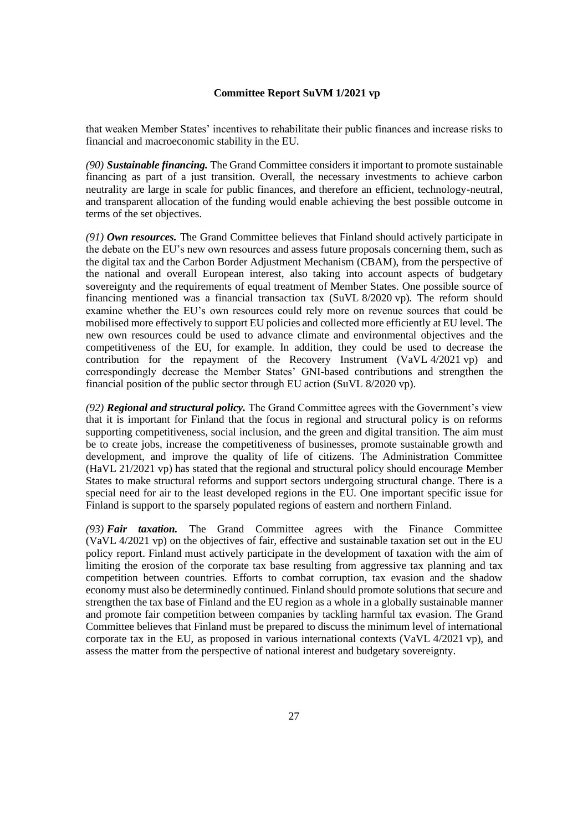that weaken Member States' incentives to rehabilitate their public finances and increase risks to financial and macroeconomic stability in the EU.

*(90) Sustainable financing.* The Grand Committee considers it important to promote sustainable financing as part of a just transition. Overall, the necessary investments to achieve carbon neutrality are large in scale for public finances, and therefore an efficient, technology-neutral, and transparent allocation of the funding would enable achieving the best possible outcome in terms of the set objectives.

*(91) Own resources.* The Grand Committee believes that Finland should actively participate in the debate on the EU's new own resources and assess future proposals concerning them, such as the digital tax and the Carbon Border Adjustment Mechanism (CBAM), from the perspective of the national and overall European interest, also taking into account aspects of budgetary sovereignty and the requirements of equal treatment of Member States. One possible source of financing mentioned was a financial transaction tax (SuVL 8/2020 vp). The reform should examine whether the EU's own resources could rely more on revenue sources that could be mobilised more effectively to support EU policies and collected more efficiently at EU level. The new own resources could be used to advance climate and environmental objectives and the competitiveness of the EU, for example. In addition, they could be used to decrease the contribution for the repayment of the Recovery Instrument (VaVL 4/2021 vp) and correspondingly decrease the Member States' GNI-based contributions and strengthen the financial position of the public sector through EU action (SuVL 8/2020 vp).

*(92) Regional and structural policy.* The Grand Committee agrees with the Government's view that it is important for Finland that the focus in regional and structural policy is on reforms supporting competitiveness, social inclusion, and the green and digital transition. The aim must be to create jobs, increase the competitiveness of businesses, promote sustainable growth and development, and improve the quality of life of citizens. The Administration Committee (HaVL 21/2021 vp) has stated that the regional and structural policy should encourage Member States to make structural reforms and support sectors undergoing structural change. There is a special need for air to the least developed regions in the EU. One important specific issue for Finland is support to the sparsely populated regions of eastern and northern Finland.

*(93) Fair taxation.* The Grand Committee agrees with the Finance Committee (VaVL 4/2021 vp) on the objectives of fair, effective and sustainable taxation set out in the EU policy report. Finland must actively participate in the development of taxation with the aim of limiting the erosion of the corporate tax base resulting from aggressive tax planning and tax competition between countries. Efforts to combat corruption, tax evasion and the shadow economy must also be determinedly continued. Finland should promote solutions that secure and strengthen the tax base of Finland and the EU region as a whole in a globally sustainable manner and promote fair competition between companies by tackling harmful tax evasion. The Grand Committee believes that Finland must be prepared to discuss the minimum level of international corporate tax in the EU, as proposed in various international contexts (VaVL 4/2021 vp), and assess the matter from the perspective of national interest and budgetary sovereignty.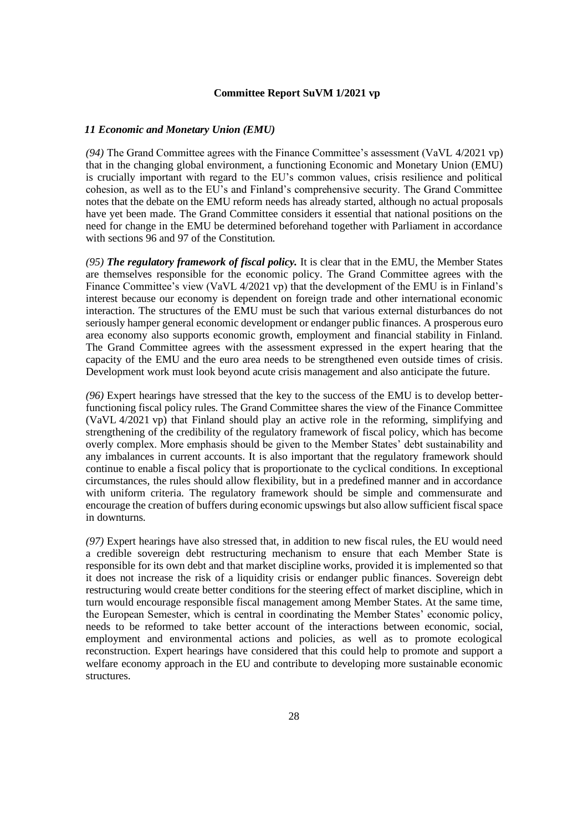#### *11 Economic and Monetary Union (EMU)*

*(94)* The Grand Committee agrees with the Finance Committee's assessment (VaVL 4/2021 vp) that in the changing global environment, a functioning Economic and Monetary Union (EMU) is crucially important with regard to the EU's common values, crisis resilience and political cohesion, as well as to the EU's and Finland's comprehensive security. The Grand Committee notes that the debate on the EMU reform needs has already started, although no actual proposals have yet been made. The Grand Committee considers it essential that national positions on the need for change in the EMU be determined beforehand together with Parliament in accordance with sections 96 and 97 of the Constitution.

*(95) The regulatory framework of fiscal policy.* It is clear that in the EMU, the Member States are themselves responsible for the economic policy. The Grand Committee agrees with the Finance Committee's view (VaVL 4/2021 vp) that the development of the EMU is in Finland's interest because our economy is dependent on foreign trade and other international economic interaction. The structures of the EMU must be such that various external disturbances do not seriously hamper general economic development or endanger public finances. A prosperous euro area economy also supports economic growth, employment and financial stability in Finland. The Grand Committee agrees with the assessment expressed in the expert hearing that the capacity of the EMU and the euro area needs to be strengthened even outside times of crisis. Development work must look beyond acute crisis management and also anticipate the future.

*(96)* Expert hearings have stressed that the key to the success of the EMU is to develop betterfunctioning fiscal policy rules. The Grand Committee shares the view of the Finance Committee (VaVL 4/2021 vp) that Finland should play an active role in the reforming, simplifying and strengthening of the credibility of the regulatory framework of fiscal policy, which has become overly complex. More emphasis should be given to the Member States' debt sustainability and any imbalances in current accounts. It is also important that the regulatory framework should continue to enable a fiscal policy that is proportionate to the cyclical conditions. In exceptional circumstances, the rules should allow flexibility, but in a predefined manner and in accordance with uniform criteria. The regulatory framework should be simple and commensurate and encourage the creation of buffers during economic upswings but also allow sufficient fiscal space in downturns.

*(97)* Expert hearings have also stressed that, in addition to new fiscal rules, the EU would need a credible sovereign debt restructuring mechanism to ensure that each Member State is responsible for its own debt and that market discipline works, provided it is implemented so that it does not increase the risk of a liquidity crisis or endanger public finances. Sovereign debt restructuring would create better conditions for the steering effect of market discipline, which in turn would encourage responsible fiscal management among Member States. At the same time, the European Semester, which is central in coordinating the Member States' economic policy, needs to be reformed to take better account of the interactions between economic, social, employment and environmental actions and policies, as well as to promote ecological reconstruction. Expert hearings have considered that this could help to promote and support a welfare economy approach in the EU and contribute to developing more sustainable economic structures.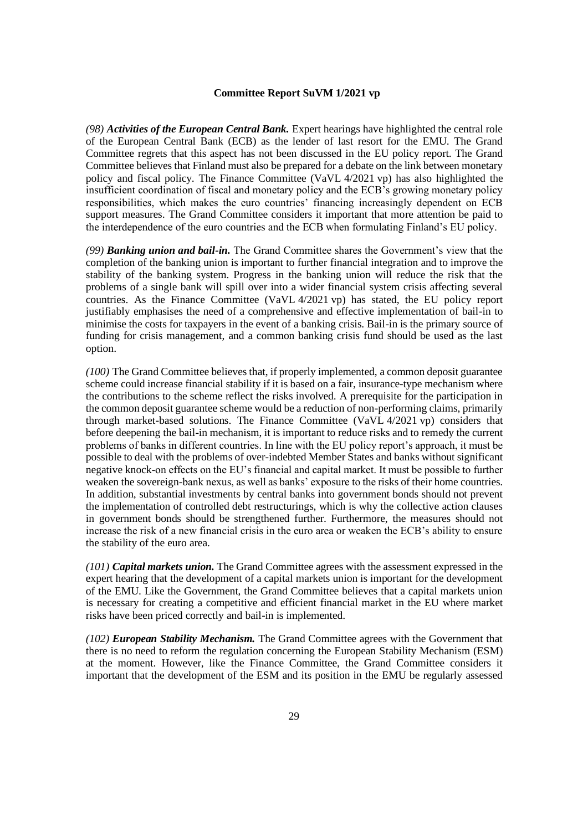*(98) Activities of the European Central Bank.* Expert hearings have highlighted the central role of the European Central Bank (ECB) as the lender of last resort for the EMU. The Grand Committee regrets that this aspect has not been discussed in the EU policy report. The Grand Committee believes that Finland must also be prepared for a debate on the link between monetary policy and fiscal policy. The Finance Committee (VaVL 4/2021 vp) has also highlighted the insufficient coordination of fiscal and monetary policy and the ECB's growing monetary policy responsibilities, which makes the euro countries' financing increasingly dependent on ECB support measures. The Grand Committee considers it important that more attention be paid to the interdependence of the euro countries and the ECB when formulating Finland's EU policy.

*(99) Banking union and bail-in.* The Grand Committee shares the Government's view that the completion of the banking union is important to further financial integration and to improve the stability of the banking system. Progress in the banking union will reduce the risk that the problems of a single bank will spill over into a wider financial system crisis affecting several countries. As the Finance Committee (VaVL 4/2021 vp) has stated, the EU policy report justifiably emphasises the need of a comprehensive and effective implementation of bail-in to minimise the costs for taxpayers in the event of a banking crisis. Bail-in is the primary source of funding for crisis management, and a common banking crisis fund should be used as the last option.

*(100)* The Grand Committee believes that, if properly implemented, a common deposit guarantee scheme could increase financial stability if it is based on a fair, insurance-type mechanism where the contributions to the scheme reflect the risks involved. A prerequisite for the participation in the common deposit guarantee scheme would be a reduction of non-performing claims, primarily through market-based solutions. The Finance Committee (VaVL 4/2021 vp) considers that before deepening the bail-in mechanism, it is important to reduce risks and to remedy the current problems of banks in different countries. In line with the EU policy report's approach, it must be possible to deal with the problems of over-indebted Member States and banks without significant negative knock-on effects on the EU's financial and capital market. It must be possible to further weaken the sovereign-bank nexus, as well as banks' exposure to the risks of their home countries. In addition, substantial investments by central banks into government bonds should not prevent the implementation of controlled debt restructurings, which is why the collective action clauses in government bonds should be strengthened further. Furthermore, the measures should not increase the risk of a new financial crisis in the euro area or weaken the ECB's ability to ensure the stability of the euro area.

*(101) Capital markets union.* The Grand Committee agrees with the assessment expressed in the expert hearing that the development of a capital markets union is important for the development of the EMU. Like the Government, the Grand Committee believes that a capital markets union is necessary for creating a competitive and efficient financial market in the EU where market risks have been priced correctly and bail-in is implemented.

*(102) European Stability Mechanism.* The Grand Committee agrees with the Government that there is no need to reform the regulation concerning the European Stability Mechanism (ESM) at the moment. However, like the Finance Committee, the Grand Committee considers it important that the development of the ESM and its position in the EMU be regularly assessed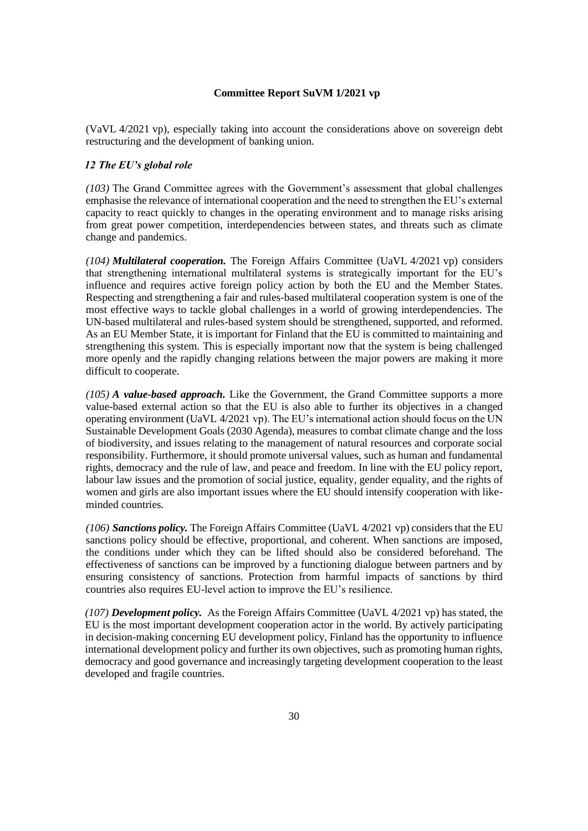(VaVL 4/2021 vp), especially taking into account the considerations above on sovereign debt restructuring and the development of banking union.

### *12 The EU's global role*

*(103)* The Grand Committee agrees with the Government's assessment that global challenges emphasise the relevance of international cooperation and the need to strengthen the EU's external capacity to react quickly to changes in the operating environment and to manage risks arising from great power competition, interdependencies between states, and threats such as climate change and pandemics.

*(104) Multilateral cooperation.* The Foreign Affairs Committee (UaVL 4/2021 vp) considers that strengthening international multilateral systems is strategically important for the EU's influence and requires active foreign policy action by both the EU and the Member States. Respecting and strengthening a fair and rules-based multilateral cooperation system is one of the most effective ways to tackle global challenges in a world of growing interdependencies. The UN-based multilateral and rules-based system should be strengthened, supported, and reformed. As an EU Member State, it is important for Finland that the EU is committed to maintaining and strengthening this system. This is especially important now that the system is being challenged more openly and the rapidly changing relations between the major powers are making it more difficult to cooperate.

*(105) A value-based approach.* Like the Government, the Grand Committee supports a more value-based external action so that the EU is also able to further its objectives in a changed operating environment (UaVL 4/2021 vp). The EU's international action should focus on the UN Sustainable Development Goals (2030 Agenda), measures to combat climate change and the loss of biodiversity, and issues relating to the management of natural resources and corporate social responsibility. Furthermore, it should promote universal values, such as human and fundamental rights, democracy and the rule of law, and peace and freedom. In line with the EU policy report, labour law issues and the promotion of social justice, equality, gender equality, and the rights of women and girls are also important issues where the EU should intensify cooperation with likeminded countries.

*(106) Sanctions policy.* The Foreign Affairs Committee (UaVL 4/2021 vp) considers that the EU sanctions policy should be effective, proportional, and coherent. When sanctions are imposed, the conditions under which they can be lifted should also be considered beforehand. The effectiveness of sanctions can be improved by a functioning dialogue between partners and by ensuring consistency of sanctions. Protection from harmful impacts of sanctions by third countries also requires EU-level action to improve the EU's resilience.

*(107) Development policy.* As the Foreign Affairs Committee (UaVL 4/2021 vp) has stated, the EU is the most important development cooperation actor in the world. By actively participating in decision-making concerning EU development policy, Finland has the opportunity to influence international development policy and further its own objectives, such as promoting human rights, democracy and good governance and increasingly targeting development cooperation to the least developed and fragile countries.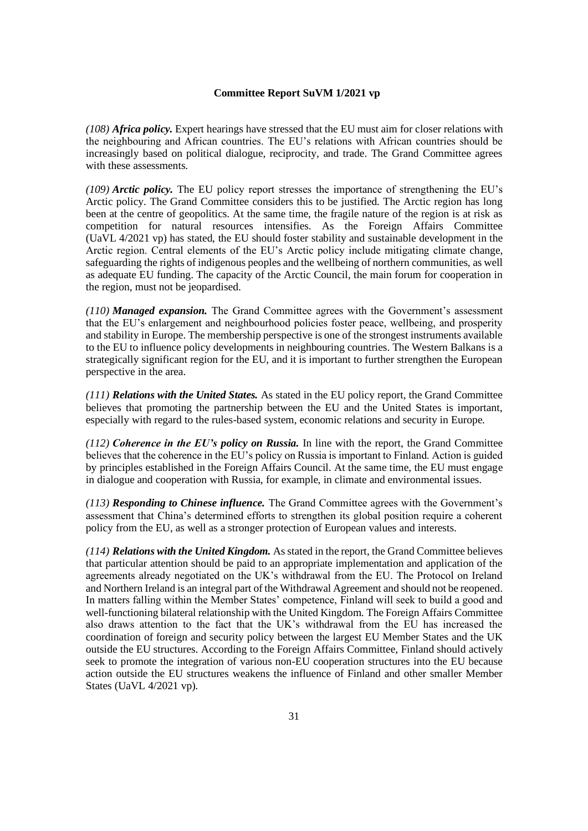*(108) Africa policy.* Expert hearings have stressed that the EU must aim for closer relations with the neighbouring and African countries. The EU's relations with African countries should be increasingly based on political dialogue, reciprocity, and trade. The Grand Committee agrees with these assessments.

*(109) Arctic policy.* The EU policy report stresses the importance of strengthening the EU's Arctic policy. The Grand Committee considers this to be justified. The Arctic region has long been at the centre of geopolitics. At the same time, the fragile nature of the region is at risk as competition for natural resources intensifies. As the Foreign Affairs Committee (UaVL 4/2021 vp) has stated, the EU should foster stability and sustainable development in the Arctic region. Central elements of the EU's Arctic policy include mitigating climate change, safeguarding the rights of indigenous peoples and the wellbeing of northern communities, as well as adequate EU funding. The capacity of the Arctic Council, the main forum for cooperation in the region, must not be jeopardised.

*(110) Managed expansion.* The Grand Committee agrees with the Government's assessment that the EU's enlargement and neighbourhood policies foster peace, wellbeing, and prosperity and stability in Europe. The membership perspective is one of the strongest instruments available to the EU to influence policy developments in neighbouring countries. The Western Balkans is a strategically significant region for the EU, and it is important to further strengthen the European perspective in the area.

*(111) Relations with the United States.* As stated in the EU policy report, the Grand Committee believes that promoting the partnership between the EU and the United States is important, especially with regard to the rules-based system, economic relations and security in Europe.

*(112) Coherence in the EU's policy on Russia.* In line with the report, the Grand Committee believes that the coherence in the EU's policy on Russia is important to Finland. Action is guided by principles established in the Foreign Affairs Council. At the same time, the EU must engage in dialogue and cooperation with Russia, for example, in climate and environmental issues.

*(113) Responding to Chinese influence.* The Grand Committee agrees with the Government's assessment that China's determined efforts to strengthen its global position require a coherent policy from the EU, as well as a stronger protection of European values and interests.

*(114) Relations with the United Kingdom.* As stated in the report, the Grand Committee believes that particular attention should be paid to an appropriate implementation and application of the agreements already negotiated on the UK's withdrawal from the EU. The Protocol on Ireland and Northern Ireland is an integral part of the Withdrawal Agreement and should not be reopened. In matters falling within the Member States' competence, Finland will seek to build a good and well-functioning bilateral relationship with the United Kingdom. The Foreign Affairs Committee also draws attention to the fact that the UK's withdrawal from the EU has increased the coordination of foreign and security policy between the largest EU Member States and the UK outside the EU structures. According to the Foreign Affairs Committee, Finland should actively seek to promote the integration of various non-EU cooperation structures into the EU because action outside the EU structures weakens the influence of Finland and other smaller Member States (UaVL 4/2021 vp).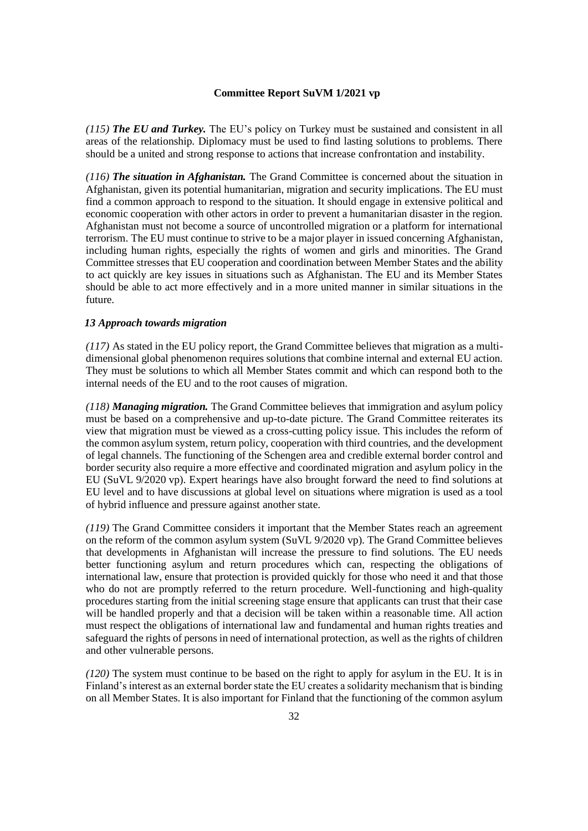*(115) The EU and Turkey.* The EU's policy on Turkey must be sustained and consistent in all areas of the relationship. Diplomacy must be used to find lasting solutions to problems. There should be a united and strong response to actions that increase confrontation and instability.

*(116) The situation in Afghanistan.* The Grand Committee is concerned about the situation in Afghanistan, given its potential humanitarian, migration and security implications. The EU must find a common approach to respond to the situation. It should engage in extensive political and economic cooperation with other actors in order to prevent a humanitarian disaster in the region. Afghanistan must not become a source of uncontrolled migration or a platform for international terrorism. The EU must continue to strive to be a major player in issued concerning Afghanistan, including human rights, especially the rights of women and girls and minorities. The Grand Committee stresses that EU cooperation and coordination between Member States and the ability to act quickly are key issues in situations such as Afghanistan. The EU and its Member States should be able to act more effectively and in a more united manner in similar situations in the future.

### *13 Approach towards migration*

*(117)* As stated in the EU policy report, the Grand Committee believes that migration as a multidimensional global phenomenon requires solutions that combine internal and external EU action. They must be solutions to which all Member States commit and which can respond both to the internal needs of the EU and to the root causes of migration.

*(118) Managing migration.* The Grand Committee believes that immigration and asylum policy must be based on a comprehensive and up-to-date picture. The Grand Committee reiterates its view that migration must be viewed as a cross-cutting policy issue. This includes the reform of the common asylum system, return policy, cooperation with third countries, and the development of legal channels. The functioning of the Schengen area and credible external border control and border security also require a more effective and coordinated migration and asylum policy in the EU (SuVL 9/2020 vp). Expert hearings have also brought forward the need to find solutions at EU level and to have discussions at global level on situations where migration is used as a tool of hybrid influence and pressure against another state.

*(119)* The Grand Committee considers it important that the Member States reach an agreement on the reform of the common asylum system (SuVL 9/2020 vp). The Grand Committee believes that developments in Afghanistan will increase the pressure to find solutions. The EU needs better functioning asylum and return procedures which can, respecting the obligations of international law, ensure that protection is provided quickly for those who need it and that those who do not are promptly referred to the return procedure. Well-functioning and high-quality procedures starting from the initial screening stage ensure that applicants can trust that their case will be handled properly and that a decision will be taken within a reasonable time. All action must respect the obligations of international law and fundamental and human rights treaties and safeguard the rights of persons in need of international protection, as well as the rights of children and other vulnerable persons.

*(120)* The system must continue to be based on the right to apply for asylum in the EU. It is in Finland's interest as an external border state the EU creates a solidarity mechanism that is binding on all Member States. It is also important for Finland that the functioning of the common asylum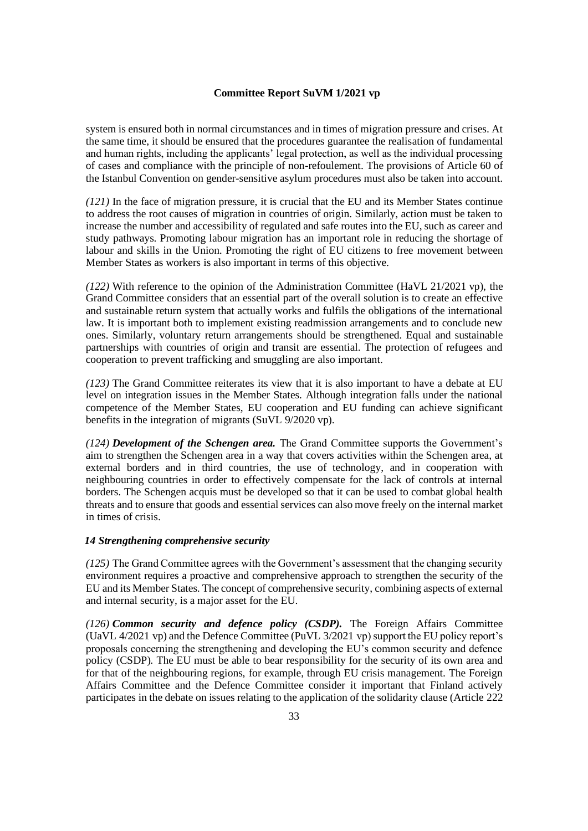system is ensured both in normal circumstances and in times of migration pressure and crises. At the same time, it should be ensured that the procedures guarantee the realisation of fundamental and human rights, including the applicants' legal protection, as well as the individual processing of cases and compliance with the principle of non-refoulement. The provisions of Article 60 of the Istanbul Convention on gender-sensitive asylum procedures must also be taken into account.

*(121)* In the face of migration pressure, it is crucial that the EU and its Member States continue to address the root causes of migration in countries of origin. Similarly, action must be taken to increase the number and accessibility of regulated and safe routes into the EU, such as career and study pathways. Promoting labour migration has an important role in reducing the shortage of labour and skills in the Union. Promoting the right of EU citizens to free movement between Member States as workers is also important in terms of this objective.

*(122)* With reference to the opinion of the Administration Committee (HaVL 21/2021 vp), the Grand Committee considers that an essential part of the overall solution is to create an effective and sustainable return system that actually works and fulfils the obligations of the international law. It is important both to implement existing readmission arrangements and to conclude new ones. Similarly, voluntary return arrangements should be strengthened. Equal and sustainable partnerships with countries of origin and transit are essential. The protection of refugees and cooperation to prevent trafficking and smuggling are also important.

*(123)* The Grand Committee reiterates its view that it is also important to have a debate at EU level on integration issues in the Member States. Although integration falls under the national competence of the Member States, EU cooperation and EU funding can achieve significant benefits in the integration of migrants (SuVL 9/2020 vp).

*(124) Development of the Schengen area.* The Grand Committee supports the Government's aim to strengthen the Schengen area in a way that covers activities within the Schengen area, at external borders and in third countries, the use of technology, and in cooperation with neighbouring countries in order to effectively compensate for the lack of controls at internal borders. The Schengen acquis must be developed so that it can be used to combat global health threats and to ensure that goods and essential services can also move freely on the internal market in times of crisis.

### *14 Strengthening comprehensive security*

*(125)* The Grand Committee agrees with the Government's assessment that the changing security environment requires a proactive and comprehensive approach to strengthen the security of the EU and its Member States. The concept of comprehensive security, combining aspects of external and internal security, is a major asset for the EU.

*(126) Common security and defence policy (CSDP).* The Foreign Affairs Committee (UaVL 4/2021 vp) and the Defence Committee (PuVL 3/2021 vp) support the EU policy report's proposals concerning the strengthening and developing the EU's common security and defence policy (CSDP). The EU must be able to bear responsibility for the security of its own area and for that of the neighbouring regions, for example, through EU crisis management. The Foreign Affairs Committee and the Defence Committee consider it important that Finland actively participates in the debate on issues relating to the application of the solidarity clause (Article 222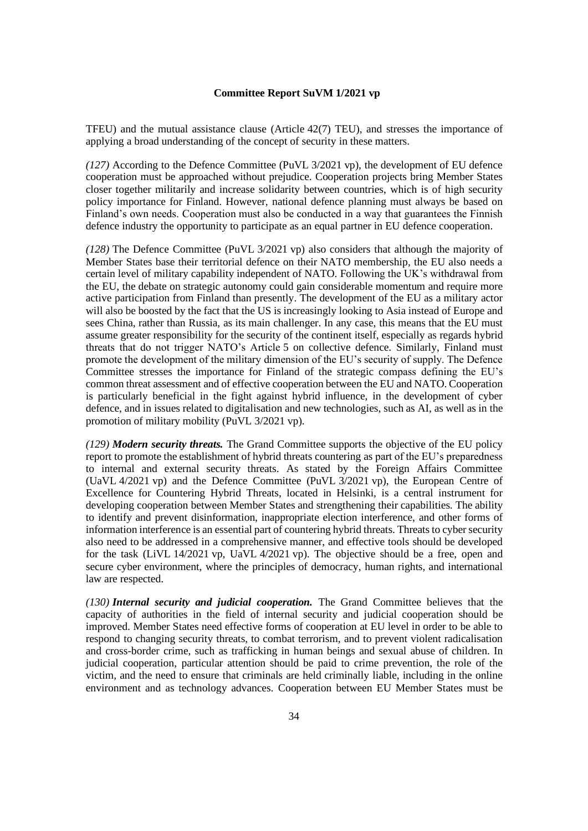TFEU) and the mutual assistance clause (Article 42(7) TEU), and stresses the importance of applying a broad understanding of the concept of security in these matters.

*(127)* According to the Defence Committee (PuVL 3/2021 vp), the development of EU defence cooperation must be approached without prejudice. Cooperation projects bring Member States closer together militarily and increase solidarity between countries, which is of high security policy importance for Finland. However, national defence planning must always be based on Finland's own needs. Cooperation must also be conducted in a way that guarantees the Finnish defence industry the opportunity to participate as an equal partner in EU defence cooperation.

*(128)* The Defence Committee (PuVL 3/2021 vp) also considers that although the majority of Member States base their territorial defence on their NATO membership, the EU also needs a certain level of military capability independent of NATO. Following the UK's withdrawal from the EU, the debate on strategic autonomy could gain considerable momentum and require more active participation from Finland than presently. The development of the EU as a military actor will also be boosted by the fact that the US is increasingly looking to Asia instead of Europe and sees China, rather than Russia, as its main challenger. In any case, this means that the EU must assume greater responsibility for the security of the continent itself, especially as regards hybrid threats that do not trigger NATO's Article 5 on collective defence. Similarly, Finland must promote the development of the military dimension of the EU's security of supply. The Defence Committee stresses the importance for Finland of the strategic compass defining the EU's common threat assessment and of effective cooperation between the EU and NATO. Cooperation is particularly beneficial in the fight against hybrid influence, in the development of cyber defence, and in issues related to digitalisation and new technologies, such as AI, as well as in the promotion of military mobility (PuVL 3/2021 vp).

*(129) Modern security threats.* The Grand Committee supports the objective of the EU policy report to promote the establishment of hybrid threats countering as part of the EU's preparedness to internal and external security threats. As stated by the Foreign Affairs Committee (UaVL 4/2021 vp) and the Defence Committee (PuVL 3/2021 vp), the European Centre of Excellence for Countering Hybrid Threats, located in Helsinki, is a central instrument for developing cooperation between Member States and strengthening their capabilities. The ability to identify and prevent disinformation, inappropriate election interference, and other forms of information interference is an essential part of countering hybrid threats. Threats to cyber security also need to be addressed in a comprehensive manner, and effective tools should be developed for the task (LiVL 14/2021 vp, UaVL 4/2021 vp). The objective should be a free, open and secure cyber environment, where the principles of democracy, human rights, and international law are respected.

*(130) Internal security and judicial cooperation.* The Grand Committee believes that the capacity of authorities in the field of internal security and judicial cooperation should be improved. Member States need effective forms of cooperation at EU level in order to be able to respond to changing security threats, to combat terrorism, and to prevent violent radicalisation and cross-border crime, such as trafficking in human beings and sexual abuse of children. In judicial cooperation, particular attention should be paid to crime prevention, the role of the victim, and the need to ensure that criminals are held criminally liable, including in the online environment and as technology advances. Cooperation between EU Member States must be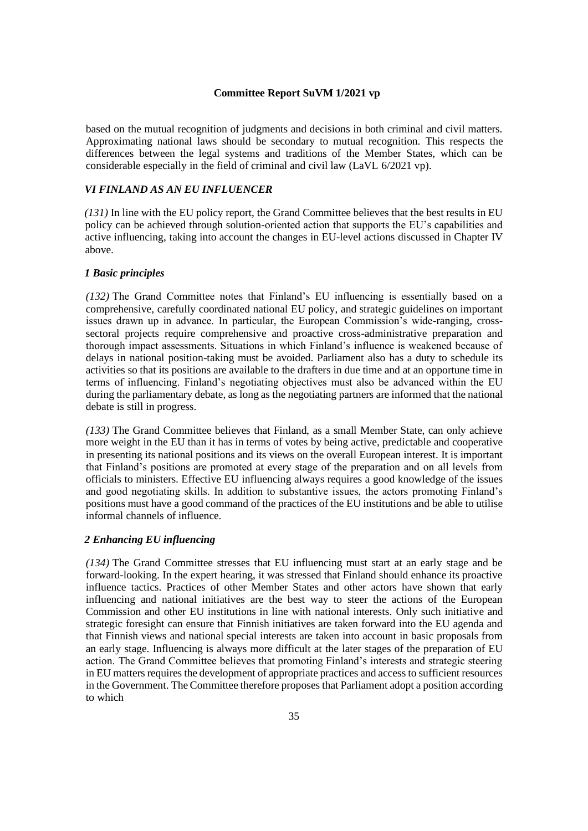based on the mutual recognition of judgments and decisions in both criminal and civil matters. Approximating national laws should be secondary to mutual recognition. This respects the differences between the legal systems and traditions of the Member States, which can be considerable especially in the field of criminal and civil law (LaVL 6/2021 vp).

### *VI FINLAND AS AN EU INFLUENCER*

*(131)* In line with the EU policy report, the Grand Committee believes that the best results in EU policy can be achieved through solution-oriented action that supports the EU's capabilities and active influencing, taking into account the changes in EU-level actions discussed in Chapter IV above.

### *1 Basic principles*

*(132)* The Grand Committee notes that Finland's EU influencing is essentially based on a comprehensive, carefully coordinated national EU policy, and strategic guidelines on important issues drawn up in advance. In particular, the European Commission's wide-ranging, crosssectoral projects require comprehensive and proactive cross-administrative preparation and thorough impact assessments. Situations in which Finland's influence is weakened because of delays in national position-taking must be avoided. Parliament also has a duty to schedule its activities so that its positions are available to the drafters in due time and at an opportune time in terms of influencing. Finland's negotiating objectives must also be advanced within the EU during the parliamentary debate, as long as the negotiating partners are informed that the national debate is still in progress.

*(133)* The Grand Committee believes that Finland, as a small Member State, can only achieve more weight in the EU than it has in terms of votes by being active, predictable and cooperative in presenting its national positions and its views on the overall European interest. It is important that Finland's positions are promoted at every stage of the preparation and on all levels from officials to ministers. Effective EU influencing always requires a good knowledge of the issues and good negotiating skills. In addition to substantive issues, the actors promoting Finland's positions must have a good command of the practices of the EU institutions and be able to utilise informal channels of influence.

### *2 Enhancing EU influencing*

*(134)* The Grand Committee stresses that EU influencing must start at an early stage and be forward-looking. In the expert hearing, it was stressed that Finland should enhance its proactive influence tactics. Practices of other Member States and other actors have shown that early influencing and national initiatives are the best way to steer the actions of the European Commission and other EU institutions in line with national interests. Only such initiative and strategic foresight can ensure that Finnish initiatives are taken forward into the EU agenda and that Finnish views and national special interests are taken into account in basic proposals from an early stage. Influencing is always more difficult at the later stages of the preparation of EU action. The Grand Committee believes that promoting Finland's interests and strategic steering in EU matters requires the development of appropriate practices and access to sufficient resources in the Government. The Committee therefore proposes that Parliament adopt a position according to which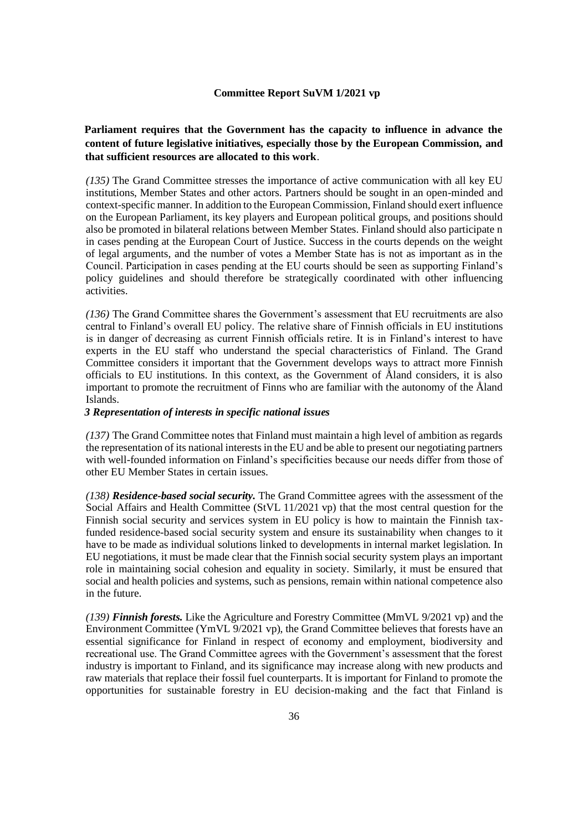# **Parliament requires that the Government has the capacity to influence in advance the content of future legislative initiatives, especially those by the European Commission, and that sufficient resources are allocated to this work**.

*(135)* The Grand Committee stresses the importance of active communication with all key EU institutions, Member States and other actors. Partners should be sought in an open-minded and context-specific manner. In addition to the European Commission, Finland should exert influence on the European Parliament, its key players and European political groups, and positions should also be promoted in bilateral relations between Member States. Finland should also participate n in cases pending at the European Court of Justice. Success in the courts depends on the weight of legal arguments, and the number of votes a Member State has is not as important as in the Council. Participation in cases pending at the EU courts should be seen as supporting Finland's policy guidelines and should therefore be strategically coordinated with other influencing activities.

*(136)* The Grand Committee shares the Government's assessment that EU recruitments are also central to Finland's overall EU policy. The relative share of Finnish officials in EU institutions is in danger of decreasing as current Finnish officials retire. It is in Finland's interest to have experts in the EU staff who understand the special characteristics of Finland. The Grand Committee considers it important that the Government develops ways to attract more Finnish officials to EU institutions. In this context, as the Government of Åland considers, it is also important to promote the recruitment of Finns who are familiar with the autonomy of the Åland Islands.

#### *3 Representation of interests in specific national issues*

*(137)* The Grand Committee notes that Finland must maintain a high level of ambition as regards the representation of its national interests in the EU and be able to present our negotiating partners with well-founded information on Finland's specificities because our needs differ from those of other EU Member States in certain issues.

*(138) Residence-based social security.* The Grand Committee agrees with the assessment of the Social Affairs and Health Committee (StVL 11/2021 vp) that the most central question for the Finnish social security and services system in EU policy is how to maintain the Finnish taxfunded residence-based social security system and ensure its sustainability when changes to it have to be made as individual solutions linked to developments in internal market legislation. In EU negotiations, it must be made clear that the Finnish social security system plays an important role in maintaining social cohesion and equality in society. Similarly, it must be ensured that social and health policies and systems, such as pensions, remain within national competence also in the future.

*(139) Finnish forests.* Like the Agriculture and Forestry Committee (MmVL 9/2021 vp) and the Environment Committee (YmVL 9/2021 vp), the Grand Committee believes that forests have an essential significance for Finland in respect of economy and employment, biodiversity and recreational use. The Grand Committee agrees with the Government's assessment that the forest industry is important to Finland, and its significance may increase along with new products and raw materials that replace their fossil fuel counterparts. It is important for Finland to promote the opportunities for sustainable forestry in EU decision-making and the fact that Finland is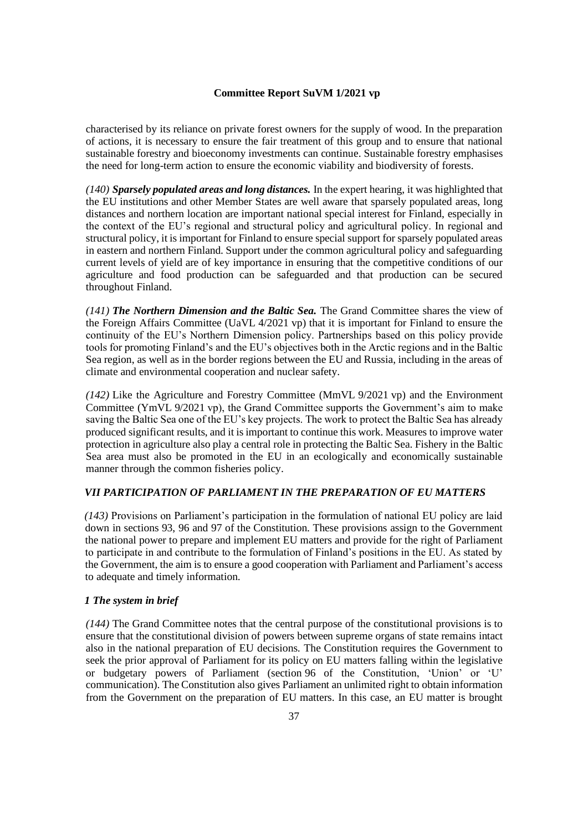characterised by its reliance on private forest owners for the supply of wood. In the preparation of actions, it is necessary to ensure the fair treatment of this group and to ensure that national sustainable forestry and bioeconomy investments can continue. Sustainable forestry emphasises the need for long-term action to ensure the economic viability and biodiversity of forests.

*(140) Sparsely populated areas and long distances.* In the expert hearing, it was highlighted that the EU institutions and other Member States are well aware that sparsely populated areas, long distances and northern location are important national special interest for Finland, especially in the context of the EU's regional and structural policy and agricultural policy. In regional and structural policy, it is important for Finland to ensure special support for sparsely populated areas in eastern and northern Finland. Support under the common agricultural policy and safeguarding current levels of yield are of key importance in ensuring that the competitive conditions of our agriculture and food production can be safeguarded and that production can be secured throughout Finland.

*(141) The Northern Dimension and the Baltic Sea.* The Grand Committee shares the view of the Foreign Affairs Committee (UaVL 4/2021 vp) that it is important for Finland to ensure the continuity of the EU's Northern Dimension policy. Partnerships based on this policy provide tools for promoting Finland's and the EU's objectives both in the Arctic regions and in the Baltic Sea region, as well as in the border regions between the EU and Russia, including in the areas of climate and environmental cooperation and nuclear safety.

*(142)* Like the Agriculture and Forestry Committee (MmVL 9/2021 vp) and the Environment Committee (YmVL 9/2021 vp), the Grand Committee supports the Government's aim to make saving the Baltic Sea one of the EU's key projects. The work to protect the Baltic Sea has already produced significant results, and it is important to continue this work. Measures to improve water protection in agriculture also play a central role in protecting the Baltic Sea. Fishery in the Baltic Sea area must also be promoted in the EU in an ecologically and economically sustainable manner through the common fisheries policy.

# *VII PARTICIPATION OF PARLIAMENT IN THE PREPARATION OF EU MATTERS*

*(143)* Provisions on Parliament's participation in the formulation of national EU policy are laid down in sections 93, 96 and 97 of the Constitution. These provisions assign to the Government the national power to prepare and implement EU matters and provide for the right of Parliament to participate in and contribute to the formulation of Finland's positions in the EU. As stated by the Government, the aim is to ensure a good cooperation with Parliament and Parliament's access to adequate and timely information.

### *1 The system in brief*

*(144)* The Grand Committee notes that the central purpose of the constitutional provisions is to ensure that the constitutional division of powers between supreme organs of state remains intact also in the national preparation of EU decisions. The Constitution requires the Government to seek the prior approval of Parliament for its policy on EU matters falling within the legislative or budgetary powers of Parliament (section 96 of the Constitution, 'Union' or 'U' communication). The Constitution also gives Parliament an unlimited right to obtain information from the Government on the preparation of EU matters. In this case, an EU matter is brought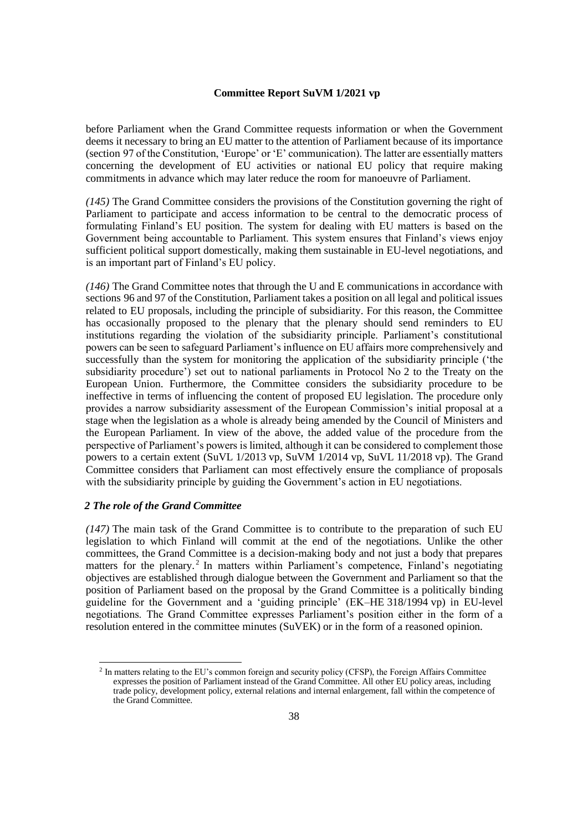before Parliament when the Grand Committee requests information or when the Government deems it necessary to bring an EU matter to the attention of Parliament because of its importance (section 97 of the Constitution, 'Europe' or 'E' communication). The latter are essentially matters concerning the development of EU activities or national EU policy that require making commitments in advance which may later reduce the room for manoeuvre of Parliament.

*(145)* The Grand Committee considers the provisions of the Constitution governing the right of Parliament to participate and access information to be central to the democratic process of formulating Finland's EU position. The system for dealing with EU matters is based on the Government being accountable to Parliament. This system ensures that Finland's views enjoy sufficient political support domestically, making them sustainable in EU-level negotiations, and is an important part of Finland's EU policy.

*(146)* The Grand Committee notes that through the U and E communications in accordance with sections 96 and 97 of the Constitution, Parliament takes a position on all legal and political issues related to EU proposals, including the principle of subsidiarity. For this reason, the Committee has occasionally proposed to the plenary that the plenary should send reminders to EU institutions regarding the violation of the subsidiarity principle. Parliament's constitutional powers can be seen to safeguard Parliament's influence on EU affairs more comprehensively and successfully than the system for monitoring the application of the subsidiarity principle ('the subsidiarity procedure') set out to national parliaments in Protocol No 2 to the Treaty on the European Union. Furthermore, the Committee considers the subsidiarity procedure to be ineffective in terms of influencing the content of proposed EU legislation. The procedure only provides a narrow subsidiarity assessment of the European Commission's initial proposal at a stage when the legislation as a whole is already being amended by the Council of Ministers and the European Parliament. In view of the above, the added value of the procedure from the perspective of Parliament's powers is limited, although it can be considered to complement those powers to a certain extent (SuVL 1/2013 vp, SuVM 1/2014 vp, SuVL 11/2018 vp). The Grand Committee considers that Parliament can most effectively ensure the compliance of proposals with the subsidiarity principle by guiding the Government's action in EU negotiations.

# *2 The role of the Grand Committee*

*(147)* The main task of the Grand Committee is to contribute to the preparation of such EU legislation to which Finland will commit at the end of the negotiations. Unlike the other committees, the Grand Committee is a decision-making body and not just a body that prepares matters for the plenary.<sup>2</sup> In matters within Parliament's competence, Finland's negotiating objectives are established through dialogue between the Government and Parliament so that the position of Parliament based on the proposal by the Grand Committee is a politically binding guideline for the Government and a 'guiding principle' (EK–HE 318/1994 vp) in EU-level negotiations. The Grand Committee expresses Parliament's position either in the form of a resolution entered in the committee minutes (SuVEK) or in the form of a reasoned opinion.

<sup>&</sup>lt;sup>2</sup> In matters relating to the EU's common foreign and security policy (CFSP), the Foreign Affairs Committee expresses the position of Parliament instead of the Grand Committee. All other EU policy areas, including trade policy, development policy, external relations and internal enlargement, fall within the competence of the Grand Committee.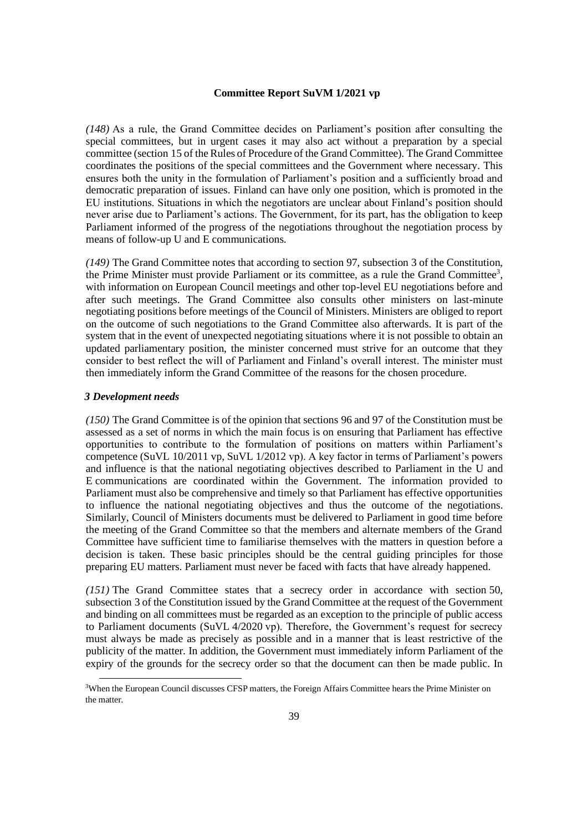*(148)* As a rule, the Grand Committee decides on Parliament's position after consulting the special committees, but in urgent cases it may also act without a preparation by a special committee (section 15 of the Rules of Procedure of the Grand Committee). The Grand Committee coordinates the positions of the special committees and the Government where necessary. This ensures both the unity in the formulation of Parliament's position and a sufficiently broad and democratic preparation of issues. Finland can have only one position, which is promoted in the EU institutions. Situations in which the negotiators are unclear about Finland's position should never arise due to Parliament's actions. The Government, for its part, has the obligation to keep Parliament informed of the progress of the negotiations throughout the negotiation process by means of follow-up U and E communications.

*(149)* The Grand Committee notes that according to section 97, subsection 3 of the Constitution, the Prime Minister must provide Parliament or its committee, as a rule the Grand Committee<sup>3</sup>, with information on European Council meetings and other top-level EU negotiations before and after such meetings. The Grand Committee also consults other ministers on last-minute negotiating positions before meetings of the Council of Ministers. Ministers are obliged to report on the outcome of such negotiations to the Grand Committee also afterwards. It is part of the system that in the event of unexpected negotiating situations where it is not possible to obtain an updated parliamentary position, the minister concerned must strive for an outcome that they consider to best reflect the will of Parliament and Finland's overall interest. The minister must then immediately inform the Grand Committee of the reasons for the chosen procedure.

#### *3 Development needs*

*(150)* The Grand Committee is of the opinion that sections 96 and 97 of the Constitution must be assessed as a set of norms in which the main focus is on ensuring that Parliament has effective opportunities to contribute to the formulation of positions on matters within Parliament's competence (SuVL 10/2011 vp, SuVL 1/2012 vp). A key factor in terms of Parliament's powers and influence is that the national negotiating objectives described to Parliament in the U and E communications are coordinated within the Government. The information provided to Parliament must also be comprehensive and timely so that Parliament has effective opportunities to influence the national negotiating objectives and thus the outcome of the negotiations. Similarly, Council of Ministers documents must be delivered to Parliament in good time before the meeting of the Grand Committee so that the members and alternate members of the Grand Committee have sufficient time to familiarise themselves with the matters in question before a decision is taken. These basic principles should be the central guiding principles for those preparing EU matters. Parliament must never be faced with facts that have already happened.

*(151)* The Grand Committee states that a secrecy order in accordance with section 50, subsection 3 of the Constitution issued by the Grand Committee at the request of the Government and binding on all committees must be regarded as an exception to the principle of public access to Parliament documents (SuVL 4/2020 vp). Therefore, the Government's request for secrecy must always be made as precisely as possible and in a manner that is least restrictive of the publicity of the matter. In addition, the Government must immediately inform Parliament of the expiry of the grounds for the secrecy order so that the document can then be made public. In

<sup>3</sup>When the European Council discusses CFSP matters, the Foreign Affairs Committee hears the Prime Minister on the matter.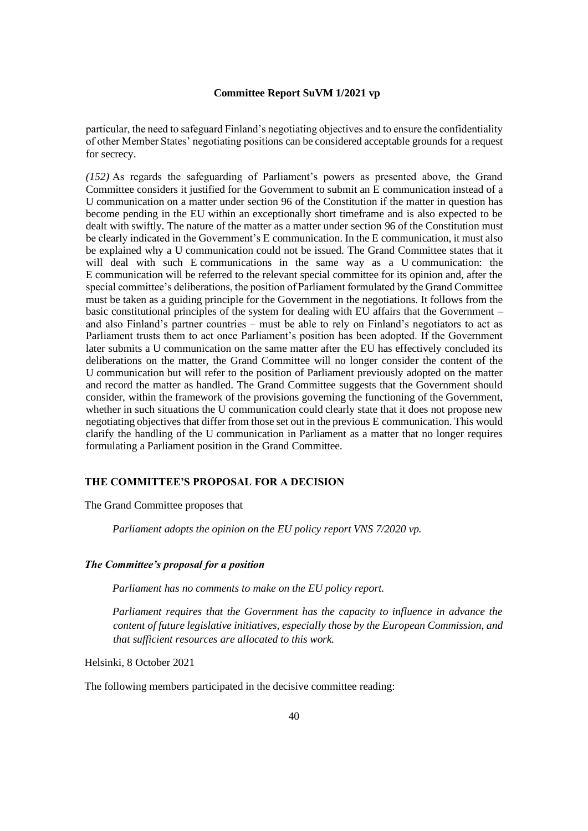particular, the need to safeguard Finland's negotiating objectives and to ensure the confidentiality of other Member States' negotiating positions can be considered acceptable grounds for a request for secrecy.

*(152)* As regards the safeguarding of Parliament's powers as presented above, the Grand Committee considers it justified for the Government to submit an E communication instead of a U communication on a matter under section 96 of the Constitution if the matter in question has become pending in the EU within an exceptionally short timeframe and is also expected to be dealt with swiftly. The nature of the matter as a matter under section 96 of the Constitution must be clearly indicated in the Government's E communication. In the E communication, it must also be explained why a U communication could not be issued. The Grand Committee states that it will deal with such E communications in the same way as a U communication: the E communication will be referred to the relevant special committee for its opinion and, after the special committee's deliberations, the position of Parliament formulated by the Grand Committee must be taken as a guiding principle for the Government in the negotiations. It follows from the basic constitutional principles of the system for dealing with EU affairs that the Government – and also Finland's partner countries – must be able to rely on Finland's negotiators to act as Parliament trusts them to act once Parliament's position has been adopted. If the Government later submits a U communication on the same matter after the EU has effectively concluded its deliberations on the matter, the Grand Committee will no longer consider the content of the U communication but will refer to the position of Parliament previously adopted on the matter and record the matter as handled. The Grand Committee suggests that the Government should consider, within the framework of the provisions governing the functioning of the Government, whether in such situations the U communication could clearly state that it does not propose new negotiating objectives that differ from those set out in the previous E communication. This would clarify the handling of the U communication in Parliament as a matter that no longer requires formulating a Parliament position in the Grand Committee.

# **THE COMMITTEE'S PROPOSAL FOR A DECISION**

The Grand Committee proposes that

*Parliament adopts the opinion on the EU policy report VNS 7/2020 vp.*

#### *The Committee's proposal for a position*

*Parliament has no comments to make on the EU policy report.*

*Parliament requires that the Government has the capacity to influence in advance the content of future legislative initiatives, especially those by the European Commission, and that sufficient resources are allocated to this work.*

Helsinki, 8 October 2021

The following members participated in the decisive committee reading: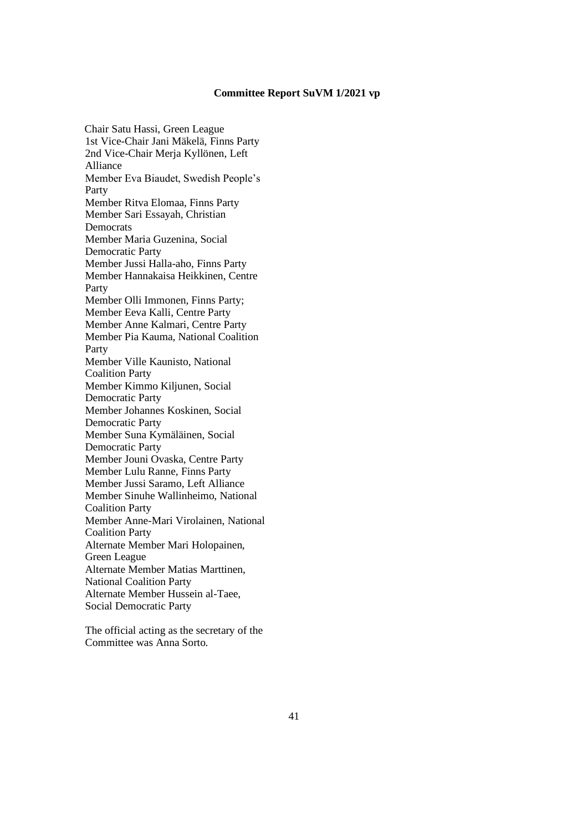Chair Satu Hassi, Green League 1st Vice-Chair Jani Mäkelä, Finns Party 2nd Vice-Chair Merja Kyllönen, Left Alliance Member Eva Biaudet, Swedish People's Party Member Ritva Elomaa, Finns Party Member Sari Essayah, Christian Democrats Member Maria Guzenina, Social Democratic Party Member Jussi Halla-aho, Finns Party Member Hannakaisa Heikkinen, Centre Party Member Olli Immonen, Finns Party; Member Eeva Kalli, Centre Party Member Anne Kalmari, Centre Party Member Pia Kauma, National Coalition Party Member Ville Kaunisto, National Coalition Party Member Kimmo Kiljunen, Social Democratic Party Member Johannes Koskinen, Social Democratic Party Member Suna Kymäläinen, Social Democratic Party Member Jouni Ovaska, Centre Party Member Lulu Ranne, Finns Party Member Jussi Saramo, Left Alliance Member Sinuhe Wallinheimo, National Coalition Party Member Anne-Mari Virolainen, National Coalition Party Alternate Member Mari Holopainen, Green League Alternate Member Matias Marttinen, National Coalition Party Alternate Member Hussein al-Taee, Social Democratic Party

The official acting as the secretary of the Committee was Anna Sorto.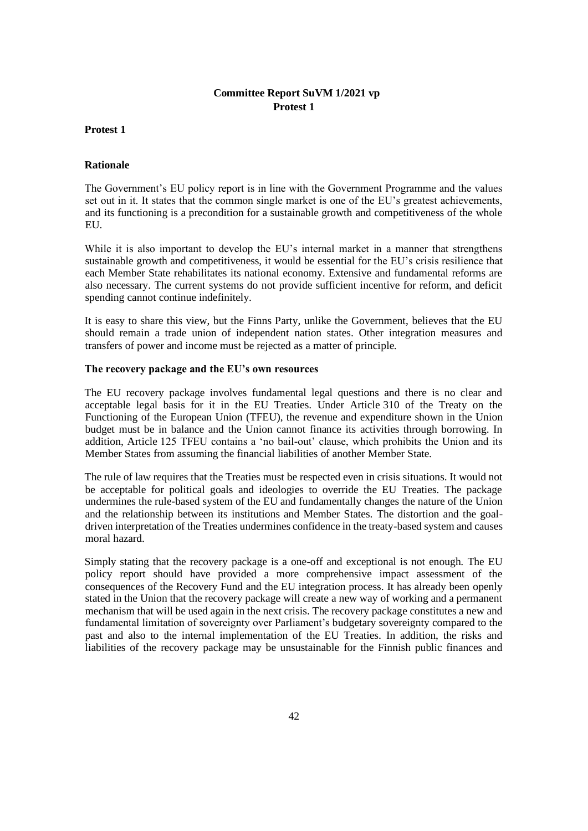### **Protest 1**

### **Rationale**

The Government's EU policy report is in line with the Government Programme and the values set out in it. It states that the common single market is one of the EU's greatest achievements, and its functioning is a precondition for a sustainable growth and competitiveness of the whole EU<sub>.</sub>

While it is also important to develop the EU's internal market in a manner that strengthens sustainable growth and competitiveness, it would be essential for the EU's crisis resilience that each Member State rehabilitates its national economy. Extensive and fundamental reforms are also necessary. The current systems do not provide sufficient incentive for reform, and deficit spending cannot continue indefinitely.

It is easy to share this view, but the Finns Party, unlike the Government, believes that the EU should remain a trade union of independent nation states. Other integration measures and transfers of power and income must be rejected as a matter of principle.

### **The recovery package and the EU's own resources**

The EU recovery package involves fundamental legal questions and there is no clear and acceptable legal basis for it in the EU Treaties. Under Article 310 of the Treaty on the Functioning of the European Union (TFEU), the revenue and expenditure shown in the Union budget must be in balance and the Union cannot finance its activities through borrowing. In addition, Article 125 TFEU contains a 'no bail-out' clause, which prohibits the Union and its Member States from assuming the financial liabilities of another Member State.

The rule of law requires that the Treaties must be respected even in crisis situations. It would not be acceptable for political goals and ideologies to override the EU Treaties. The package undermines the rule-based system of the EU and fundamentally changes the nature of the Union and the relationship between its institutions and Member States. The distortion and the goaldriven interpretation of the Treaties undermines confidence in the treaty-based system and causes moral hazard.

Simply stating that the recovery package is a one-off and exceptional is not enough. The EU policy report should have provided a more comprehensive impact assessment of the consequences of the Recovery Fund and the EU integration process. It has already been openly stated in the Union that the recovery package will create a new way of working and a permanent mechanism that will be used again in the next crisis. The recovery package constitutes a new and fundamental limitation of sovereignty over Parliament's budgetary sovereignty compared to the past and also to the internal implementation of the EU Treaties. In addition, the risks and liabilities of the recovery package may be unsustainable for the Finnish public finances and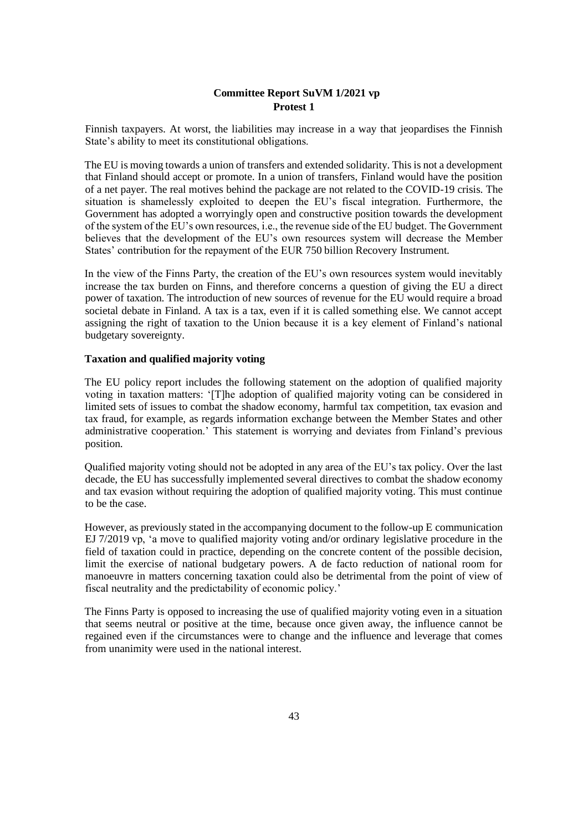Finnish taxpayers. At worst, the liabilities may increase in a way that jeopardises the Finnish State's ability to meet its constitutional obligations.

The EU is moving towards a union of transfers and extended solidarity. This is not a development that Finland should accept or promote. In a union of transfers, Finland would have the position of a net payer. The real motives behind the package are not related to the COVID-19 crisis. The situation is shamelessly exploited to deepen the EU's fiscal integration. Furthermore, the Government has adopted a worryingly open and constructive position towards the development of the system of the EU's own resources, i.e., the revenue side of the EU budget. The Government believes that the development of the EU's own resources system will decrease the Member States' contribution for the repayment of the EUR 750 billion Recovery Instrument.

In the view of the Finns Party, the creation of the EU's own resources system would inevitably increase the tax burden on Finns, and therefore concerns a question of giving the EU a direct power of taxation. The introduction of new sources of revenue for the EU would require a broad societal debate in Finland. A tax is a tax, even if it is called something else. We cannot accept assigning the right of taxation to the Union because it is a key element of Finland's national budgetary sovereignty.

### **Taxation and qualified majority voting**

The EU policy report includes the following statement on the adoption of qualified majority voting in taxation matters: '[T]he adoption of qualified majority voting can be considered in limited sets of issues to combat the shadow economy, harmful tax competition, tax evasion and tax fraud, for example, as regards information exchange between the Member States and other administrative cooperation.' This statement is worrying and deviates from Finland's previous position.

Qualified majority voting should not be adopted in any area of the EU's tax policy. Over the last decade, the EU has successfully implemented several directives to combat the shadow economy and tax evasion without requiring the adoption of qualified majority voting. This must continue to be the case.

However, as previously stated in the accompanying document to the follow-up E communication EJ 7/2019 vp, 'a move to qualified majority voting and/or ordinary legislative procedure in the field of taxation could in practice, depending on the concrete content of the possible decision, limit the exercise of national budgetary powers. A de facto reduction of national room for manoeuvre in matters concerning taxation could also be detrimental from the point of view of fiscal neutrality and the predictability of economic policy.'

The Finns Party is opposed to increasing the use of qualified majority voting even in a situation that seems neutral or positive at the time, because once given away, the influence cannot be regained even if the circumstances were to change and the influence and leverage that comes from unanimity were used in the national interest.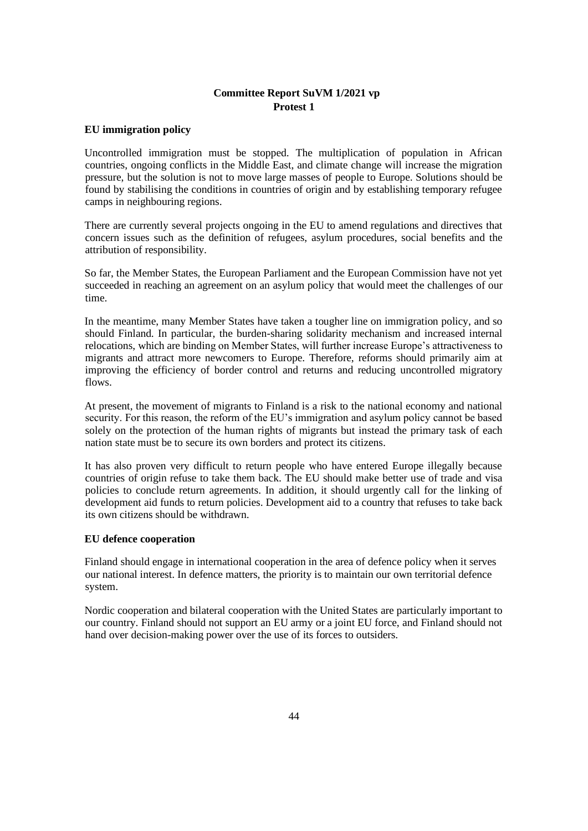### **EU immigration policy**

Uncontrolled immigration must be stopped. The multiplication of population in African countries, ongoing conflicts in the Middle East, and climate change will increase the migration pressure, but the solution is not to move large masses of people to Europe. Solutions should be found by stabilising the conditions in countries of origin and by establishing temporary refugee camps in neighbouring regions.

There are currently several projects ongoing in the EU to amend regulations and directives that concern issues such as the definition of refugees, asylum procedures, social benefits and the attribution of responsibility.

So far, the Member States, the European Parliament and the European Commission have not yet succeeded in reaching an agreement on an asylum policy that would meet the challenges of our time.

In the meantime, many Member States have taken a tougher line on immigration policy, and so should Finland. In particular, the burden-sharing solidarity mechanism and increased internal relocations, which are binding on Member States, will further increase Europe's attractiveness to migrants and attract more newcomers to Europe. Therefore, reforms should primarily aim at improving the efficiency of border control and returns and reducing uncontrolled migratory flows.

At present, the movement of migrants to Finland is a risk to the national economy and national security. For this reason, the reform of the EU's immigration and asylum policy cannot be based solely on the protection of the human rights of migrants but instead the primary task of each nation state must be to secure its own borders and protect its citizens.

It has also proven very difficult to return people who have entered Europe illegally because countries of origin refuse to take them back. The EU should make better use of trade and visa policies to conclude return agreements. In addition, it should urgently call for the linking of development aid funds to return policies. Development aid to a country that refuses to take back its own citizens should be withdrawn.

### **EU defence cooperation**

Finland should engage in international cooperation in the area of defence policy when it serves our national interest. In defence matters, the priority is to maintain our own territorial defence system.

Nordic cooperation and bilateral cooperation with the United States are particularly important to our country. Finland should not support an EU army or a joint EU force, and Finland should not hand over decision-making power over the use of its forces to outsiders.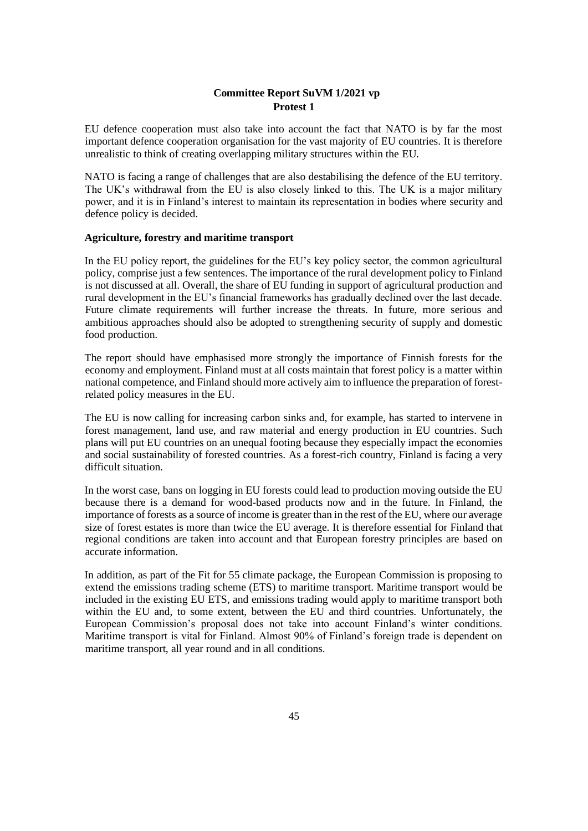EU defence cooperation must also take into account the fact that NATO is by far the most important defence cooperation organisation for the vast majority of EU countries. It is therefore unrealistic to think of creating overlapping military structures within the EU.

NATO is facing a range of challenges that are also destabilising the defence of the EU territory. The UK's withdrawal from the EU is also closely linked to this. The UK is a major military power, and it is in Finland's interest to maintain its representation in bodies where security and defence policy is decided.

### **Agriculture, forestry and maritime transport**

In the EU policy report, the guidelines for the EU's key policy sector, the common agricultural policy, comprise just a few sentences. The importance of the rural development policy to Finland is not discussed at all. Overall, the share of EU funding in support of agricultural production and rural development in the EU's financial frameworks has gradually declined over the last decade. Future climate requirements will further increase the threats. In future, more serious and ambitious approaches should also be adopted to strengthening security of supply and domestic food production.

The report should have emphasised more strongly the importance of Finnish forests for the economy and employment. Finland must at all costs maintain that forest policy is a matter within national competence, and Finland should more actively aim to influence the preparation of forestrelated policy measures in the EU.

The EU is now calling for increasing carbon sinks and, for example, has started to intervene in forest management, land use, and raw material and energy production in EU countries. Such plans will put EU countries on an unequal footing because they especially impact the economies and social sustainability of forested countries. As a forest-rich country, Finland is facing a very difficult situation.

In the worst case, bans on logging in EU forests could lead to production moving outside the EU because there is a demand for wood-based products now and in the future. In Finland, the importance of forests as a source of income is greater than in the rest of the EU, where our average size of forest estates is more than twice the EU average. It is therefore essential for Finland that regional conditions are taken into account and that European forestry principles are based on accurate information.

In addition, as part of the Fit for 55 climate package, the European Commission is proposing to extend the emissions trading scheme (ETS) to maritime transport. Maritime transport would be included in the existing EU ETS, and emissions trading would apply to maritime transport both within the EU and, to some extent, between the EU and third countries. Unfortunately, the European Commission's proposal does not take into account Finland's winter conditions. Maritime transport is vital for Finland. Almost 90% of Finland's foreign trade is dependent on maritime transport, all year round and in all conditions.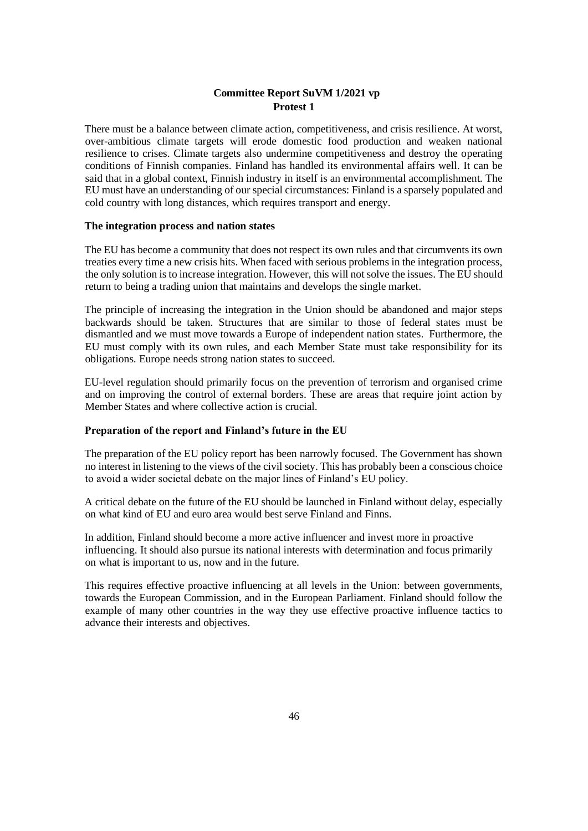There must be a balance between climate action, competitiveness, and crisis resilience. At worst, over-ambitious climate targets will erode domestic food production and weaken national resilience to crises. Climate targets also undermine competitiveness and destroy the operating conditions of Finnish companies. Finland has handled its environmental affairs well. It can be said that in a global context, Finnish industry in itself is an environmental accomplishment. The EU must have an understanding of our special circumstances: Finland is a sparsely populated and cold country with long distances, which requires transport and energy.

### **The integration process and nation states**

The EU has become a community that does not respect its own rules and that circumvents its own treaties every time a new crisis hits. When faced with serious problems in the integration process, the only solution is to increase integration. However, this will not solve the issues. The EU should return to being a trading union that maintains and develops the single market.

The principle of increasing the integration in the Union should be abandoned and major steps backwards should be taken. Structures that are similar to those of federal states must be dismantled and we must move towards a Europe of independent nation states. Furthermore, the EU must comply with its own rules, and each Member State must take responsibility for its obligations. Europe needs strong nation states to succeed.

EU-level regulation should primarily focus on the prevention of terrorism and organised crime and on improving the control of external borders. These are areas that require joint action by Member States and where collective action is crucial.

### **Preparation of the report and Finland's future in the EU**

The preparation of the EU policy report has been narrowly focused. The Government has shown no interest in listening to the views of the civil society. This has probably been a conscious choice to avoid a wider societal debate on the major lines of Finland's EU policy.

A critical debate on the future of the EU should be launched in Finland without delay, especially on what kind of EU and euro area would best serve Finland and Finns.

In addition, Finland should become a more active influencer and invest more in proactive influencing. It should also pursue its national interests with determination and focus primarily on what is important to us, now and in the future.

This requires effective proactive influencing at all levels in the Union: between governments, towards the European Commission, and in the European Parliament. Finland should follow the example of many other countries in the way they use effective proactive influence tactics to advance their interests and objectives.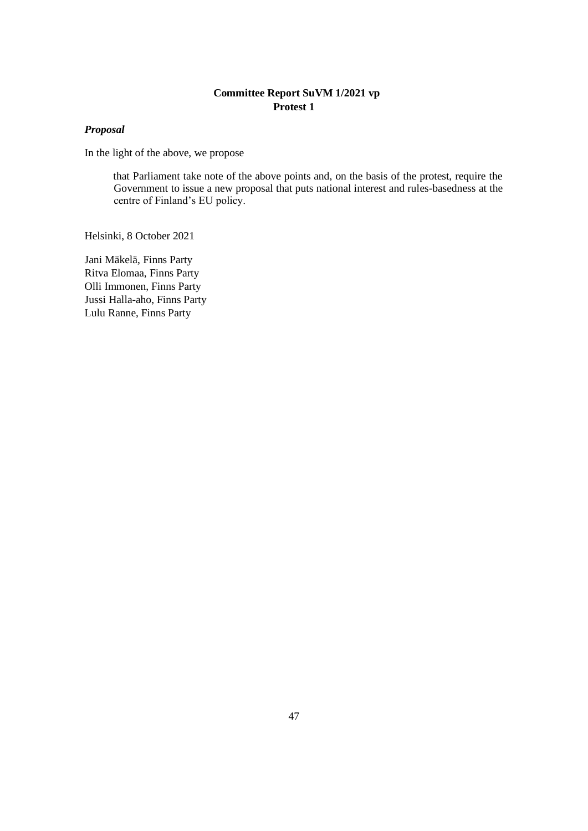# *Proposal*

In the light of the above, we propose

that Parliament take note of the above points and, on the basis of the protest, require the Government to issue a new proposal that puts national interest and rules-basedness at the centre of Finland's EU policy.

Helsinki, 8 October 2021

Jani Mäkelä, Finns Party Ritva Elomaa, Finns Party Olli Immonen, Finns Party Jussi Halla-aho, Finns Party Lulu Ranne, Finns Party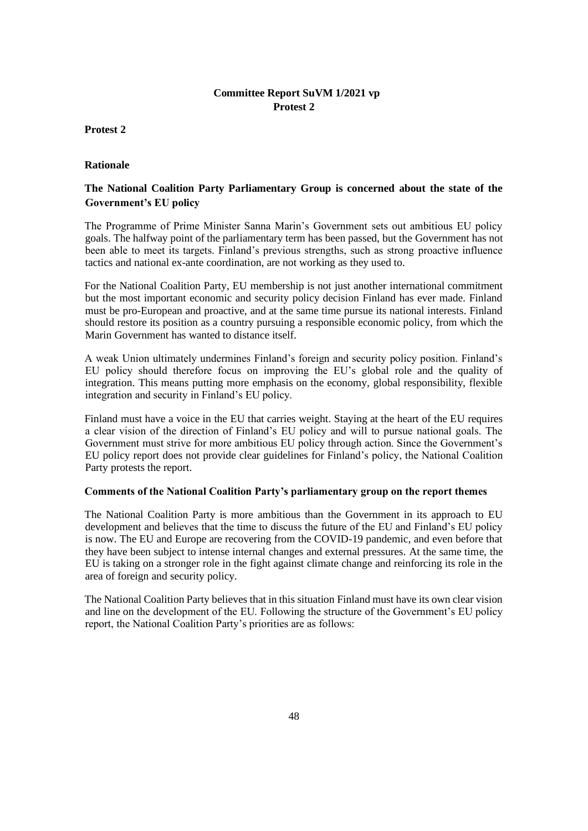### **Protest 2**

### **Rationale**

# **The National Coalition Party Parliamentary Group is concerned about the state of the Government's EU policy**

The Programme of Prime Minister Sanna Marin's Government sets out ambitious EU policy goals. The halfway point of the parliamentary term has been passed, but the Government has not been able to meet its targets. Finland's previous strengths, such as strong proactive influence tactics and national ex-ante coordination, are not working as they used to.

For the National Coalition Party, EU membership is not just another international commitment but the most important economic and security policy decision Finland has ever made. Finland must be pro-European and proactive, and at the same time pursue its national interests. Finland should restore its position as a country pursuing a responsible economic policy, from which the Marin Government has wanted to distance itself.

A weak Union ultimately undermines Finland's foreign and security policy position. Finland's EU policy should therefore focus on improving the EU's global role and the quality of integration. This means putting more emphasis on the economy, global responsibility, flexible integration and security in Finland's EU policy.

Finland must have a voice in the EU that carries weight. Staying at the heart of the EU requires a clear vision of the direction of Finland's EU policy and will to pursue national goals. The Government must strive for more ambitious EU policy through action. Since the Government's EU policy report does not provide clear guidelines for Finland's policy, the National Coalition Party protests the report.

### **Comments of the National Coalition Party's parliamentary group on the report themes**

The National Coalition Party is more ambitious than the Government in its approach to EU development and believes that the time to discuss the future of the EU and Finland's EU policy is now. The EU and Europe are recovering from the COVID-19 pandemic, and even before that they have been subject to intense internal changes and external pressures. At the same time, the EU is taking on a stronger role in the fight against climate change and reinforcing its role in the area of foreign and security policy.

The National Coalition Party believes that in this situation Finland must have its own clear vision and line on the development of the EU. Following the structure of the Government's EU policy report, the National Coalition Party's priorities are as follows: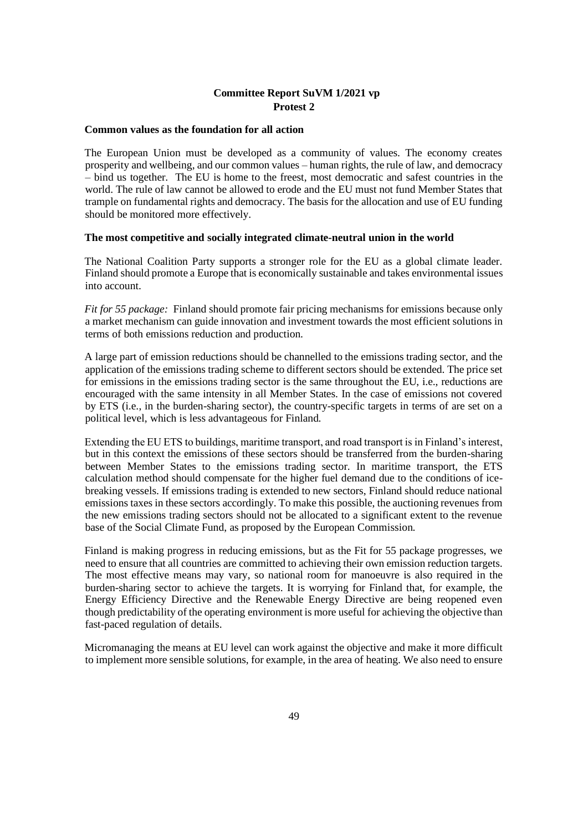#### **Common values as the foundation for all action**

The European Union must be developed as a community of values. The economy creates prosperity and wellbeing, and our common values – human rights, the rule of law, and democracy – bind us together. The EU is home to the freest, most democratic and safest countries in the world. The rule of law cannot be allowed to erode and the EU must not fund Member States that trample on fundamental rights and democracy. The basis for the allocation and use of EU funding should be monitored more effectively.

#### **The most competitive and socially integrated climate-neutral union in the world**

The National Coalition Party supports a stronger role for the EU as a global climate leader. Finland should promote a Europe that is economically sustainable and takes environmental issues into account.

*Fit for 55 package:* Finland should promote fair pricing mechanisms for emissions because only a market mechanism can guide innovation and investment towards the most efficient solutions in terms of both emissions reduction and production.

A large part of emission reductions should be channelled to the emissions trading sector, and the application of the emissions trading scheme to different sectors should be extended. The price set for emissions in the emissions trading sector is the same throughout the EU, i.e., reductions are encouraged with the same intensity in all Member States. In the case of emissions not covered by ETS (i.e., in the burden-sharing sector), the country-specific targets in terms of are set on a political level, which is less advantageous for Finland.

Extending the EU ETS to buildings, maritime transport, and road transport is in Finland's interest, but in this context the emissions of these sectors should be transferred from the burden-sharing between Member States to the emissions trading sector. In maritime transport, the ETS calculation method should compensate for the higher fuel demand due to the conditions of icebreaking vessels. If emissions trading is extended to new sectors, Finland should reduce national emissions taxes in these sectors accordingly. To make this possible, the auctioning revenues from the new emissions trading sectors should not be allocated to a significant extent to the revenue base of the Social Climate Fund, as proposed by the European Commission.

Finland is making progress in reducing emissions, but as the Fit for 55 package progresses, we need to ensure that all countries are committed to achieving their own emission reduction targets. The most effective means may vary, so national room for manoeuvre is also required in the burden-sharing sector to achieve the targets. It is worrying for Finland that, for example, the Energy Efficiency Directive and the Renewable Energy Directive are being reopened even though predictability of the operating environment is more useful for achieving the objective than fast-paced regulation of details.

Micromanaging the means at EU level can work against the objective and make it more difficult to implement more sensible solutions, for example, in the area of heating. We also need to ensure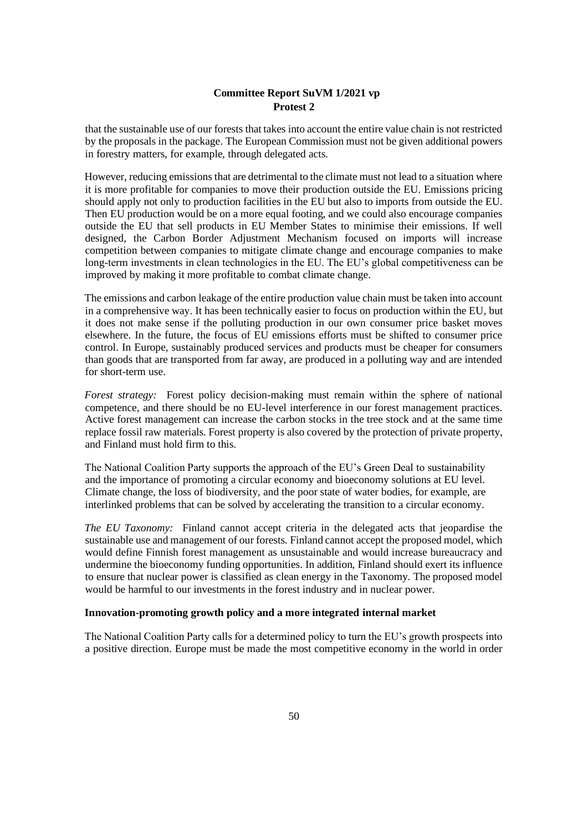that the sustainable use of our forests that takes into account the entire value chain is not restricted by the proposals in the package. The European Commission must not be given additional powers in forestry matters, for example, through delegated acts.

However, reducing emissions that are detrimental to the climate must not lead to a situation where it is more profitable for companies to move their production outside the EU. Emissions pricing should apply not only to production facilities in the EU but also to imports from outside the EU. Then EU production would be on a more equal footing, and we could also encourage companies outside the EU that sell products in EU Member States to minimise their emissions. If well designed, the Carbon Border Adjustment Mechanism focused on imports will increase competition between companies to mitigate climate change and encourage companies to make long-term investments in clean technologies in the EU. The EU's global competitiveness can be improved by making it more profitable to combat climate change.

The emissions and carbon leakage of the entire production value chain must be taken into account in a comprehensive way. It has been technically easier to focus on production within the EU, but it does not make sense if the polluting production in our own consumer price basket moves elsewhere. In the future, the focus of EU emissions efforts must be shifted to consumer price control. In Europe, sustainably produced services and products must be cheaper for consumers than goods that are transported from far away, are produced in a polluting way and are intended for short-term use.

*Forest strategy:* Forest policy decision-making must remain within the sphere of national competence, and there should be no EU-level interference in our forest management practices. Active forest management can increase the carbon stocks in the tree stock and at the same time replace fossil raw materials. Forest property is also covered by the protection of private property, and Finland must hold firm to this.

The National Coalition Party supports the approach of the EU's Green Deal to sustainability and the importance of promoting a circular economy and bioeconomy solutions at EU level. Climate change, the loss of biodiversity, and the poor state of water bodies, for example, are interlinked problems that can be solved by accelerating the transition to a circular economy.

*The EU Taxonomy:* Finland cannot accept criteria in the delegated acts that jeopardise the sustainable use and management of our forests. Finland cannot accept the proposed model, which would define Finnish forest management as unsustainable and would increase bureaucracy and undermine the bioeconomy funding opportunities. In addition, Finland should exert its influence to ensure that nuclear power is classified as clean energy in the Taxonomy. The proposed model would be harmful to our investments in the forest industry and in nuclear power.

# **Innovation-promoting growth policy and a more integrated internal market**

The National Coalition Party calls for a determined policy to turn the EU's growth prospects into a positive direction. Europe must be made the most competitive economy in the world in order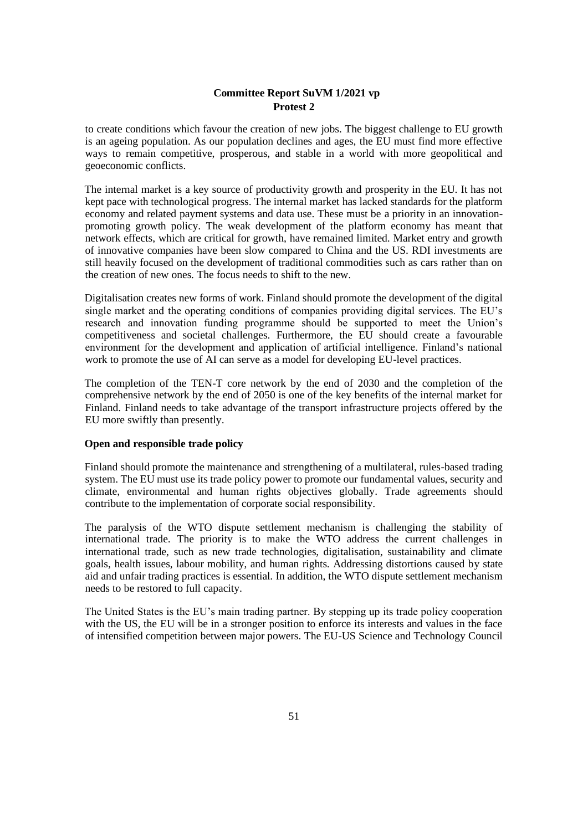to create conditions which favour the creation of new jobs. The biggest challenge to EU growth is an ageing population. As our population declines and ages, the EU must find more effective ways to remain competitive, prosperous, and stable in a world with more geopolitical and geoeconomic conflicts.

The internal market is a key source of productivity growth and prosperity in the EU. It has not kept pace with technological progress. The internal market has lacked standards for the platform economy and related payment systems and data use. These must be a priority in an innovationpromoting growth policy. The weak development of the platform economy has meant that network effects, which are critical for growth, have remained limited. Market entry and growth of innovative companies have been slow compared to China and the US. RDI investments are still heavily focused on the development of traditional commodities such as cars rather than on the creation of new ones. The focus needs to shift to the new.

Digitalisation creates new forms of work. Finland should promote the development of the digital single market and the operating conditions of companies providing digital services. The EU's research and innovation funding programme should be supported to meet the Union's competitiveness and societal challenges. Furthermore, the EU should create a favourable environment for the development and application of artificial intelligence. Finland's national work to promote the use of AI can serve as a model for developing EU-level practices.

The completion of the TEN-T core network by the end of 2030 and the completion of the comprehensive network by the end of 2050 is one of the key benefits of the internal market for Finland. Finland needs to take advantage of the transport infrastructure projects offered by the EU more swiftly than presently.

### **Open and responsible trade policy**

Finland should promote the maintenance and strengthening of a multilateral, rules-based trading system. The EU must use its trade policy power to promote our fundamental values, security and climate, environmental and human rights objectives globally. Trade agreements should contribute to the implementation of corporate social responsibility.

The paralysis of the WTO dispute settlement mechanism is challenging the stability of international trade. The priority is to make the WTO address the current challenges in international trade, such as new trade technologies, digitalisation, sustainability and climate goals, health issues, labour mobility, and human rights. Addressing distortions caused by state aid and unfair trading practices is essential. In addition, the WTO dispute settlement mechanism needs to be restored to full capacity.

The United States is the EU's main trading partner. By stepping up its trade policy cooperation with the US, the EU will be in a stronger position to enforce its interests and values in the face of intensified competition between major powers. The EU-US Science and Technology Council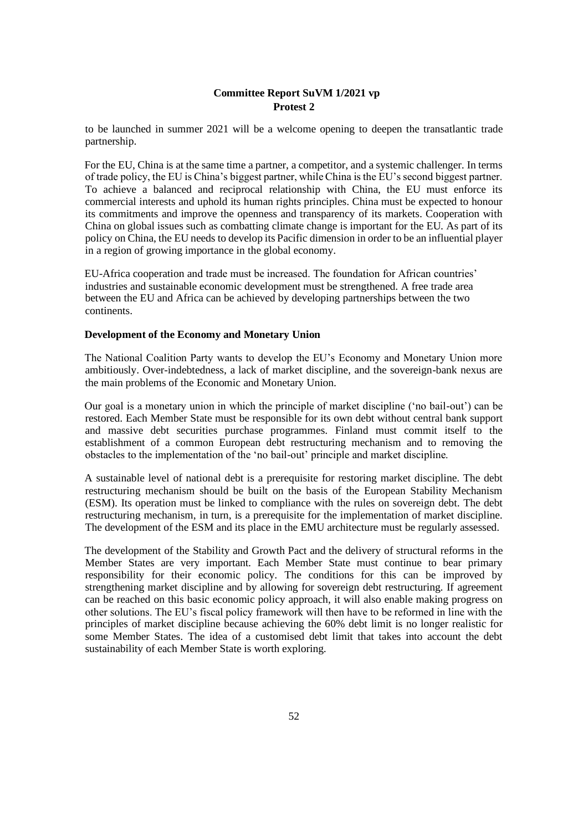to be launched in summer 2021 will be a welcome opening to deepen the transatlantic trade partnership.

For the EU, China is at the same time a partner, a competitor, and a systemic challenger. In terms of trade policy, the EU is China's biggest partner, while China is the EU's second biggest partner. To achieve a balanced and reciprocal relationship with China, the EU must enforce its commercial interests and uphold its human rights principles. China must be expected to honour its commitments and improve the openness and transparency of its markets. Cooperation with China on global issues such as combatting climate change is important for the EU. As part of its policy on China, the EU needs to develop its Pacific dimension in order to be an influential player in a region of growing importance in the global economy.

EU-Africa cooperation and trade must be increased. The foundation for African countries' industries and sustainable economic development must be strengthened. A free trade area between the EU and Africa can be achieved by developing partnerships between the two continents.

### **Development of the Economy and Monetary Union**

The National Coalition Party wants to develop the EU's Economy and Monetary Union more ambitiously. Over-indebtedness, a lack of market discipline, and the sovereign-bank nexus are the main problems of the Economic and Monetary Union.

Our goal is a monetary union in which the principle of market discipline ('no bail-out') can be restored. Each Member State must be responsible for its own debt without central bank support and massive debt securities purchase programmes. Finland must commit itself to the establishment of a common European debt restructuring mechanism and to removing the obstacles to the implementation of the 'no bail-out' principle and market discipline.

A sustainable level of national debt is a prerequisite for restoring market discipline. The debt restructuring mechanism should be built on the basis of the European Stability Mechanism (ESM). Its operation must be linked to compliance with the rules on sovereign debt. The debt restructuring mechanism, in turn, is a prerequisite for the implementation of market discipline. The development of the ESM and its place in the EMU architecture must be regularly assessed.

The development of the Stability and Growth Pact and the delivery of structural reforms in the Member States are very important. Each Member State must continue to bear primary responsibility for their economic policy. The conditions for this can be improved by strengthening market discipline and by allowing for sovereign debt restructuring. If agreement can be reached on this basic economic policy approach, it will also enable making progress on other solutions. The EU's fiscal policy framework will then have to be reformed in line with the principles of market discipline because achieving the 60% debt limit is no longer realistic for some Member States. The idea of a customised debt limit that takes into account the debt sustainability of each Member State is worth exploring.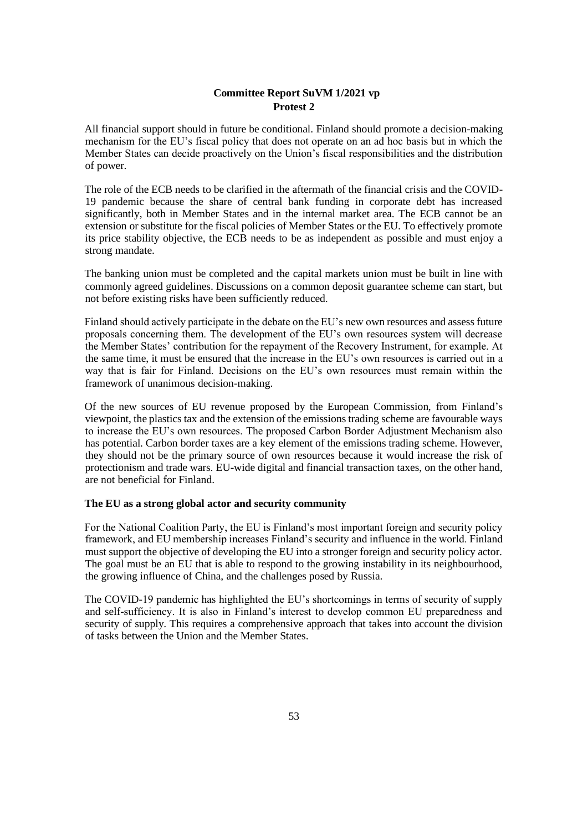All financial support should in future be conditional. Finland should promote a decision-making mechanism for the EU's fiscal policy that does not operate on an ad hoc basis but in which the Member States can decide proactively on the Union's fiscal responsibilities and the distribution of power.

The role of the ECB needs to be clarified in the aftermath of the financial crisis and the COVID-19 pandemic because the share of central bank funding in corporate debt has increased significantly, both in Member States and in the internal market area. The ECB cannot be an extension or substitute for the fiscal policies of Member States or the EU. To effectively promote its price stability objective, the ECB needs to be as independent as possible and must enjoy a strong mandate.

The banking union must be completed and the capital markets union must be built in line with commonly agreed guidelines. Discussions on a common deposit guarantee scheme can start, but not before existing risks have been sufficiently reduced.

Finland should actively participate in the debate on the EU's new own resources and assess future proposals concerning them. The development of the EU's own resources system will decrease the Member States' contribution for the repayment of the Recovery Instrument, for example. At the same time, it must be ensured that the increase in the EU's own resources is carried out in a way that is fair for Finland. Decisions on the EU's own resources must remain within the framework of unanimous decision-making.

Of the new sources of EU revenue proposed by the European Commission, from Finland's viewpoint, the plastics tax and the extension of the emissions trading scheme are favourable ways to increase the EU's own resources. The proposed Carbon Border Adjustment Mechanism also has potential. Carbon border taxes are a key element of the emissions trading scheme. However, they should not be the primary source of own resources because it would increase the risk of protectionism and trade wars. EU-wide digital and financial transaction taxes, on the other hand, are not beneficial for Finland.

### **The EU as a strong global actor and security community**

For the National Coalition Party, the EU is Finland's most important foreign and security policy framework, and EU membership increases Finland's security and influence in the world. Finland must support the objective of developing the EU into a stronger foreign and security policy actor. The goal must be an EU that is able to respond to the growing instability in its neighbourhood, the growing influence of China, and the challenges posed by Russia.

The COVID-19 pandemic has highlighted the EU's shortcomings in terms of security of supply and self-sufficiency. It is also in Finland's interest to develop common EU preparedness and security of supply. This requires a comprehensive approach that takes into account the division of tasks between the Union and the Member States.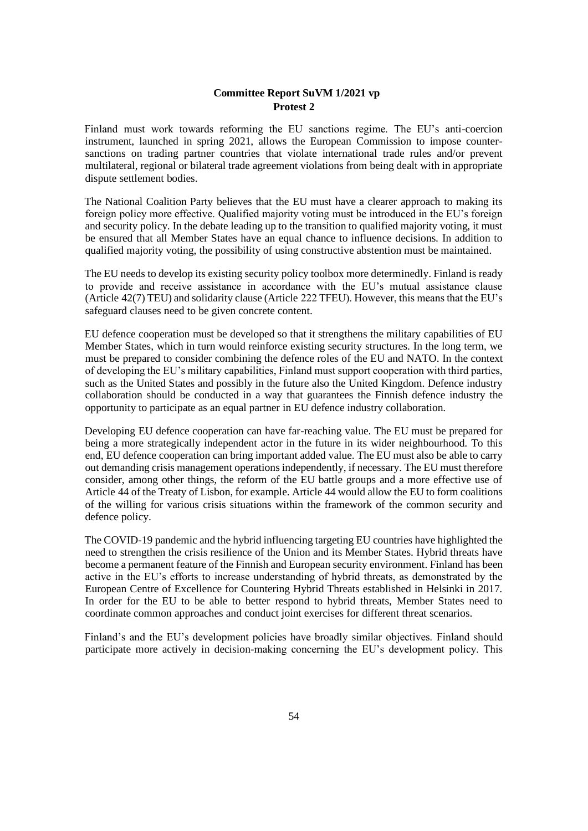Finland must work towards reforming the EU sanctions regime. The EU's anti-coercion instrument, launched in spring 2021, allows the European Commission to impose countersanctions on trading partner countries that violate international trade rules and/or prevent multilateral, regional or bilateral trade agreement violations from being dealt with in appropriate dispute settlement bodies.

The National Coalition Party believes that the EU must have a clearer approach to making its foreign policy more effective. Qualified majority voting must be introduced in the EU's foreign and security policy. In the debate leading up to the transition to qualified majority voting, it must be ensured that all Member States have an equal chance to influence decisions. In addition to qualified majority voting, the possibility of using constructive abstention must be maintained.

The EU needs to develop its existing security policy toolbox more determinedly. Finland is ready to provide and receive assistance in accordance with the EU's mutual assistance clause (Article 42(7) TEU) and solidarity clause (Article 222 TFEU). However, this means that the EU's safeguard clauses need to be given concrete content.

EU defence cooperation must be developed so that it strengthens the military capabilities of EU Member States, which in turn would reinforce existing security structures. In the long term, we must be prepared to consider combining the defence roles of the EU and NATO. In the context of developing the EU's military capabilities, Finland must support cooperation with third parties, such as the United States and possibly in the future also the United Kingdom. Defence industry collaboration should be conducted in a way that guarantees the Finnish defence industry the opportunity to participate as an equal partner in EU defence industry collaboration.

Developing EU defence cooperation can have far-reaching value. The EU must be prepared for being a more strategically independent actor in the future in its wider neighbourhood. To this end, EU defence cooperation can bring important added value. The EU must also be able to carry out demanding crisis management operations independently, if necessary. The EU must therefore consider, among other things, the reform of the EU battle groups and a more effective use of Article 44 of the Treaty of Lisbon, for example. Article 44 would allow the EU to form coalitions of the willing for various crisis situations within the framework of the common security and defence policy.

The COVID-19 pandemic and the hybrid influencing targeting EU countries have highlighted the need to strengthen the crisis resilience of the Union and its Member States. Hybrid threats have become a permanent feature of the Finnish and European security environment. Finland has been active in the EU's efforts to increase understanding of hybrid threats, as demonstrated by the European Centre of Excellence for Countering Hybrid Threats established in Helsinki in 2017. In order for the EU to be able to better respond to hybrid threats, Member States need to coordinate common approaches and conduct joint exercises for different threat scenarios.

Finland's and the EU's development policies have broadly similar objectives. Finland should participate more actively in decision-making concerning the EU's development policy. This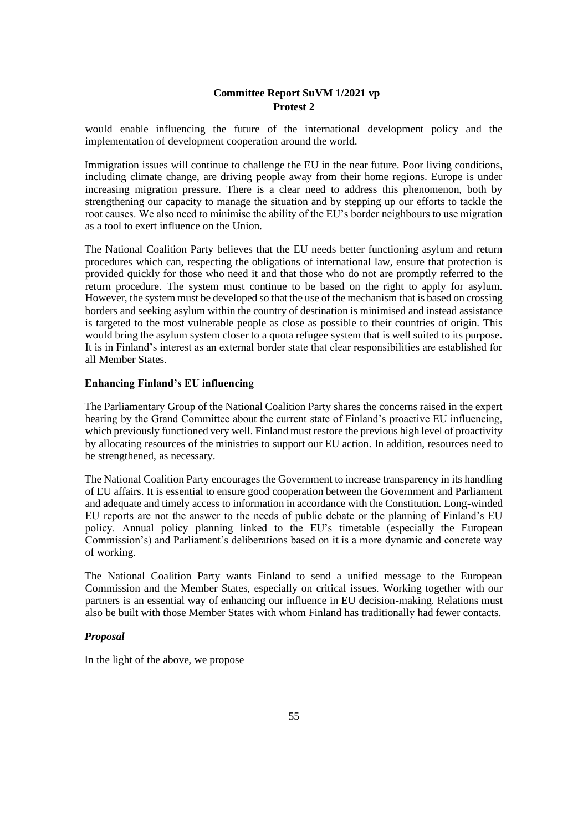would enable influencing the future of the international development policy and the implementation of development cooperation around the world.

Immigration issues will continue to challenge the EU in the near future. Poor living conditions, including climate change, are driving people away from their home regions. Europe is under increasing migration pressure. There is a clear need to address this phenomenon, both by strengthening our capacity to manage the situation and by stepping up our efforts to tackle the root causes. We also need to minimise the ability of the EU's border neighbours to use migration as a tool to exert influence on the Union.

The National Coalition Party believes that the EU needs better functioning asylum and return procedures which can, respecting the obligations of international law, ensure that protection is provided quickly for those who need it and that those who do not are promptly referred to the return procedure. The system must continue to be based on the right to apply for asylum. However, the system must be developed so that the use of the mechanism that is based on crossing borders and seeking asylum within the country of destination is minimised and instead assistance is targeted to the most vulnerable people as close as possible to their countries of origin. This would bring the asylum system closer to a quota refugee system that is well suited to its purpose. It is in Finland's interest as an external border state that clear responsibilities are established for all Member States.

# **Enhancing Finland's EU influencing**

The Parliamentary Group of the National Coalition Party shares the concerns raised in the expert hearing by the Grand Committee about the current state of Finland's proactive EU influencing, which previously functioned very well. Finland must restore the previous high level of proactivity by allocating resources of the ministries to support our EU action. In addition, resources need to be strengthened, as necessary.

The National Coalition Party encourages the Government to increase transparency in its handling of EU affairs. It is essential to ensure good cooperation between the Government and Parliament and adequate and timely access to information in accordance with the Constitution. Long-winded EU reports are not the answer to the needs of public debate or the planning of Finland's EU policy. Annual policy planning linked to the EU's timetable (especially the European Commission's) and Parliament's deliberations based on it is a more dynamic and concrete way of working.

The National Coalition Party wants Finland to send a unified message to the European Commission and the Member States, especially on critical issues. Working together with our partners is an essential way of enhancing our influence in EU decision-making. Relations must also be built with those Member States with whom Finland has traditionally had fewer contacts.

#### *Proposal*

In the light of the above, we propose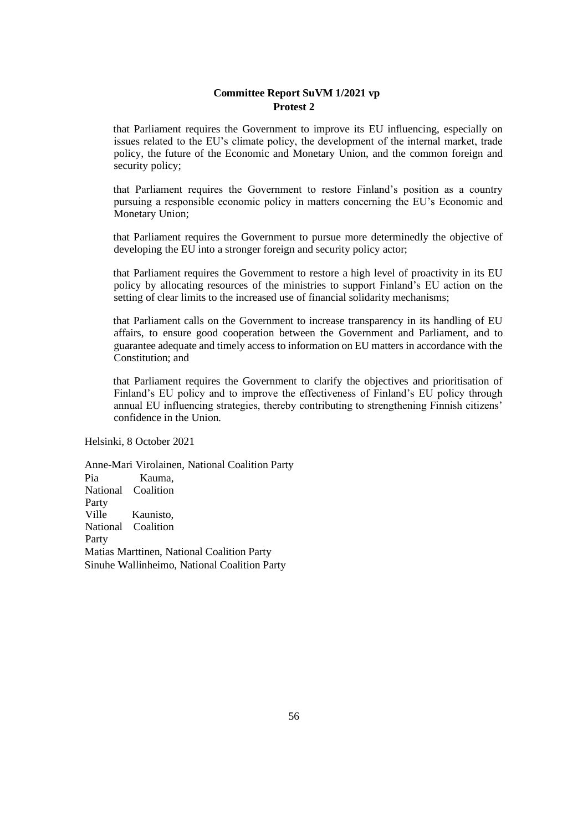that Parliament requires the Government to improve its EU influencing, especially on issues related to the EU's climate policy, the development of the internal market, trade policy, the future of the Economic and Monetary Union, and the common foreign and security policy;

that Parliament requires the Government to restore Finland's position as a country pursuing a responsible economic policy in matters concerning the EU's Economic and Monetary Union;

that Parliament requires the Government to pursue more determinedly the objective of developing the EU into a stronger foreign and security policy actor;

that Parliament requires the Government to restore a high level of proactivity in its EU policy by allocating resources of the ministries to support Finland's EU action on the setting of clear limits to the increased use of financial solidarity mechanisms;

that Parliament calls on the Government to increase transparency in its handling of EU affairs, to ensure good cooperation between the Government and Parliament, and to guarantee adequate and timely access to information on EU matters in accordance with the Constitution; and

that Parliament requires the Government to clarify the objectives and prioritisation of Finland's EU policy and to improve the effectiveness of Finland's EU policy through annual EU influencing strategies, thereby contributing to strengthening Finnish citizens' confidence in the Union.

Helsinki, 8 October 2021

Anne-Mari Virolainen, National Coalition Party Pia Kauma, National Coalition Party Ville Kaunisto, National Coalition Party Matias Marttinen, National Coalition Party Sinuhe Wallinheimo, National Coalition Party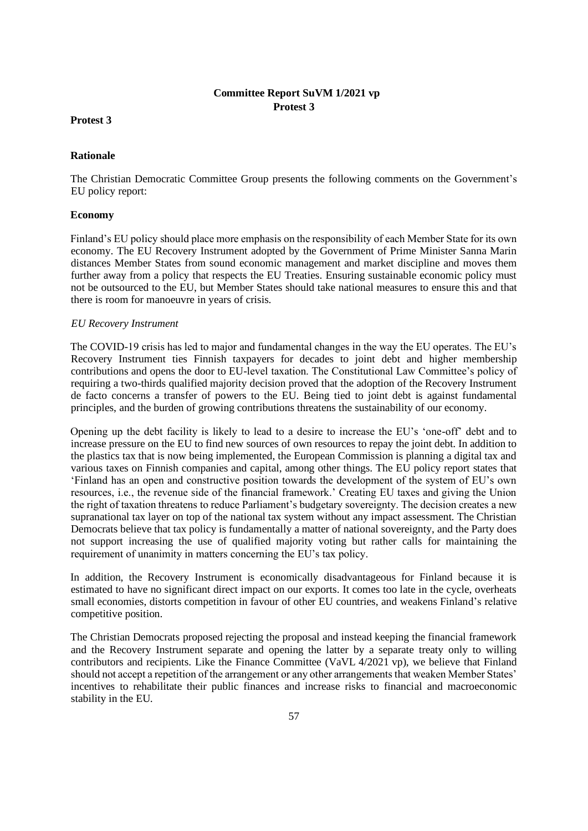### **Protest 3**

### **Rationale**

The Christian Democratic Committee Group presents the following comments on the Government's EU policy report:

### **Economy**

Finland's EU policy should place more emphasis on the responsibility of each Member State for its own economy. The EU Recovery Instrument adopted by the Government of Prime Minister Sanna Marin distances Member States from sound economic management and market discipline and moves them further away from a policy that respects the EU Treaties. Ensuring sustainable economic policy must not be outsourced to the EU, but Member States should take national measures to ensure this and that there is room for manoeuvre in years of crisis.

### *EU Recovery Instrument*

The COVID-19 crisis has led to major and fundamental changes in the way the EU operates. The EU's Recovery Instrument ties Finnish taxpayers for decades to joint debt and higher membership contributions and opens the door to EU-level taxation. The Constitutional Law Committee's policy of requiring a two-thirds qualified majority decision proved that the adoption of the Recovery Instrument de facto concerns a transfer of powers to the EU. Being tied to joint debt is against fundamental principles, and the burden of growing contributions threatens the sustainability of our economy.

Opening up the debt facility is likely to lead to a desire to increase the EU's 'one-off' debt and to increase pressure on the EU to find new sources of own resources to repay the joint debt. In addition to the plastics tax that is now being implemented, the European Commission is planning a digital tax and various taxes on Finnish companies and capital, among other things. The EU policy report states that 'Finland has an open and constructive position towards the development of the system of EU's own resources, i.e., the revenue side of the financial framework.' Creating EU taxes and giving the Union the right of taxation threatens to reduce Parliament's budgetary sovereignty. The decision creates a new supranational tax layer on top of the national tax system without any impact assessment. The Christian Democrats believe that tax policy is fundamentally a matter of national sovereignty, and the Party does not support increasing the use of qualified majority voting but rather calls for maintaining the requirement of unanimity in matters concerning the EU's tax policy.

In addition, the Recovery Instrument is economically disadvantageous for Finland because it is estimated to have no significant direct impact on our exports. It comes too late in the cycle, overheats small economies, distorts competition in favour of other EU countries, and weakens Finland's relative competitive position.

The Christian Democrats proposed rejecting the proposal and instead keeping the financial framework and the Recovery Instrument separate and opening the latter by a separate treaty only to willing contributors and recipients. Like the Finance Committee (VaVL 4/2021 vp), we believe that Finland should not accept a repetition of the arrangement or any other arrangements that weaken Member States' incentives to rehabilitate their public finances and increase risks to financial and macroeconomic stability in the EU.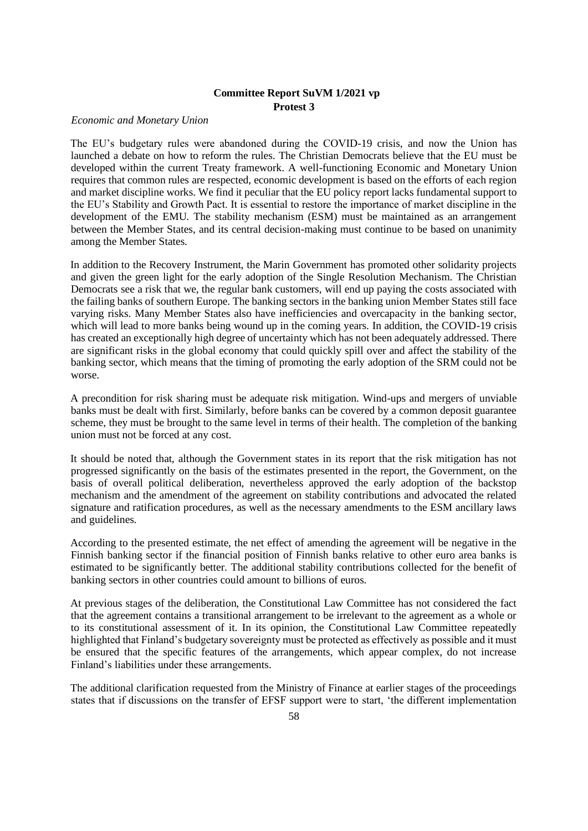#### *Economic and Monetary Union*

The EU's budgetary rules were abandoned during the COVID-19 crisis, and now the Union has launched a debate on how to reform the rules. The Christian Democrats believe that the EU must be developed within the current Treaty framework. A well-functioning Economic and Monetary Union requires that common rules are respected, economic development is based on the efforts of each region and market discipline works. We find it peculiar that the EU policy report lacks fundamental support to the EU's Stability and Growth Pact. It is essential to restore the importance of market discipline in the development of the EMU. The stability mechanism (ESM) must be maintained as an arrangement between the Member States, and its central decision-making must continue to be based on unanimity among the Member States.

In addition to the Recovery Instrument, the Marin Government has promoted other solidarity projects and given the green light for the early adoption of the Single Resolution Mechanism. The Christian Democrats see a risk that we, the regular bank customers, will end up paying the costs associated with the failing banks of southern Europe. The banking sectors in the banking union Member States still face varying risks. Many Member States also have inefficiencies and overcapacity in the banking sector, which will lead to more banks being wound up in the coming years. In addition, the COVID-19 crisis has created an exceptionally high degree of uncertainty which has not been adequately addressed. There are significant risks in the global economy that could quickly spill over and affect the stability of the banking sector, which means that the timing of promoting the early adoption of the SRM could not be worse.

A precondition for risk sharing must be adequate risk mitigation. Wind-ups and mergers of unviable banks must be dealt with first. Similarly, before banks can be covered by a common deposit guarantee scheme, they must be brought to the same level in terms of their health. The completion of the banking union must not be forced at any cost.

It should be noted that, although the Government states in its report that the risk mitigation has not progressed significantly on the basis of the estimates presented in the report, the Government, on the basis of overall political deliberation, nevertheless approved the early adoption of the backstop mechanism and the amendment of the agreement on stability contributions and advocated the related signature and ratification procedures, as well as the necessary amendments to the ESM ancillary laws and guidelines.

According to the presented estimate, the net effect of amending the agreement will be negative in the Finnish banking sector if the financial position of Finnish banks relative to other euro area banks is estimated to be significantly better. The additional stability contributions collected for the benefit of banking sectors in other countries could amount to billions of euros.

At previous stages of the deliberation, the Constitutional Law Committee has not considered the fact that the agreement contains a transitional arrangement to be irrelevant to the agreement as a whole or to its constitutional assessment of it. In its opinion, the Constitutional Law Committee repeatedly highlighted that Finland's budgetary sovereignty must be protected as effectively as possible and it must be ensured that the specific features of the arrangements, which appear complex, do not increase Finland's liabilities under these arrangements.

The additional clarification requested from the Ministry of Finance at earlier stages of the proceedings states that if discussions on the transfer of EFSF support were to start, 'the different implementation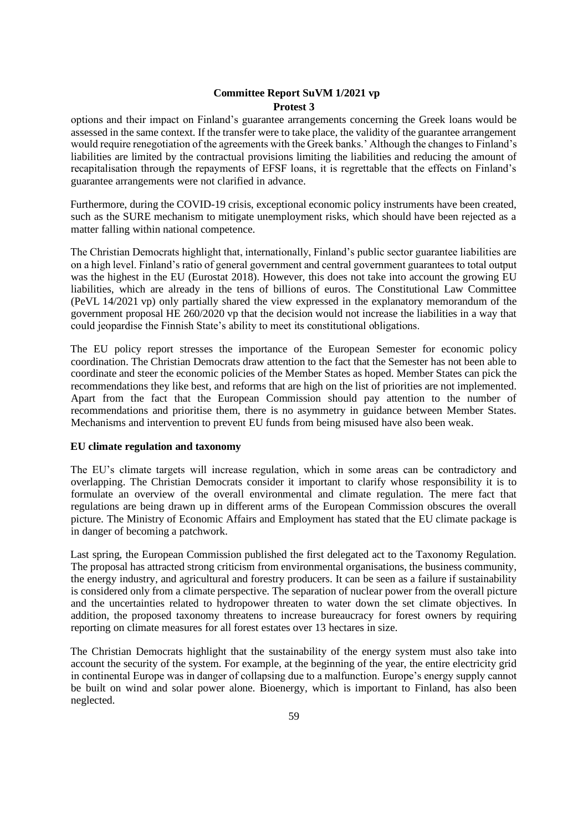options and their impact on Finland's guarantee arrangements concerning the Greek loans would be assessed in the same context. If the transfer were to take place, the validity of the guarantee arrangement would require renegotiation of the agreements with the Greek banks.' Although the changes to Finland's liabilities are limited by the contractual provisions limiting the liabilities and reducing the amount of recapitalisation through the repayments of EFSF loans, it is regrettable that the effects on Finland's guarantee arrangements were not clarified in advance.

Furthermore, during the COVID-19 crisis, exceptional economic policy instruments have been created, such as the SURE mechanism to mitigate unemployment risks, which should have been rejected as a matter falling within national competence.

The Christian Democrats highlight that, internationally, Finland's public sector guarantee liabilities are on a high level. Finland's ratio of general government and central government guarantees to total output was the highest in the EU (Eurostat 2018). However, this does not take into account the growing EU liabilities, which are already in the tens of billions of euros. The Constitutional Law Committee (PeVL 14/2021 vp) only partially shared the view expressed in the explanatory memorandum of the government proposal HE 260/2020 vp that the decision would not increase the liabilities in a way that could jeopardise the Finnish State's ability to meet its constitutional obligations.

The EU policy report stresses the importance of the European Semester for economic policy coordination. The Christian Democrats draw attention to the fact that the Semester has not been able to coordinate and steer the economic policies of the Member States as hoped. Member States can pick the recommendations they like best, and reforms that are high on the list of priorities are not implemented. Apart from the fact that the European Commission should pay attention to the number of recommendations and prioritise them, there is no asymmetry in guidance between Member States. Mechanisms and intervention to prevent EU funds from being misused have also been weak.

### **EU climate regulation and taxonomy**

The EU's climate targets will increase regulation, which in some areas can be contradictory and overlapping. The Christian Democrats consider it important to clarify whose responsibility it is to formulate an overview of the overall environmental and climate regulation. The mere fact that regulations are being drawn up in different arms of the European Commission obscures the overall picture. The Ministry of Economic Affairs and Employment has stated that the EU climate package is in danger of becoming a patchwork.

Last spring, the European Commission published the first delegated act to the Taxonomy Regulation. The proposal has attracted strong criticism from environmental organisations, the business community, the energy industry, and agricultural and forestry producers. It can be seen as a failure if sustainability is considered only from a climate perspective. The separation of nuclear power from the overall picture and the uncertainties related to hydropower threaten to water down the set climate objectives. In addition, the proposed taxonomy threatens to increase bureaucracy for forest owners by requiring reporting on climate measures for all forest estates over 13 hectares in size.

The Christian Democrats highlight that the sustainability of the energy system must also take into account the security of the system. For example, at the beginning of the year, the entire electricity grid in continental Europe was in danger of collapsing due to a malfunction. Europe's energy supply cannot be built on wind and solar power alone. Bioenergy, which is important to Finland, has also been neglected.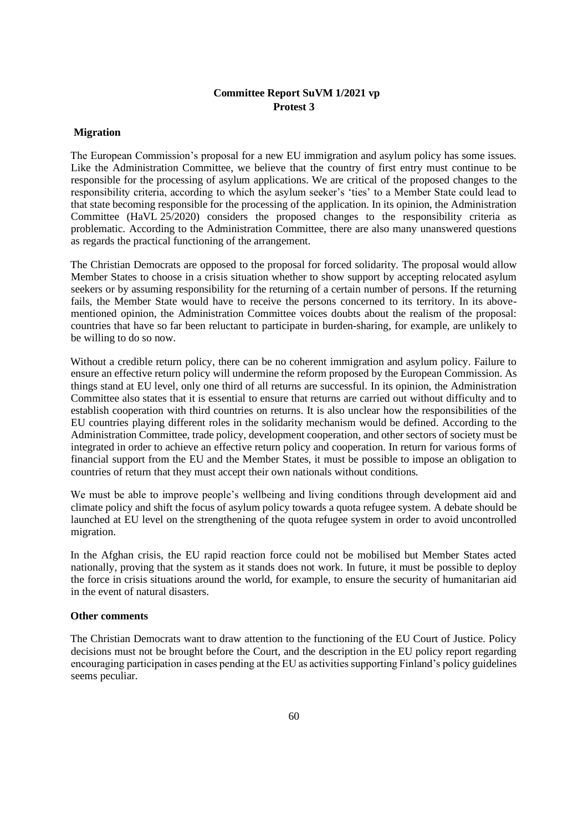### **Migration**

The European Commission's proposal for a new EU immigration and asylum policy has some issues. Like the Administration Committee, we believe that the country of first entry must continue to be responsible for the processing of asylum applications. We are critical of the proposed changes to the responsibility criteria, according to which the asylum seeker's 'ties' to a Member State could lead to that state becoming responsible for the processing of the application. In its opinion, the Administration Committee (HaVL 25/2020) considers the proposed changes to the responsibility criteria as problematic. According to the Administration Committee, there are also many unanswered questions as regards the practical functioning of the arrangement.

The Christian Democrats are opposed to the proposal for forced solidarity. The proposal would allow Member States to choose in a crisis situation whether to show support by accepting relocated asylum seekers or by assuming responsibility for the returning of a certain number of persons. If the returning fails, the Member State would have to receive the persons concerned to its territory. In its abovementioned opinion, the Administration Committee voices doubts about the realism of the proposal: countries that have so far been reluctant to participate in burden-sharing, for example, are unlikely to be willing to do so now.

Without a credible return policy, there can be no coherent immigration and asylum policy. Failure to ensure an effective return policy will undermine the reform proposed by the European Commission. As things stand at EU level, only one third of all returns are successful. In its opinion, the Administration Committee also states that it is essential to ensure that returns are carried out without difficulty and to establish cooperation with third countries on returns. It is also unclear how the responsibilities of the EU countries playing different roles in the solidarity mechanism would be defined. According to the Administration Committee, trade policy, development cooperation, and other sectors of society must be integrated in order to achieve an effective return policy and cooperation. In return for various forms of financial support from the EU and the Member States, it must be possible to impose an obligation to countries of return that they must accept their own nationals without conditions.

We must be able to improve people's wellbeing and living conditions through development aid and climate policy and shift the focus of asylum policy towards a quota refugee system. A debate should be launched at EU level on the strengthening of the quota refugee system in order to avoid uncontrolled migration.

In the Afghan crisis, the EU rapid reaction force could not be mobilised but Member States acted nationally, proving that the system as it stands does not work. In future, it must be possible to deploy the force in crisis situations around the world, for example, to ensure the security of humanitarian aid in the event of natural disasters.

### **Other comments**

The Christian Democrats want to draw attention to the functioning of the EU Court of Justice. Policy decisions must not be brought before the Court, and the description in the EU policy report regarding encouraging participation in cases pending at the EU as activities supporting Finland's policy guidelines seems peculiar.